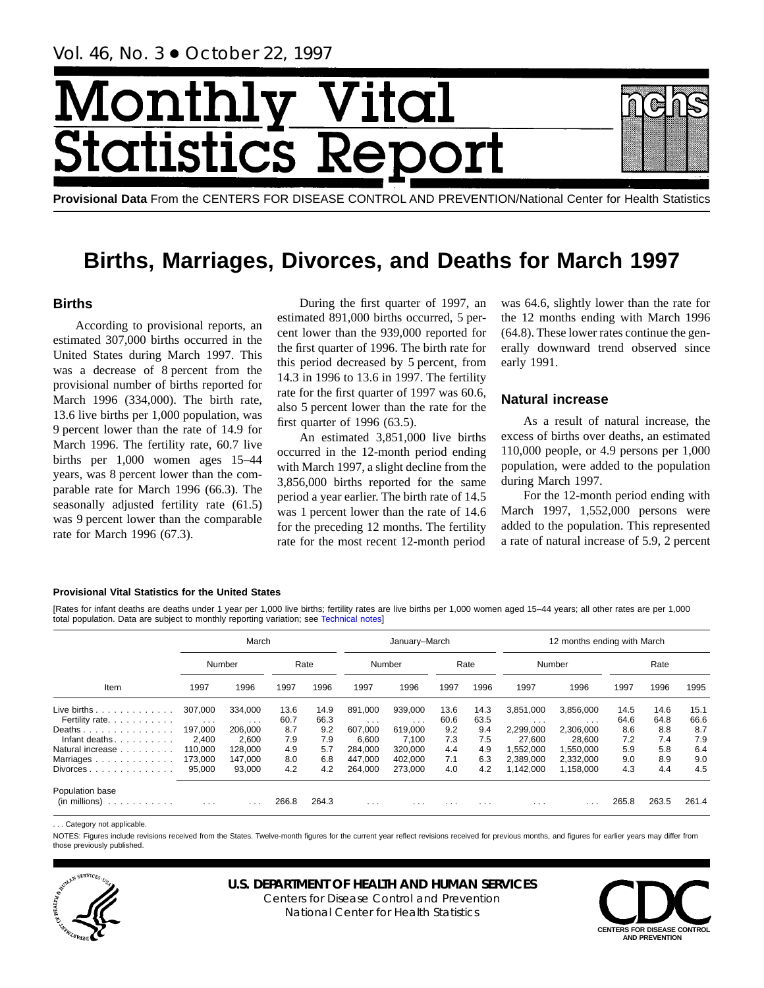# Month Vital tics R tatist

**Provisional Data** From the CENTERS FOR DISEASE CONTROL AND PREVENTION/National Center for Health Statistics

## **Births, Marriages, Divorces, and Deaths for March 1997**

## **Births**

According to provisional reports, an estimated 307,000 births occurred in the United States during March 1997. This was a decrease of 8 percent from the provisional number of births reported for March 1996 (334,000). The birth rate, 13.6 live births per 1,000 population, was 9 percent lower than the rate of 14.9 for March 1996. The fertility rate, 60.7 live births per 1,000 women ages 15–44 years, was 8 percent lower than the comparable rate for March 1996 (66.3). The seasonally adjusted fertility rate (61.5) was 9 percent lower than the comparable rate for March 1996 (67.3).

During the first quarter of 1997, an estimated 891,000 births occurred, 5 percent lower than the 939,000 reported for the first quarter of 1996. The birth rate for this period decreased by 5 percent, from 14.3 in 1996 to 13.6 in 1997. The fertility rate for the first quarter of 1997 was 60.6, also 5 percent lower than the rate for the first quarter of 1996 (63.5).

An estimated 3,851,000 live births occurred in the 12-month period ending with March 1997, a slight decline from the 3,856,000 births reported for the same period a year earlier. The birth rate of 14.5 was 1 percent lower than the rate of 14.6 for the preceding 12 months. The fertility rate for the most recent 12-month period

was 64.6, slightly lower than the rate for the 12 months ending with March 1996 (64.8). These lower rates continue the generally downward trend observed since early 1991.

## **Natural increase**

As a result of natural increase, the excess of births over deaths, an estimated 110,000 people, or 4.9 persons per 1,000 population, were added to the population during March 1997.

For the 12-month period ending with March 1997, 1,552,000 persons were added to the population. This represented a rate of natural increase of 5.9, 2 percent

#### **Provisional Vital Statistics for the United States**

[Rates for infant deaths are deaths under 1 year per 1,000 live [births; fertility rates are liv](#page-16-0)e births per 1,000 women aged 15–44 years; all other rates are per 1,000 total population. Data are subject to monthly reporting variation; see Technical notes]

|                                       |                     | March                              |              |              |                     | January-March                      |              |              |                       | 12 months ending with March |              |              |              |
|---------------------------------------|---------------------|------------------------------------|--------------|--------------|---------------------|------------------------------------|--------------|--------------|-----------------------|-----------------------------|--------------|--------------|--------------|
|                                       |                     | Number                             |              | Rate         |                     | Number                             |              | Rate         | Number                |                             |              | Rate         |              |
| Item                                  | 1997                | 1996                               | 1997         | 1996         | 1997                | 1996                               | 1997         | 1996         | 1997                  | 1996                        | 1997         | 1996         | 1995         |
| Live births.<br>.<br>Fertility rate.  | 307,000<br>$\cdots$ | 334.000<br>$\cdot$ $\cdot$ $\cdot$ | 13.6<br>60.7 | 14.9<br>66.3 | 891,000<br>$\cdots$ | 939,000<br>$\cdot$ $\cdot$ $\cdot$ | 13.6<br>60.6 | 14.3<br>63.5 | 3,851,000<br>$\cdots$ | 3,856,000<br>$\cdots$       | 14.5<br>64.6 | 14.6<br>64.8 | 15.1<br>66.6 |
| Deaths                                | 197,000             | 206,000                            | 8.7          | 9.2          | 607,000             | 619.000                            | 9.2          | 9.4          | 2,299,000             | 2,306,000                   | 8.6          | 8.8          | 8.7          |
| Infant deaths.                        | 2.400               | 2.600                              | 7.9          | 7.9          | 6.600               | 7.100                              | 7.3          | 7.5          | 27.600                | 28.600                      | 7.2          | 7.4          | 7.9          |
| Natural increase                      | 110.000             | 128.000                            | 4.9          | 5.7          | 284,000             | 320.000                            | 4.4          | 4.9          | 1.552.000             | 1.550.000                   | 5.9          | 5.8          | 6.4          |
| Marriages                             | 173,000             | 147.000                            | 8.0          | 6.8          | 447.000             | 402,000                            | 7.1          | 6.3          | 2,389,000             | 2,332,000                   | 9.0          | 8.9          | 9.0          |
| Divorces                              | 95.000              | 93,000                             | 4.2          | 4.2          | 264,000             | 273,000                            | 4.0          | 4.2          | 1,142,000             | 1,158,000                   | 4.3          | 4.4          | 4.5          |
| Population base<br>(in millions)<br>. | $\cdots$            | .                                  | 266.8        | 264.3        | $\cdots$            | $\cdots$                           | $\cdots$     | $\cdots$     | $\cdots$              | .                           | 265.8        | 263.5        | 261.4        |

. . . Category not applicable.

NOTES: Figures include revisions received from the States. Twelve-month figures for the current year reflect revisions received for previous months, and figures for earlier years may differ from those previously published.



## **U.S. DEPARTMENT OF HEALTH AND HUMAN SERVICES**

Centers for Disease Control and Prevention National Center for Health Statistics

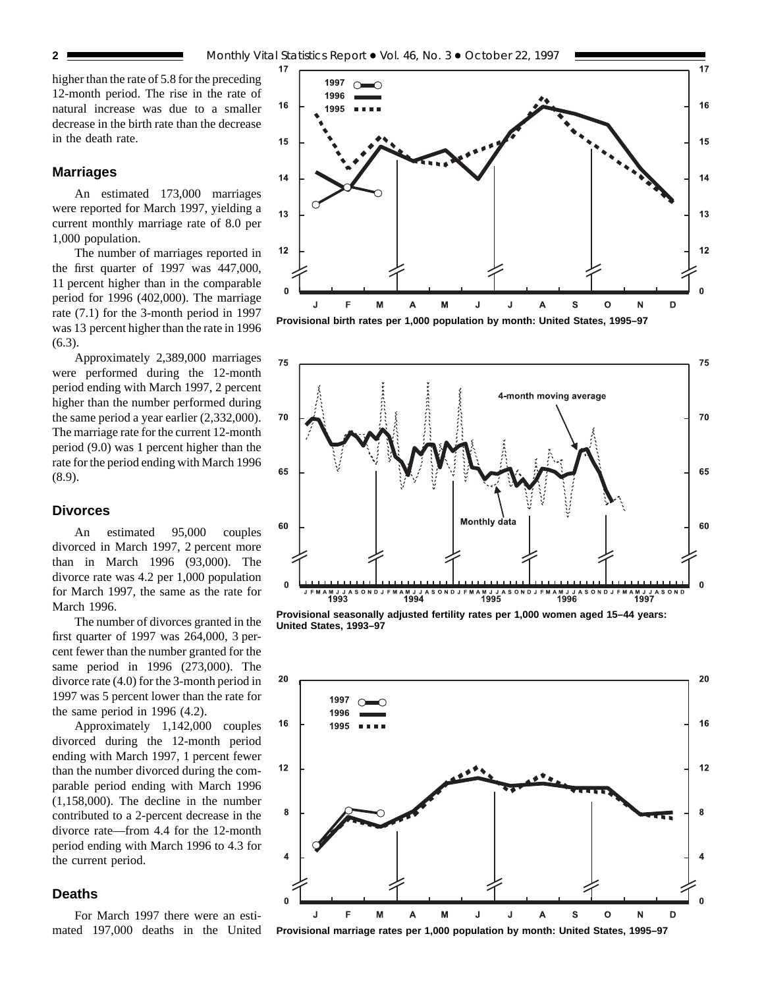higher than the rate of 5.8 for the preceding 12-month period. The rise in the rate of natural increase was due to a smaller decrease in the birth rate than the decrease in the death rate.

## **Marriages**

An estimated 173,000 marriages were reported for March 1997, yielding a current monthly marriage rate of 8.0 per 1,000 population.

The number of marriages reported in the first quarter of 1997 was 447,000, 11 percent higher than in the comparable period for 1996 (402,000). The marriage rate (7.1) for the 3-month period in 1997 was 13 percent higher than the rate in 1996 (6.3).

Approximately 2,389,000 marriages were performed during the 12-month period ending with March 1997, 2 percent higher than the number performed during the same period a year earlier (2,332,000). The marriage rate for the current 12-month period (9.0) was 1 percent higher than the rate for the period ending with March 1996 (8.9).

## **Divorces**

An estimated 95,000 couples divorced in March 1997, 2 percent more than in March 1996 (93,000). The divorce rate was 4.2 per 1,000 population for March 1997, the same as the rate for March 1996.

The number of divorces granted in the first quarter of 1997 was 264,000, 3 percent fewer than the number granted for the same period in 1996 (273,000). The divorce rate (4.0) for the 3-month period in 1997 was 5 percent lower than the rate for the same period in 1996 (4.2).

Approximately 1,142,000 couples divorced during the 12-month period ending with March 1997, 1 percent fewer than the number divorced during the comparable period ending with March 1996 (1,158,000). The decline in the number contributed to a 2-percent decrease in the divorce rate—from 4.4 for the 12-month period ending with March 1996 to 4.3 for the current period.

## **Deaths**

For March 1997 there were an estimated 197,000 deaths in the United



**Provisional birth rates per 1,000 population by month: United States, 1995–97**



**Provisional seasonally adjusted fertility rates per 1,000 women aged 15–44 years: United States, 1993–97**



**Provisional marriage rates per 1,000 population by month: United States, 1995–97**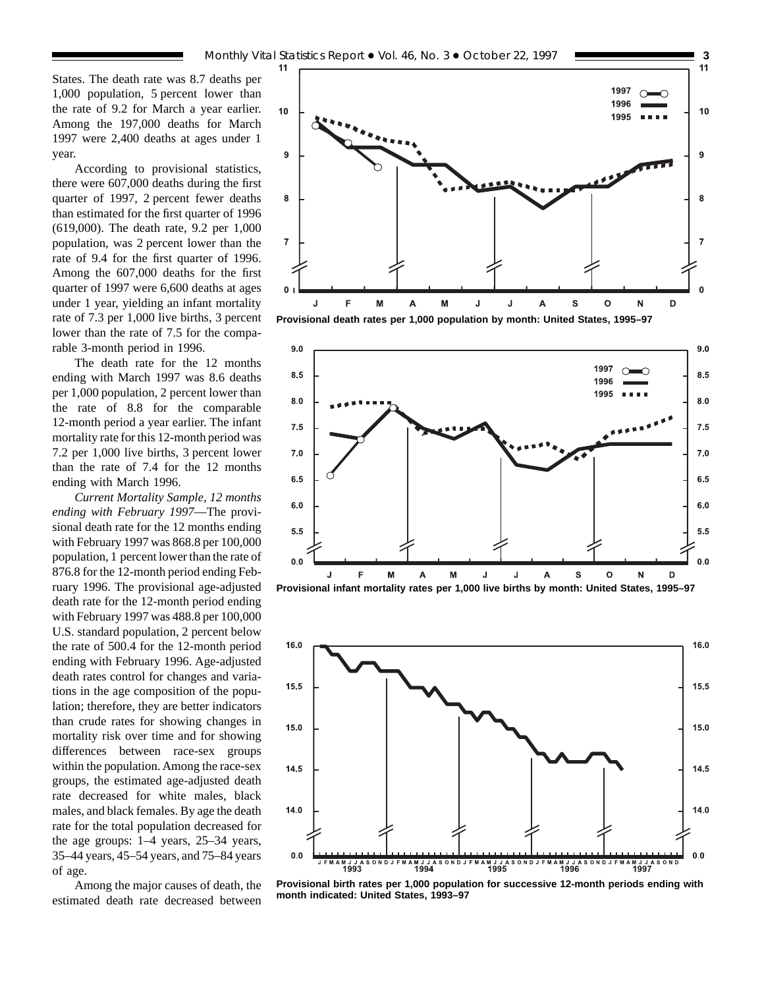According to provisional statistics, there were 607,000 deaths during the first quarter of 1997, 2 percent fewer deaths than estimated for the first quarter of 1996 (619,000). The death rate, 9.2 per 1,000 population, was 2 percent lower than the rate of 9.4 for the first quarter of 1996. Among the 607,000 deaths for the first quarter of 1997 were 6,600 deaths at ages under 1 year, yielding an infant mortality rate of 7.3 per 1,000 live births, 3 percent lower than the rate of 7.5 for the comparable 3-month period in 1996.

The death rate for the 12 months ending with March 1997 was 8.6 deaths per 1,000 population, 2 percent lower than the rate of 8.8 for the comparable 12-month period a year earlier. The infant mortality rate for this 12-month period was 7.2 per 1,000 live births, 3 percent lower than the rate of 7.4 for the 12 months ending with March 1996.

*Current Mortality Sample, 12 months ending with February 1997*—The provisional death rate for the 12 months ending with February 1997 was 868.8 per 100,000 population, 1 percent lower than the rate of 876.8 for the 12-month period ending February 1996. The provisional age-adjusted death rate for the 12-month period ending with February 1997 was 488.8 per 100,000 U.S. standard population, 2 percent below the rate of 500.4 for the 12-month period ending with February 1996. Age-adjusted death rates control for changes and variations in the age composition of the population; therefore, they are better indicators than crude rates for showing changes in mortality risk over time and for showing differences between race-sex groups within the population. Among the race-sex groups, the estimated age-adjusted death rate decreased for white males, black males, and black females. By age the death rate for the total population decreased for the age groups: 1–4 years, 25–34 years, 35–44 years, 45–54 years, and 75–84 years of age.

Among the major causes of death, the estimated death rate decreased between



**Provisional death rates per 1,000 population by month: United States, 1995–97**





**Provisional birth rates per 1,000 population for successive 12-month periods ending with month indicated: United States, 1993–97**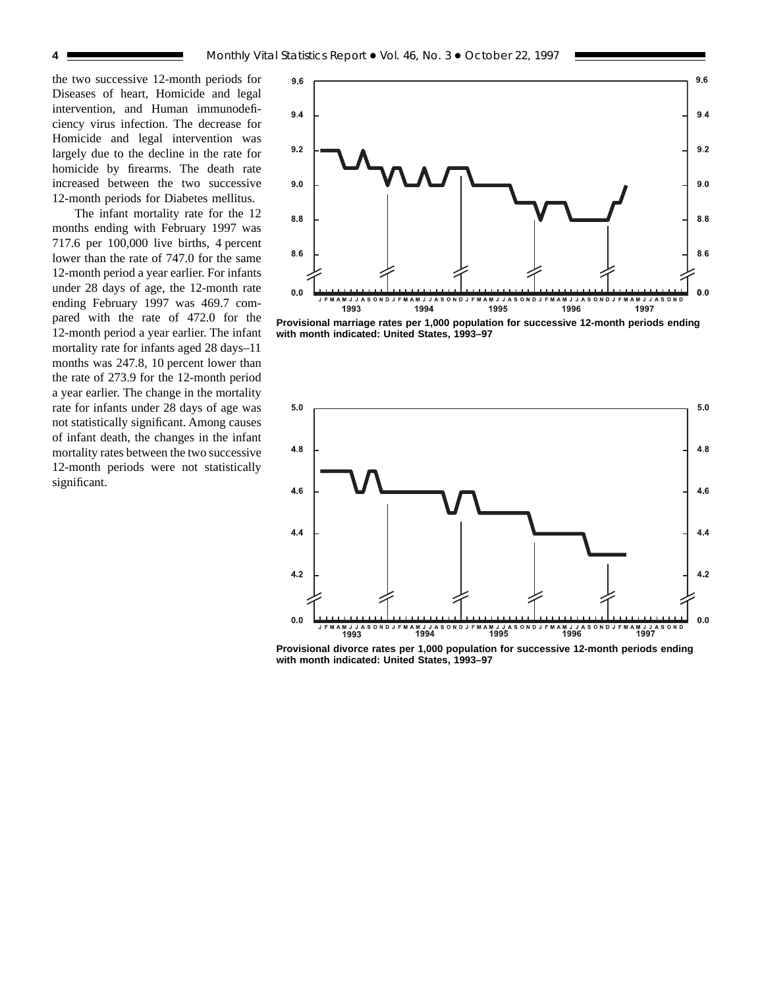the two successive 12-month periods for Diseases of heart, Homicide and legal intervention, and Human immunodeficiency virus infection. The decrease for Homicide and legal intervention was largely due to the decline in the rate for homicide by firearms. The death rate increased between the two successive 12-month periods for Diabetes mellitus.

The infant mortality rate for the 12 months ending with February 1997 was 717.6 per 100,000 live births, 4 percent lower than the rate of 747.0 for the same 12-month period a year earlier. For infants under 28 days of age, the 12-month rate ending February 1997 was 469.7 compared with the rate of 472.0 for the 12-month period a year earlier. The infant mortality rate for infants aged 28 days–11 months was 247.8, 10 percent lower than the rate of 273.9 for the 12-month period a year earlier. The change in the mortality rate for infants under 28 days of age was not statistically significant. Among causes of infant death, the changes in the infant mortality rates between the two successive 12-month periods were not statistically significant.



**Provisional marriage rates per 1,000 population for successive 12-month periods ending with month indicated: United States, 1993–97**



**Provisional divorce rates per 1,000 population for successive 12-month periods ending with month indicated: United States, 1993–97**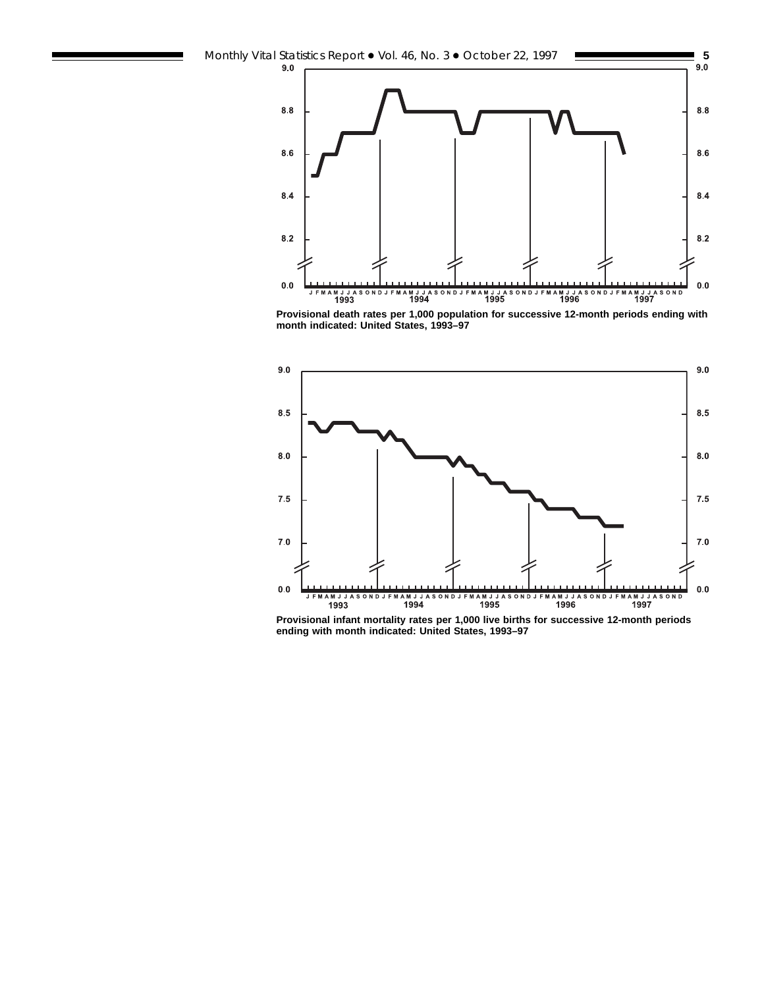

**Provisional death rates per 1,000 population for successive 12-month periods ending with month indicated: United States, 1993–97**



**Provisional infant mortality rates per 1,000 live births for successive 12-month periods ending with month indicated: United States, 1993–97**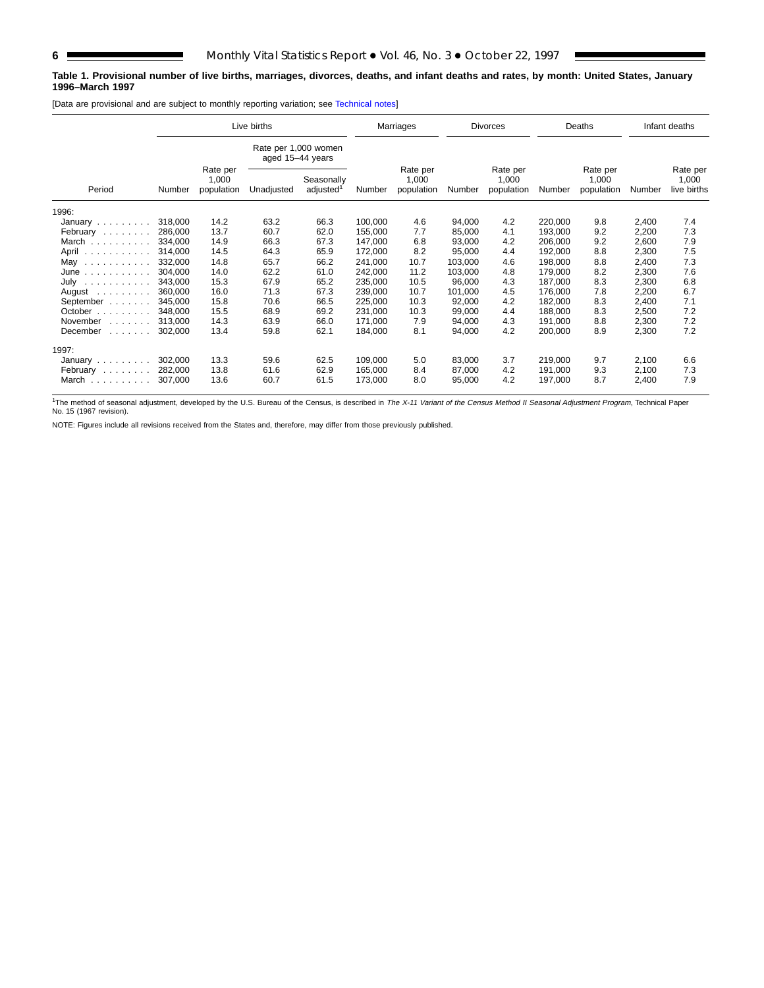Е

#### **Table 1. Provisional number of live births, marriages, divorces, deaths, and infant deaths and rates, by month: United States, January 1996–March 1997**

[Data are provisional and are subject to monthly reporting variation; see [Technical notes\]](#page-16-0)

| Live births                    |         |                                 |                  |                                     | Marriages |                                 | <b>Divorces</b> |                                 | Deaths  |                                 | Infant deaths |                                  |
|--------------------------------|---------|---------------------------------|------------------|-------------------------------------|-----------|---------------------------------|-----------------|---------------------------------|---------|---------------------------------|---------------|----------------------------------|
|                                |         |                                 | aged 15-44 years | Rate per 1,000 women                |           |                                 |                 |                                 |         |                                 |               |                                  |
| Period                         | Number  | Rate per<br>1,000<br>population | Unadjusted       | Seasonally<br>adjusted <sup>1</sup> | Number    | Rate per<br>1,000<br>population | Number          | Rate per<br>1,000<br>population | Number  | Rate per<br>1,000<br>population | Number        | Rate per<br>1,000<br>live births |
| 1996:                          |         |                                 |                  |                                     |           |                                 |                 |                                 |         |                                 |               |                                  |
| January $\ldots \ldots \ldots$ | 318,000 | 14.2                            | 63.2             | 66.3                                | 100.000   | 4.6                             | 94,000          | 4.2                             | 220,000 | 9.8                             | 2,400         | 7.4                              |
| February                       | 286,000 | 13.7                            | 60.7             | 62.0                                | 155,000   | 7.7                             | 85,000          | 4.1                             | 193,000 | 9.2                             | 2,200         | 7.3                              |
| March                          | 334.000 | 14.9                            | 66.3             | 67.3                                | 147,000   | 6.8                             | 93,000          | 4.2                             | 206,000 | 9.2                             | 2,600         | 7.9                              |
| April                          | 314,000 | 14.5                            | 64.3             | 65.9                                | 172,000   | 8.2                             | 95,000          | 4.4                             | 192,000 | 8.8                             | 2,300         | 7.5                              |
| May                            | 332,000 | 14.8                            | 65.7             | 66.2                                | 241,000   | 10.7                            | 103,000         | 4.6                             | 198,000 | 8.8                             | 2,400         | 7.3                              |
| June<br>.                      | 304,000 | 14.0                            | 62.2             | 61.0                                | 242,000   | 11.2                            | 103,000         | 4.8                             | 179,000 | 8.2                             | 2,300         | 7.6                              |
| July $\ldots \ldots \ldots$    | 343,000 | 15.3                            | 67.9             | 65.2                                | 235,000   | 10.5                            | 96,000          | 4.3                             | 187,000 | 8.3                             | 2,300         | 6.8                              |
| August $\ldots$ , $\ldots$     | 360,000 | 16.0                            | 71.3             | 67.3                                | 239,000   | 10.7                            | 101,000         | 4.5                             | 176,000 | 7.8                             | 2,200         | 6.7                              |
| September                      | 345,000 | 15.8                            | 70.6             | 66.5                                | 225,000   | 10.3                            | 92,000          | 4.2                             | 182,000 | 8.3                             | 2,400         | 7.1                              |
| October                        | 348.000 | 15.5                            | 68.9             | 69.2                                | 231,000   | 10.3                            | 99,000          | 4.4                             | 188.000 | 8.3                             | 2,500         | 7.2                              |
| November<br>11111111           | 313,000 | 14.3                            | 63.9             | 66.0                                | 171,000   | 7.9                             | 94,000          | 4.3                             | 191,000 | 8.8                             | 2,300         | 7.2                              |
| December<br>and a straight     | 302,000 | 13.4                            | 59.8             | 62.1                                | 184,000   | 8.1                             | 94,000          | 4.2                             | 200,000 | 8.9                             | 2,300         | 7.2                              |
| 1997:                          |         |                                 |                  |                                     |           |                                 |                 |                                 |         |                                 |               |                                  |
| January $\ldots \ldots$        | 302,000 | 13.3                            | 59.6             | 62.5                                | 109,000   | 5.0                             | 83,000          | 3.7                             | 219,000 | 9.7                             | 2,100         | 6.6                              |
| February                       | 282,000 | 13.8                            | 61.6             | 62.9                                | 165,000   | 8.4                             | 87,000          | 4.2                             | 191,000 | 9.3                             | 2,100         | 7.3                              |
| March                          | 307,000 | 13.6                            | 60.7             | 61.5                                | 173,000   | 8.0                             | 95,000          | 4.2                             | 197,000 | 8.7                             | 2,400         | 7.9                              |

<sup>1</sup>The method of seasonal adjustment, developed by the U.S. Bureau of the Census, is described in The X-11 Variant of the Census Method II Seasonal Adjustment Program, Technical Paper No. 15 (1967 revision).

NOTE: Figures include all revisions received from the States and, therefore, may differ from those previously published.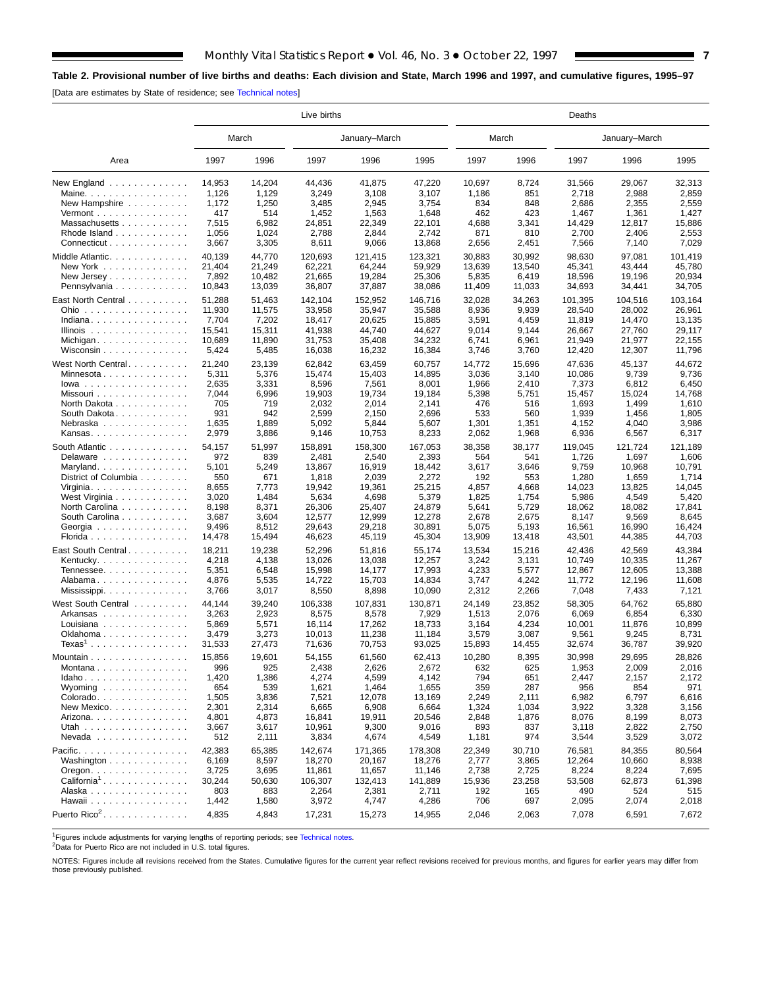## <span id="page-6-0"></span>**Table 2. Provisional number of live births and deaths: Each division and State, March 1996 and 1997, and cumulative figures, 1995–97**

[Data are estimates by State of residence; see [Technical notes\]](#page-16-0)

|                                                    |        |        | Live births |               |         | Deaths |        |         |               |         |  |
|----------------------------------------------------|--------|--------|-------------|---------------|---------|--------|--------|---------|---------------|---------|--|
|                                                    |        | March  |             | January-March |         | March  |        |         | January-March |         |  |
| Area                                               | 1997   | 1996   | 1997        | 1996          | 1995    | 1997   | 1996   | 1997    | 1996          | 1995    |  |
| New England $\ldots$                               | 14,953 | 14,204 | 44,436      | 41,875        | 47,220  | 10,697 | 8,724  | 31,566  | 29,067        | 32,313  |  |
| Maine.                                             | 1,126  | 1,129  | 3,249       | 3,108         | 3,107   | 1,186  | 851    | 2,718   | 2,988         | 2,859   |  |
| New Hampshire                                      | 1,172  | 1,250  | 3,485       | 2,945         | 3,754   | 834    | 848    | 2,686   | 2,355         | 2,559   |  |
| Vermont $\dots\dots\dots\dots\dots\dots$           | 417    | 514    | 1,452       | 1,563         | 1,648   | 462    | 423    | 1,467   | 1,361         | 1,427   |  |
| Massachusetts                                      | 7,515  | 6,982  | 24,851      | 22,349        | 22,101  | 4,688  | 3,341  | 14,429  | 12,817        | 15,886  |  |
| Rhode Island                                       | 1,056  | 1,024  | 2,788       | 2,844         | 2,742   | 871    | 810    | 2,700   | 2,406         | 2,553   |  |
| Connecticut                                        | 3,667  | 3,305  | 8,611       | 9,066         | 13,868  | 2,656  | 2,451  | 7,566   | 7,140         | 7,029   |  |
| Middle Atlantic                                    | 40,139 | 44,770 | 120,693     | 121,415       | 123.321 | 30,883 | 30,992 | 98,630  | 97,081        | 101,419 |  |
| New York                                           | 21,404 | 21,249 | 62,221      | 64,244        | 59,929  | 13,639 | 13,540 | 45,341  | 43,444        | 45,780  |  |
| New Jersey                                         | 7,892  | 10,482 | 21,665      | 19,284        | 25,306  | 5,835  | 6,419  | 18,596  | 19,196        | 20,934  |  |
| Pennsylvania                                       | 10,843 | 13,039 | 36,807      | 37,887        | 38,086  | 11,409 | 11,033 | 34,693  | 34,441        | 34,705  |  |
| East North Central                                 | 51,288 | 51,463 | 142,104     | 152,952       | 146,716 | 32,028 | 34,263 | 101,395 | 104,516       | 103,164 |  |
| Ohio                                               | 11,930 | 11,575 | 33,958      | 35,947        | 35,588  | 8,936  | 9,939  | 28,540  | 28,002        | 26,961  |  |
| Indiana                                            | 7,704  | 7,202  | 18,417      | 20,625        | 15,885  | 3,591  | 4,459  | 11,819  | 14,470        | 13,135  |  |
| Illinois $\ldots \ldots \ldots \ldots$             | 15,541 | 15,311 | 41,938      | 44,740        | 44,627  | 9,014  | 9,144  | 26,667  | 27,760        | 29,117  |  |
| Michigan                                           | 10,689 | 11,890 | 31,753      | 35,408        | 34,232  | 6,741  | 6,961  | 21,949  | 21,977        | 22,155  |  |
| Wisconsin                                          | 5,424  | 5,485  | 16,038      | 16,232        | 16,384  | 3,746  | 3,760  | 12,420  | 12,307        | 11,796  |  |
| West North Central                                 | 21,240 | 23,139 | 62,842      | 63,459        | 60,757  | 14,772 | 15,696 | 47,636  | 45,137        | 44,672  |  |
| Minnesota                                          | 5,311  | 5,376  | 15,474      | 15,403        | 14,895  | 3,036  | 3,140  | 10,086  | 9,739         | 9,736   |  |
| $lowa \dots \dots \dots \dots \dots \dots$         | 2,635  | 3,331  | 8,596       | 7,561         | 8,001   | 1,966  | 2,410  | 7,373   | 6,812         | 6,450   |  |
| Missouri                                           | 7,044  | 6,996  | 19,903      | 19,734        | 19,184  | 5,398  | 5,751  | 15,457  | 15,024        | 14,768  |  |
| North Dakota                                       | 705    | 719    | 2,032       | 2,014         | 2,141   | 476    | 516    | 1,693   | 1,499         | 1,610   |  |
| South Dakota                                       | 931    | 942    | 2,599       | 2,150         | 2,696   | 533    | 560    | 1,939   | 1,456         | 1,805   |  |
| Nebraska                                           | 1,635  | 1,889  | 5,092       | 5,844         | 5,607   | 1,301  | 1,351  | 4,152   | 4,040         | 3,986   |  |
| Kansas                                             | 2,979  | 3,886  | 9,146       | 10,753        | 8,233   | 2,062  | 1,968  | 6,936   | 6,567         | 6,317   |  |
| South Atlantic                                     | 54,157 | 51,997 | 158,891     | 158,300       | 167,053 | 38,358 | 38,177 | 119,045 | 121,724       | 121,189 |  |
| Delaware                                           | 972    | 839    | 2,481       | 2,540         | 2,393   | 564    | 541    | 1,726   | 1,697         | 1,606   |  |
| Maryland                                           | 5,101  | 5,249  | 13,867      | 16,919        | 18,442  | 3,617  | 3,646  | 9,759   | 10,968        | 10,791  |  |
| District of Columbia                               | 550    | 671    | 1,818       | 2,039         | 2,272   | 192    | 553    | 1,280   | 1,659         | 1,714   |  |
| Virginia                                           | 8,655  | 7,773  | 19,942      | 19,361        | 25,215  | 4,857  | 4,668  | 14,023  | 13,825        | 14,045  |  |
| West Virginia                                      | 3,020  | 1,484  | 5,634       | 4,698         | 5,379   | 1,825  | 1,754  | 5,986   | 4,549         | 5,420   |  |
| North Carolina                                     | 8,198  | 8,371  | 26,306      | 25,407        | 24,879  | 5,641  | 5,729  | 18,062  | 18,082        | 17,841  |  |
| South Carolina                                     | 3,687  | 3,604  | 12,577      | 12,999        | 12,278  | 2,678  | 2,675  | 8,147   | 9,569         | 8,645   |  |
| Georgia                                            | 9,496  | 8,512  | 29,643      | 29,218        | 30,891  | 5,075  | 5,193  | 16,561  | 16,990        | 16,424  |  |
| Florida                                            | 14,478 | 15,494 | 46,623      | 45,119        | 45,304  | 13,909 | 13,418 | 43,501  | 44,385        | 44,703  |  |
| East South Central                                 | 18,211 | 19,238 | 52,296      | 51,816        | 55,174  | 13,534 | 15,216 | 42,436  | 42,569        | 43,384  |  |
| Kentucky.                                          | 4,218  | 4,138  | 13,026      | 13,038        | 12,257  | 3,242  | 3,131  | 10,749  | 10,335        | 11,267  |  |
| Tennessee                                          | 5,351  | 6,548  | 15,998      | 14,177        | 17,993  | 4,233  | 5,577  | 12,867  | 12,605        | 13,388  |  |
| Alabama                                            | 4,876  | 5,535  | 14,722      | 15,703        | 14,834  | 3,747  | 4,242  | 11,772  | 12,196        | 11,608  |  |
| Mississippi                                        | 3,766  | 3,017  | 8,550       | 8,898         | 10,090  | 2,312  | 2,266  | 7,048   | 7,433         | 7,121   |  |
| West South Central                                 | 44,144 | 39,240 | 106,338     | 107,831       | 130,871 | 24,149 | 23,852 | 58,305  | 64,762        | 65,880  |  |
| Arkansas                                           | 3,263  | 2,923  | 8,575       | 8,578         | 7,929   | 1,513  | 2,076  | 6,069   | 6,854         | 6,330   |  |
| Louisiana                                          | 5,869  | 5,571  | 16,114      | 17,262        | 18,733  | 3,164  | 4,234  | 10,001  | 11,876        | 10,899  |  |
| Oklahoma                                           | 3,479  | 3,273  | 10,013      | 11,238        | 11,184  | 3,579  | 3,087  | 9,561   | 9,245         | 8,731   |  |
| $\textsf{Texas}^1$                                 | 31,533 | 27,473 | 71,636      | 70,753        | 93,025  | 15,893 | 14,455 | 32,674  | 36,787        | 39,920  |  |
| Mountain $\ldots$ , $\ldots$ , $\ldots$ , $\ldots$ | 15,856 | 19,601 | 54,155      | 61,560        | 62,413  | 10,280 | 8,395  | 30,998  | 29,695        | 28,826  |  |
| Montana                                            | 996    | 925    | 2,438       | 2,626         | 2,672   | 632    | 625    | 1,953   | 2,009         | 2,016   |  |
| Idaho                                              | 1,420  | 1,386  | 4,274       | 4,599         | 4,142   | 794    | 651    | 2,447   | 2,157         | 2,172   |  |
| Wyoming $\ldots$ , $\ldots$ , $\ldots$             | 654    | 539    | 1,621       | 1,464         | 1,655   | 359    | 287    | 956     | 854           | 971     |  |
| Colorado                                           | 1,505  | 3,836  | 7,521       | 12,078        | 13,169  | 2,249  | 2,111  | 6,982   | 6,797         | 6,616   |  |
| New Mexico                                         | 2,301  | 2,314  | 6,665       | 6,908         | 6,664   | 1,324  | 1,034  | 3,922   | 3,328         | 3,156   |  |
| Arizona. $\ldots$ .                                | 4,801  | 4,873  | 16,841      | 19,911        | 20,546  | 2,848  | 1,876  | 8,076   | 8,199         | 8,073   |  |
| Utah                                               | 3,667  | 3,617  | 10,961      | 9,300         | 9,016   | 893    | 837    | 3,118   | 2,822         | 2,750   |  |
| $N$ evada                                          | 512    | 2,111  | 3,834       | 4,674         | 4,549   | 1,181  | 974    | 3,544   | 3,529         | 3,072   |  |
| Pacific.                                           | 42.383 | 65,385 | 142,674     | 171,365       | 178,308 | 22,349 | 30,710 | 76,581  | 84,355        | 80,564  |  |
| Washington                                         | 6,169  | 8,597  | 18,270      | 20,167        | 18,276  | 2,777  | 3,865  | 12,264  | 10,660        | 8,938   |  |
| Oregon. $\ldots$ .                                 | 3,725  | 3,695  | 11,861      | 11,657        | 11,146  | 2,738  | 2,725  | 8,224   | 8,224         | 7,695   |  |
| $California1$                                      | 30,244 | 50,630 | 106,307     | 132,413       | 141,889 | 15,936 | 23,258 | 53,508  | 62,873        | 61,398  |  |
| Alaska                                             | 803    | 883    | 2,264       | 2,381         | 2,711   | 192    | 165    | 490     | 524           | 515     |  |
| Hawaii                                             | 1,442  | 1,580  | 3,972       | 4,747         | 4,286   | 706    | 697    | 2,095   | 2,074         | 2,018   |  |
| Puerto Rico <sup>2</sup> .                         | 4,835  | 4,843  | 17,231      | 15,273        | 14,955  | 2,046  | 2,063  | 7,078   | 6,591         | 7,672   |  |

<sup>1</sup>Figures include adjustments for varying lengths of reporting periods; see [Technical notes.](#page-16-0)<br><sup>2</sup>Data for Puerto Rico are not included in U.S. total figures.

NOTES: Figures include all revisions received from the States. Cumulative figures for the current year reflect revisions received for previous months, and figures for earlier years may differ from those previously published.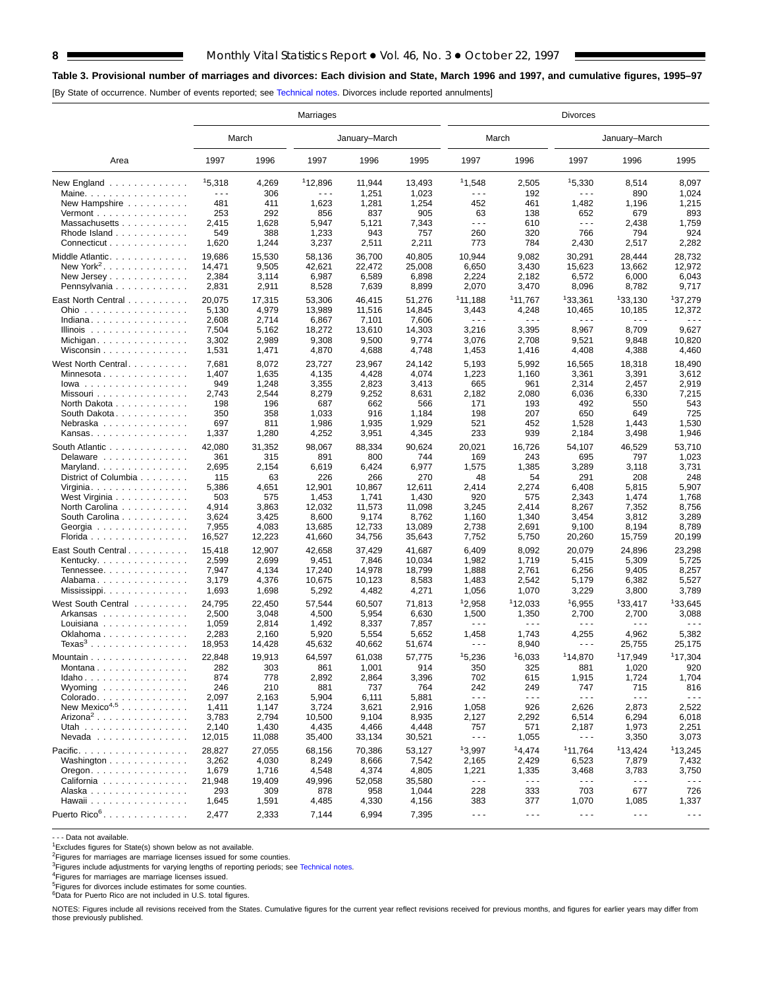## **8** Monthly Vital Statistics Report  $\bullet$  Vol. 46, No. 3  $\bullet$  October 22, 1997

**F** 

## **Table 3. Provisional number of marriages and divorces: Each division and State, March 1996 and 1997, and cumulative figures, 1995–97**

[By State of occurrence. Number of events reported; see [Technical notes. Div](#page-16-0)orces include reported annulments]

|                                             |                      |                 | Marriages           |                  |                 |                               |                                                                                                                                                                                                                                                                                                                                                                                                       | <b>Divorces</b>      |                                |                      |
|---------------------------------------------|----------------------|-----------------|---------------------|------------------|-----------------|-------------------------------|-------------------------------------------------------------------------------------------------------------------------------------------------------------------------------------------------------------------------------------------------------------------------------------------------------------------------------------------------------------------------------------------------------|----------------------|--------------------------------|----------------------|
|                                             |                      | March           |                     | January–March    |                 |                               | March                                                                                                                                                                                                                                                                                                                                                                                                 |                      | January-March                  |                      |
| Area                                        | 1997                 | 1996            | 1997                | 1996             | 1995            | 1997                          | 1996                                                                                                                                                                                                                                                                                                                                                                                                  | 1997                 | 1996                           | 1995                 |
| New England                                 | 15,318               | 4,269           | <sup>1</sup> 12,896 | 11,944           | 13,493          | 11,548                        | 2,505                                                                                                                                                                                                                                                                                                                                                                                                 | 15,330               | 8,514                          | 8,097                |
| Maine.                                      | $\sim$ $\sim$ $\sim$ | 306             | .                   | 1,251            | 1,023           | .                             | 192                                                                                                                                                                                                                                                                                                                                                                                                   | .                    | 890                            | 1,024                |
| New Hampshire                               | 481                  | 411             | 1,623               | 1,281            | 1,254           | 452                           | 461                                                                                                                                                                                                                                                                                                                                                                                                   | 1,482                | 1,196                          | 1,215                |
| Vermont $\dots\dots\dots\dots\dots\dots$    | 253                  | 292             | 856                 | 837              | 905             | 63                            | 138                                                                                                                                                                                                                                                                                                                                                                                                   | 652                  | 679                            | 893                  |
| Massachusetts                               | 2,415                | 1,628           | 5,947               | 5,121            | 7,343           | $- - -$                       | 610                                                                                                                                                                                                                                                                                                                                                                                                   | $\sim$ $\sim$ $\sim$ | 2,438                          | 1,759                |
| Rhode Island                                | 549                  | 388             | 1,233               | 943              | 757             | 260                           | 320                                                                                                                                                                                                                                                                                                                                                                                                   | 766                  | 794                            | 924                  |
| Connecticut                                 | 1,620                | 1,244           | 3,237               | 2,511            | 2,211           | 773                           | 784                                                                                                                                                                                                                                                                                                                                                                                                   | 2,430                | 2,517                          | 2,282                |
| Middle Atlantic.                            | 19,686               | 15,530          | 58,136              | 36,700           | 40.805          | 10,944                        | 9,082                                                                                                                                                                                                                                                                                                                                                                                                 | 30,291               | 28,444                         | 28,732               |
| New York <sup>2</sup> . $\ldots$            | 14,471               | 9,505           | 42,621              | 22,472           | 25,008          | 6,650                         | 3,430                                                                                                                                                                                                                                                                                                                                                                                                 | 15,623               | 13,662                         | 12,972               |
| New Jersey                                  | 2,384                | 3,114           | 6,987               | 6,589            | 6,898           | 2,224                         | 2,182                                                                                                                                                                                                                                                                                                                                                                                                 | 6,572                | 6,000                          | 6,043                |
| Pennsylvania                                | 2,831                | 2,911           | 8,528               | 7,639            | 8,899           | 2,070                         | 3,470                                                                                                                                                                                                                                                                                                                                                                                                 | 8,096                | 8,782                          | 9,717                |
|                                             |                      |                 |                     |                  |                 | 111,188                       | <sup>1</sup> 11,767                                                                                                                                                                                                                                                                                                                                                                                   | 133,361              | 133,130                        | 137,279              |
| East North Central                          | 20,075               | 17,315<br>4,979 | 53,306<br>13,989    | 46,415<br>11,516 | 51,276          |                               |                                                                                                                                                                                                                                                                                                                                                                                                       | 10,465               |                                | 12,372               |
| Ohio<br>Indiana                             | 5,130<br>2,608       | 2,714           |                     | 7,101            | 14,845<br>7,606 | 3,443<br>$\sim$ $\sim$ $\sim$ | 4,248<br>$\frac{1}{2} \frac{1}{2} \frac{1}{2} \frac{1}{2} \frac{1}{2} \frac{1}{2} \frac{1}{2} \frac{1}{2} \frac{1}{2} \frac{1}{2} \frac{1}{2} \frac{1}{2} \frac{1}{2} \frac{1}{2} \frac{1}{2} \frac{1}{2} \frac{1}{2} \frac{1}{2} \frac{1}{2} \frac{1}{2} \frac{1}{2} \frac{1}{2} \frac{1}{2} \frac{1}{2} \frac{1}{2} \frac{1}{2} \frac{1}{2} \frac{1}{2} \frac{1}{2} \frac{1}{2} \frac{1}{2} \frac{$ | $- - -$              | 10,185<br>$\sim$ $\sim$ $\sim$ | - - -                |
|                                             | 7,504                |                 | 6,867               | 13,610           |                 | 3,216                         | 3,395                                                                                                                                                                                                                                                                                                                                                                                                 | 8,967                | 8,709                          | 9,627                |
| Illinois $\ldots \ldots \ldots \ldots$      |                      | 5,162           | 18,272              |                  | 14,303          |                               |                                                                                                                                                                                                                                                                                                                                                                                                       |                      |                                |                      |
| Michigan                                    | 3,302                | 2,989           | 9,308               | 9,500            | 9,774           | 3,076                         | 2,708                                                                                                                                                                                                                                                                                                                                                                                                 | 9,521                | 9,848                          | 10,820               |
| Wisconsin $\ldots$                          | 1,531                | 1,471           | 4,870               | 4,688            | 4,748           | 1,453                         | 1,416                                                                                                                                                                                                                                                                                                                                                                                                 | 4,408                | 4,388                          | 4,460                |
| West North Central.                         | 7,681                | 8,072           | 23,727              | 23,967           | 24,142          | 5,193                         | 5,992                                                                                                                                                                                                                                                                                                                                                                                                 | 16,565               | 18,318                         | 18,490               |
| Minnesota                                   | 1,407                | 1,635           | 4,135               | 4,428            | 4,074           | 1,223                         | 1,160                                                                                                                                                                                                                                                                                                                                                                                                 | 3,361                | 3,391                          | 3,612                |
| $lowa$                                      | 949                  | 1,248           | 3,355               | 2,823            | 3,413           | 665                           | 961                                                                                                                                                                                                                                                                                                                                                                                                   | 2,314                | 2,457                          | 2,919                |
| Missouri                                    | 2,743                | 2,544           | 8,279               | 9,252            | 8,631           | 2,182                         | 2,080                                                                                                                                                                                                                                                                                                                                                                                                 | 6,036                | 6,330                          | 7,215                |
| North Dakota                                | 198                  | 196             | 687                 | 662              | 566             | 171                           | 193                                                                                                                                                                                                                                                                                                                                                                                                   | 492                  | 550                            | 543                  |
| South Dakota.                               | 350                  | 358             | 1,033               | 916              | 1,184           | 198                           | 207                                                                                                                                                                                                                                                                                                                                                                                                   | 650                  | 649                            | 725                  |
| Nebraska                                    | 697                  | 811             | 1,986               | 1,935            | 1,929           | 521                           | 452                                                                                                                                                                                                                                                                                                                                                                                                   | 1,528                | 1,443                          | 1,530                |
| Kansas                                      | 1,337                | 1,280           | 4,252               | 3,951            | 4,345           | 233                           | 939                                                                                                                                                                                                                                                                                                                                                                                                   | 2,184                | 3,498                          | 1,946                |
|                                             |                      |                 |                     |                  |                 |                               |                                                                                                                                                                                                                                                                                                                                                                                                       |                      |                                |                      |
| South Atlantic                              | 42,080               | 31,352          | 98,067              | 88,334           | 90,624          | 20,021                        | 16,726                                                                                                                                                                                                                                                                                                                                                                                                | 54,107               | 46,529                         | 53,710               |
| Delaware                                    | 361                  | 315             | 891                 | 800              | 744             | 169                           | 243                                                                                                                                                                                                                                                                                                                                                                                                   | 695                  | 797                            | 1,023                |
| Maryland                                    | 2,695                | 2,154           | 6,619               | 6,424            | 6,977           | 1,575                         | 1,385                                                                                                                                                                                                                                                                                                                                                                                                 | 3,289                | 3,118                          | 3,731                |
| District of Columbia                        | 115                  | 63              | 226                 | 266              | 270             | 48                            | 54                                                                                                                                                                                                                                                                                                                                                                                                    | 291                  | 208                            | 248                  |
| Virginia                                    | 5,386                | 4,651           | 12,901              | 10,867           | 12,611          | 2,414                         | 2,274                                                                                                                                                                                                                                                                                                                                                                                                 | 6,408                | 5,815                          | 5,907                |
| West Virginia                               | 503                  | 575             | 1,453               | 1,741            | 1,430           | 920                           | 575                                                                                                                                                                                                                                                                                                                                                                                                   | 2,343                | 1,474                          | 1,768                |
| North Carolina                              | 4,914                | 3,863           | 12,032              | 11,573           | 11,098          | 3,245                         | 2,414                                                                                                                                                                                                                                                                                                                                                                                                 | 8,267                | 7,352                          | 8,756                |
| South Carolina                              | 3,624                | 3,425           | 8,600               | 9,174            | 8,762           | 1,160                         | 1,340                                                                                                                                                                                                                                                                                                                                                                                                 | 3,454                | 3,812                          | 3,289                |
| Georgia                                     | 7,955                | 4,083           | 13,685              | 12,733           | 13,089          | 2,738                         | 2,691                                                                                                                                                                                                                                                                                                                                                                                                 | 9,100                | 8,194                          | 8,789                |
| Florida                                     | 16,527               | 12,223          | 41,660              | 34,756           | 35,643          | 7,752                         | 5,750                                                                                                                                                                                                                                                                                                                                                                                                 | 20,260               | 15,759                         | 20,199               |
| East South Central                          | 15,418               | 12,907          | 42,658              | 37,429           | 41,687          | 6,409                         | 8,092                                                                                                                                                                                                                                                                                                                                                                                                 | 20,079               | 24,896                         | 23,298               |
| Kentucky.                                   | 2,599                | 2,699           | 9,451               | 7,846            | 10,034          | 1,982                         | 1,719                                                                                                                                                                                                                                                                                                                                                                                                 | 5,415                | 5,309                          | 5,725                |
| Tennessee                                   | 7,947                | 4,134           | 17,240              | 14,978           | 18,799          | 1,888                         | 2,761                                                                                                                                                                                                                                                                                                                                                                                                 | 6,256                | 9,405                          | 8,257                |
| Alabama                                     | 3,179                | 4,376           | 10,675              | 10,123           | 8,583           | 1,483                         | 2,542                                                                                                                                                                                                                                                                                                                                                                                                 | 5,179                | 6,382                          | 5,527                |
| Mississippi                                 | 1,693                | 1,698           | 5,292               | 4,482            | 4,271           | 1,056                         | 1,070                                                                                                                                                                                                                                                                                                                                                                                                 | 3,229                | 3,800                          | 3,789                |
|                                             |                      |                 |                     |                  |                 |                               |                                                                                                                                                                                                                                                                                                                                                                                                       |                      |                                |                      |
| West South Central                          | 24,795               | 22,450          | 57,544              | 60,507           | 71,813          | 12,958                        | 112,033                                                                                                                                                                                                                                                                                                                                                                                               | 16,955               | 133,417                        | 133,645              |
| Arkansas                                    | 2,500                | 3,048           | 4,500               | 5,954            | 6,630           | 1,500                         | 1,350                                                                                                                                                                                                                                                                                                                                                                                                 | 2,700                | 2,700                          | 3,088                |
| Louisiana                                   | 1,059                | 2,814           | 1,492               | 8,337            | 7,857           | $- - -$                       | $\sim$ $\sim$ $\sim$                                                                                                                                                                                                                                                                                                                                                                                  | $\sim$ $\sim$ $\sim$ | $\sim$ $\sim$ $\sim$           | - - -                |
| Oklahoma                                    | 2,283                | 2,160           | 5,920               | 5,554            | 5,652           | 1,458                         | 1,743                                                                                                                                                                                                                                                                                                                                                                                                 | 4,255                | 4,962                          | 5,382                |
| $Texas3$                                    | 18,953               | 14,428          | 45,632              | 40,662           | 51,674          | $  -$                         | 8,940                                                                                                                                                                                                                                                                                                                                                                                                 | ---                  | 25,755                         | 25,175               |
| Mountain                                    | 22,848               | 19,913          | 64,597              | 61,038           | 57,775          | 15,236                        | 16,033                                                                                                                                                                                                                                                                                                                                                                                                | 114,870              | <sup>1</sup> 17,949            | 117,304              |
| Montana                                     | 282                  | 303             | 861                 | 1,001            | 914             | 350                           | 325                                                                                                                                                                                                                                                                                                                                                                                                   | 881                  | 1,020                          | 920                  |
| Idaho                                       | 874                  | 778             | 2,892               | 2,864            | 3,396           | 702                           | 615                                                                                                                                                                                                                                                                                                                                                                                                   | 1,915                | 1,724                          | 1,704                |
| Wyoming                                     | 246                  | 210             | 881                 | 737              | 764             | 242                           | 249                                                                                                                                                                                                                                                                                                                                                                                                   | 747                  | 715                            | 816                  |
| Colorado                                    | 2,097                | 2,163           | 5,904               | 6,111            | 5,881           | $  -$                         | $  -$                                                                                                                                                                                                                                                                                                                                                                                                 | $\sim$ $\sim$ $\sim$ | $- - -$                        | $\sim$ $\sim$ $\sim$ |
| New Mexico <sup>4,5</sup>                   | 1,411                | 1,147           | 3,724               | 3,621            | 2,916           | 1,058                         | 926                                                                                                                                                                                                                                                                                                                                                                                                   | 2,626                | 2,873                          | 2,522                |
| Arizona <sup>2</sup>                        | 3,783                | 2,794           | 10,500              | 9,104            | 8,935           | 2,127                         | 2,292                                                                                                                                                                                                                                                                                                                                                                                                 | 6,514                | 6,294                          | 6,018                |
| Utah                                        | 2,140                | 1,430           | 4,435               | 4,466            | 4,448           | 757                           | 571                                                                                                                                                                                                                                                                                                                                                                                                   | 2,187                | 1,973                          | 2,251                |
| $N$ evada                                   | 12,015               | 11,088          | 35,400              | 33,134           | 30,521          | $\sim$ - $\sim$               | 1,055                                                                                                                                                                                                                                                                                                                                                                                                 | $\sim$ $\sim$ $\sim$ | 3,350                          | 3,073                |
|                                             |                      |                 |                     |                  |                 |                               |                                                                                                                                                                                                                                                                                                                                                                                                       |                      |                                |                      |
| Pacific.                                    | 28,827               | 27,055          | 68,156              | 70,386           | 53,127          | 13,997                        | 14,474                                                                                                                                                                                                                                                                                                                                                                                                | 11,764               | 113,424                        | 113,245              |
| Washington                                  | 3,262                | 4,030           | 8,249               | 8,666            | 7,542           | 2,165                         | 2,429                                                                                                                                                                                                                                                                                                                                                                                                 | 6,523                | 7,879                          | 7,432                |
| $O$ regon. $\ldots$ . $\ldots$ . $\ldots$ . | 1,679                | 1,716           | 4,548               | 4,374            | 4,805           | 1,221                         | 1,335                                                                                                                                                                                                                                                                                                                                                                                                 | 3,468                | 3,783                          | 3,750                |
| California                                  | 21,948               | 19,409          | 49,996              | 52,058           | 35,580          | $- - -$                       | $- - -$                                                                                                                                                                                                                                                                                                                                                                                               | $\sim$ $\sim$ $\sim$ | $  -$                          | $- - -$              |
| Alaska                                      | 293                  | 309             | 878                 | 958              | 1,044           | 228                           | 333                                                                                                                                                                                                                                                                                                                                                                                                   | 703                  | 677                            | 726                  |
| Hawaii                                      | 1,645                | 1,591           | 4,485               | 4,330            | 4,156           | 383                           | 377                                                                                                                                                                                                                                                                                                                                                                                                   | 1,070                | 1,085                          | 1,337                |
| Puerto Rico <sup>6</sup> .                  | 2,477                | 2,333           | 7,144               | 6,994            | 7,395           | $\sim$ $\sim$ $\sim$          | $\sim$ $\sim$ $\sim$                                                                                                                                                                                                                                                                                                                                                                                  | $\sim$ $\sim$ $\sim$ | $- - -$                        | $\sim$ $\sim$ $\sim$ |

- - - Data not available.

<sup>1</sup>Excludes figures for State(s) shown below as not available.

<sup>2</sup>Figures for marriages are marriage licenses issued for some counties.

<sup>3</sup>Figures include adjustments for varying lengths of reporting periods; see [Technical notes.](#page-16-0)<br><sup>4</sup>Figures for marriages are marriage licenses issued.

<sup>5</sup>Figures for divorces include estimates for some counties.<br><sup>6</sup>Data for Puerto Rico are not included in U.S. total figures.

NOTES: Figures include all revisions received from the States. Cumulative figures for the current year reflect revisions received for previous months, and figures for earlier years may differ from those previously published.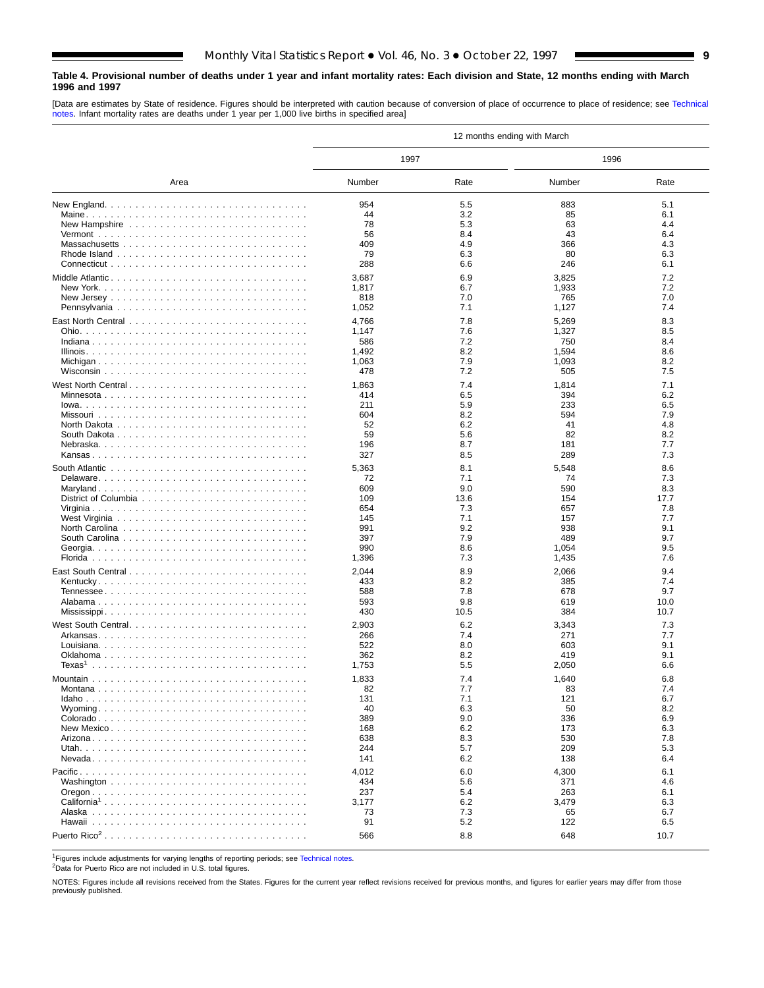#### <span id="page-8-0"></span>**Table 4. Provisional number of deaths under 1 year and infant mortality rates: Each division and State, 12 months ending with March 1996 and 1997**

[Data are estimates by State of residence. Figures should be interpreted with caution because of conversion of place of occurrence to place of residence; see [Technical](#page-16-0) [notes. Infa](#page-16-0)nt mortality rates are deaths under 1 year per 1,000 live births in specified area]

|                         | 12 months ending with March |            |            |            |  |  |  |  |  |  |  |
|-------------------------|-----------------------------|------------|------------|------------|--|--|--|--|--|--|--|
|                         | 1997                        |            | 1996       |            |  |  |  |  |  |  |  |
| Area                    | Number                      | Rate       | Number     | Rate       |  |  |  |  |  |  |  |
|                         | 954                         | 5.5        | 883        | 5.1        |  |  |  |  |  |  |  |
|                         | 44                          | 3.2        | 85         | 6.1        |  |  |  |  |  |  |  |
|                         | 78                          | 5.3        | 63         | 4.4        |  |  |  |  |  |  |  |
|                         | 56                          | 8.4        | 43         | 6.4        |  |  |  |  |  |  |  |
|                         | 409                         | 4.9        | 366        | 4.3        |  |  |  |  |  |  |  |
|                         | 79                          | 6.3        | 80         | 6.3        |  |  |  |  |  |  |  |
|                         | 288                         | 6.6        | 246        | 6.1        |  |  |  |  |  |  |  |
|                         | 3,687                       | 6.9        | 3,825      | 7.2        |  |  |  |  |  |  |  |
|                         | 1,817                       | 6.7        | 1,933      | 7.2        |  |  |  |  |  |  |  |
|                         | 818                         | 7.0        | 765        | 7.0        |  |  |  |  |  |  |  |
|                         | 1,052                       | 7.1        | 1,127      | 7.4        |  |  |  |  |  |  |  |
|                         | 4,766                       | 7.8        | 5,269      | 8.3        |  |  |  |  |  |  |  |
|                         | 1,147                       | 7.6        | 1,327      | 8.5        |  |  |  |  |  |  |  |
|                         | 586                         | 7.2        | 750        | 8.4        |  |  |  |  |  |  |  |
|                         | 1,492                       | 8.2        | 1,594      | 8.6        |  |  |  |  |  |  |  |
|                         | 1,063                       | 7.9        | 1,093      | 8.2        |  |  |  |  |  |  |  |
|                         | 478                         | 7.2        | 505        | 7.5        |  |  |  |  |  |  |  |
| West North Central      | 1,863                       | 7.4        | 1,814      | 7.1        |  |  |  |  |  |  |  |
|                         | 414                         | 6.5        | 394        | 6.2        |  |  |  |  |  |  |  |
|                         | 211                         | 5.9        | 233        | 6.5        |  |  |  |  |  |  |  |
|                         | 604                         | 8.2        | 594        | 7.9        |  |  |  |  |  |  |  |
|                         | 52                          | 6.2        | 41         | 4.8        |  |  |  |  |  |  |  |
|                         | 59                          | 5.6        | 82         | 8.2        |  |  |  |  |  |  |  |
|                         | 196                         | 8.7        | 181        | 7.7        |  |  |  |  |  |  |  |
|                         | 327                         | 8.5        | 289        | 7.3        |  |  |  |  |  |  |  |
|                         | 5,363                       | 8.1        | 5,548      | 8.6        |  |  |  |  |  |  |  |
|                         | 72                          | 7.1        | 74         | 7.3        |  |  |  |  |  |  |  |
|                         | 609                         | 9.0        | 590        | 8.3        |  |  |  |  |  |  |  |
|                         | 109                         | 13.6       | 154        | 17.7       |  |  |  |  |  |  |  |
|                         | 654<br>145                  | 7.3<br>7.1 | 657<br>157 | 7.8<br>7.7 |  |  |  |  |  |  |  |
|                         | 991                         | 9.2        | 938        | 9.1        |  |  |  |  |  |  |  |
|                         | 397                         | 7.9        | 489        | 9.7        |  |  |  |  |  |  |  |
|                         | 990                         | 8.6        | 1,054      | 9.5        |  |  |  |  |  |  |  |
|                         | 1,396                       | 7.3        | 1,435      | 7.6        |  |  |  |  |  |  |  |
|                         | 2,044                       | 8.9        | 2,066      | 9.4        |  |  |  |  |  |  |  |
|                         | 433                         | 8.2        | 385        | 7.4        |  |  |  |  |  |  |  |
|                         | 588                         | 7.8        | 678        | 9.7        |  |  |  |  |  |  |  |
|                         | 593                         | 9.8        | 619        | 10.0       |  |  |  |  |  |  |  |
|                         | 430                         | 10.5       | 384        | 10.7       |  |  |  |  |  |  |  |
|                         | 2,903                       | 6.2        | 3,343      | 7.3        |  |  |  |  |  |  |  |
|                         | 266                         | 7.4        | 271        | 7.7        |  |  |  |  |  |  |  |
|                         | 522                         | 8.0        | 603        | 9.1        |  |  |  |  |  |  |  |
|                         | 362                         | 8.2        | 419        | 9.1        |  |  |  |  |  |  |  |
|                         | 1,753                       | 5.5        | 2,050      | 6.6        |  |  |  |  |  |  |  |
|                         | 1,833                       | 7.4        | 1,640      | 6.8        |  |  |  |  |  |  |  |
| Montana                 | 82                          | 7.7        | 83         | 7.4        |  |  |  |  |  |  |  |
|                         | 131                         | 7.1        | 121        | 6.7        |  |  |  |  |  |  |  |
|                         | 40                          | 6.3        | 50         | 8.2        |  |  |  |  |  |  |  |
|                         | 389                         | 9.0        | 336        | 6.9        |  |  |  |  |  |  |  |
|                         | 168                         | 6.2        | 173        | 6.3        |  |  |  |  |  |  |  |
|                         | 638                         | 8.3        | 530        | 7.8        |  |  |  |  |  |  |  |
|                         | 244                         | 5.7        | 209        | 5.3        |  |  |  |  |  |  |  |
|                         | 141                         | 6.2        | 138        | 6.4        |  |  |  |  |  |  |  |
|                         | 4,012                       | 6.0        | 4,300      | 6.1        |  |  |  |  |  |  |  |
|                         | 434                         | 5.6        | 371        | 4.6        |  |  |  |  |  |  |  |
|                         | 237                         | 5.4        | 263        | 6.1        |  |  |  |  |  |  |  |
| California <sup>1</sup> | 3,177                       | 6.2        | 3,479      | 6.3        |  |  |  |  |  |  |  |
|                         | 73                          | 7.3        | 65         | 6.7        |  |  |  |  |  |  |  |
|                         | 91                          | 5.2        | 122        | 6.5        |  |  |  |  |  |  |  |
|                         | 566                         | 8.8        | 648        | 10.7       |  |  |  |  |  |  |  |

1Figures include adjustments for varying lengths of reporting periods; see [Technical notes.](#page-16-0)

2Data for Puerto Rico are not included in U.S. total figures.

NOTES: Figures include all revisions received from the States. Figures for the current year reflect revisions received for previous months, and figures for earlier years may differ from those previously published.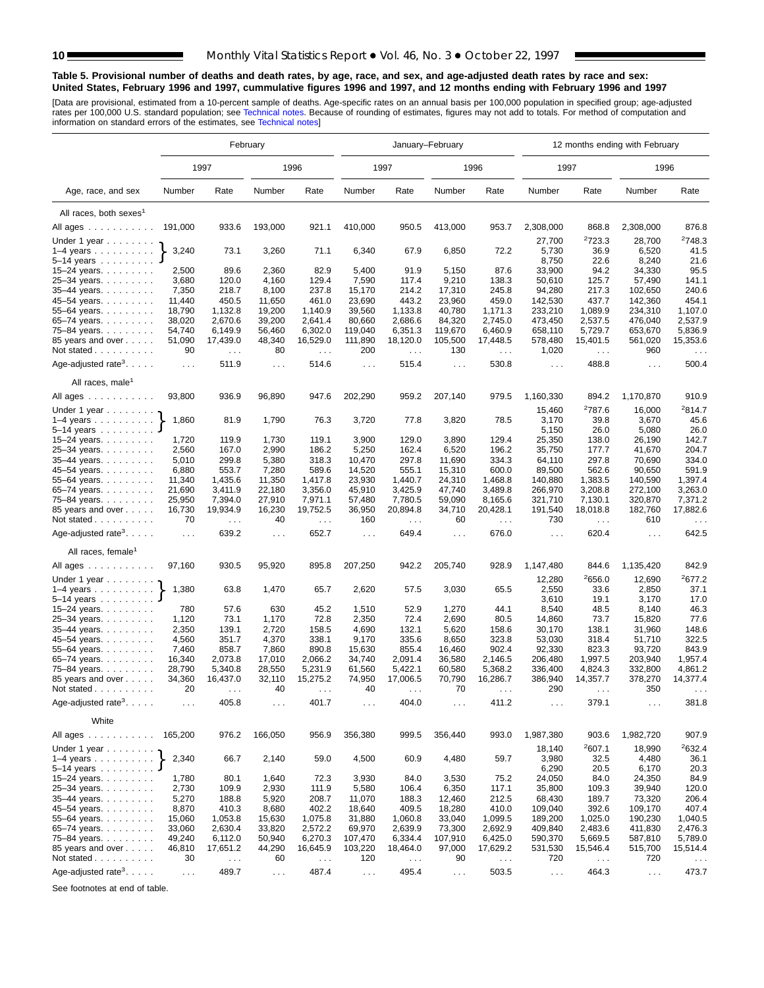#### <span id="page-9-0"></span>**Table 5. Provisional number of deaths and death rates, by age, race, and sex, and age-adjusted death rates by race and sex: United States, February 1996 and 1997, cummulative figures 1996 and 1997, and 12 months ending with February 1996 and 1997**

[Data are provisional, estimated from a 10-[percent sample of deaths.](#page-16-0) Age-specific rates on an annual basis per 100,000 population in specified group; age-adjusted<br>rates per 100,000 U.S. standard population; see Technical n

|                                                                 | February             |                        |                      |                        |                      |                                  | January-February |                           |                      |                        | 12 months ending with February |                             |
|-----------------------------------------------------------------|----------------------|------------------------|----------------------|------------------------|----------------------|----------------------------------|------------------|---------------------------|----------------------|------------------------|--------------------------------|-----------------------------|
|                                                                 |                      | 1997                   |                      | 1996                   |                      | 1997                             |                  | 1996                      | 1997                 |                        | 1996                           |                             |
| Age, race, and sex                                              | Number               | Rate                   | Number               | Rate                   | Number               | Rate                             | Number           | Rate                      | Number               | Rate                   | Number                         | Rate                        |
| All races, both sexes <sup>1</sup>                              |                      |                        |                      |                        |                      |                                  |                  |                           |                      |                        |                                |                             |
| All ages                                                        | 191,000              | 933.6                  | 193,000              | 921.1                  | 410,000              | 950.5                            | 413,000          | 953.7                     | 2,308,000            | 868.8                  | 2,308,000                      | 876.8                       |
|                                                                 |                      |                        |                      |                        |                      |                                  |                  |                           |                      | 2723.3                 | 28,700                         | 2748.3                      |
| Under 1 year                                                    | 3,240                | 73.1                   | 3,260                | 71.1                   | 6,340                | 67.9                             | 6,850            | 72.2                      | 27,700<br>5,730      | 36.9                   | 6,520                          | 41.5                        |
| $1-4$ years $\ldots$ $\ldots$ $\ldots$<br>$5 - 14$ years        |                      |                        |                      |                        |                      |                                  |                  |                           | 8,750                | 22.6                   | 8,240                          | 21.6                        |
| 15-24 years.                                                    | 2,500                | 89.6                   | 2,360                | 82.9                   | 5,400                | 91.9                             | 5,150            | 87.6                      | 33,900               | 94.2                   | 34,330                         | 95.5                        |
| 25-34 years.                                                    | 3,680                | 120.0                  | 4,160                | 129.4                  | 7,590                | 117.4                            | 9,210            | 138.3                     | 50,610               | 125.7                  | 57,490                         | 141.1                       |
| 35-44 years.                                                    | 7,350                | 218.7                  | 8,100                | 237.8                  | 15,170               | 214.2                            | 17,310           | 245.8                     | 94,280               | 217.3                  | 102,650                        | 240.6                       |
| 45-54 years.                                                    | 11,440               | 450.5                  | 11,650               | 461.0                  | 23,690               | 443.2                            | 23,960           | 459.0                     | 142,530              | 437.7                  | 142,360                        | 454.1                       |
| 55-64 years.                                                    | 18,790               | 1,132.8                | 19,200               | 1,140.9                | 39,560               | 1,133.8                          | 40,780           | 1,171.3                   | 233,210              | 1.089.9                | 234,310                        | 1,107.0                     |
| 65-74 years.                                                    | 38,020               | 2,670.6                | 39,200               | 2,641.4                | 80,660               | 2,686.6                          | 84,320           | 2,745.0                   | 473,450              | 2,537.5                | 476,040                        | 2,537.9                     |
| 75-84 years.                                                    | 54,740               | 6,149.9                | 56,460               | 6,302.0                | 119,040              | 6,351.3                          | 119,670          | 6,460.9                   | 658,110              | 5,729.7                | 653,670                        | 5,836.9                     |
| 85 years and over                                               | 51,090<br>90         | 17,439.0               | 48,340               | 16,529.0               | 111,890              | 18,120.0                         | 105,500          | 17,448.5                  | 578,480              | 15,401.5               | 561,020                        | 15,353.6                    |
| Not stated                                                      |                      | $\sim 100$             | 80                   | $\ldots$               | 200                  | $\ldots$                         | 130              | $\sim$ $\sim$             | 1,020                | $\sim$ $\sim$          | 960                            | $\sim$ $\sim$               |
| Age-adjusted rate <sup>3</sup> . $\ldots$ .                     | $\sim 100$           | 511.9                  | $\sim 100$           | 514.6                  | $\sim$ $\sim$ $\sim$ | 515.4                            | $\sim 10$        | 530.8                     | $\sim 100$           | 488.8                  | $\ldots$ .                     | 500.4                       |
| All races, male <sup>1</sup>                                    |                      |                        |                      |                        |                      |                                  |                  |                           |                      |                        |                                |                             |
| All ages                                                        | 93,800               | 936.9                  | 96,890               | 947.6                  | 202,290              | 959.2                            | 207,140          | 979.5                     | 1,160,330            | 894.2<br>2787.6        | 1,170,870                      | 910.9<br>2814.7             |
| Under 1 year<br>$1-4$ years                                     | 1,860                | 81.9                   | 1,790                | 76.3                   | 3,720                | 77.8                             | 3,820            | 78.5                      | 15,460<br>3,170      | 39.8                   | 16,000<br>3,670                | 45.6                        |
| $5-14$ years $\ldots$                                           |                      |                        |                      |                        |                      |                                  |                  |                           | 5,150                | 26.0                   | 5,080                          | 26.0                        |
| 15-24 years.                                                    | 1,720                | 119.9                  | 1,730                | 119.1                  | 3,900                | 129.0                            | 3,890            | 129.4                     | 25,350               | 138.0                  | 26,190                         | 142.7                       |
| 25-34 years.                                                    | 2,560                | 167.0                  | 2,990                | 186.2                  | 5,250                | 162.4                            | 6,520            | 196.2                     | 35,750               | 177.7                  | 41,670                         | 204.7                       |
| 35-44 years.                                                    | 5,010                | 299.8                  | 5,380                | 318.3                  | 10,470               | 297.8                            | 11,690           | 334.3                     | 64,110               | 297.8                  | 70,690                         | 334.0                       |
| 45–54 years.                                                    | 6,880                | 553.7                  | 7,280                | 589.6                  | 14,520               | 555.1                            | 15,310           | 600.0                     | 89,500               | 562.6                  | 90,650                         | 591.9                       |
| 55–64 years. $\ldots$                                           | 11,340               | 1,435.6                | 11,350               | 1,417.8                | 23,930               | 1,440.7                          | 24,310           | 1,468.8                   | 140,880              | 1,383.5                | 140,590                        | 1,397.4                     |
| 65-74 years.                                                    | 21,690               | 3,411.9                | 22,180               | 3,356.0                | 45,910               | 3,425.9                          | 47,740           | 3,489.8                   | 266,970              | 3,208.8                | 272,100                        | 3,263.0                     |
| 75–84 years.                                                    | 25,950               | 7,394.0                | 27,910               | 7,971.1                | 57,480               | 7,780.5                          | 59,090           | 8,165.6                   | 321,710              | 7,130.1                | 320,870                        | 7,371.2                     |
| 85 years and over<br>Not stated                                 | 16,730<br>70         | 19,934.9<br>$\sim 100$ | 16,230<br>40         | 19,752.5<br>$\sim 100$ | 36,950<br>160        | 20,894.8<br>$\sim$ $\sim$ $\sim$ | 34,710<br>60     | 20,428.1<br>$\sim$ $\sim$ | 191,540<br>730       | 18,018.8<br>$\sim 100$ | 182,760<br>610                 | 17,882.6<br>$\sim$ . $\sim$ |
| Age-adjusted rate <sup>3</sup> . $\ldots$ .                     | $\ldots$             | 639.2                  | $\sim 100$           | 652.7                  | $\sim$ $\sim$        | 649.4                            | $\sim$           | 676.0                     | $\sim$ $\sim$        | 620.4                  | $\sim$ $\sim$                  | 642.5                       |
| All races, female                                               |                      |                        |                      |                        |                      |                                  |                  |                           |                      |                        |                                |                             |
| All ages                                                        | 97,160               | 930.5                  | 95,920               | 895.8                  | 207,250              | 942.2                            | 205,740          | 928.9                     | 1,147,480            | 844.6                  | 1,135,420                      | 842.9                       |
| Under 1 year                                                    |                      |                        |                      |                        |                      |                                  |                  |                           | 12,280               | <sup>2</sup> 656.0     | 12,690                         | 2677.2                      |
| $1-4$ years $\ldots$ $\ldots$ $\ldots$ .<br>$5-14$ years        | 1,380                | 63.8                   | 1,470                | 65.7                   | 2,620                | 57.5                             | 3,030            | 65.5                      | 2,550<br>3,610       | 33.6<br>19.1           | 2,850<br>3,170                 | 37.1<br>17.0                |
| 15-24 years.                                                    | 780                  | 57.6                   | 630                  | 45.2                   | 1,510                | 52.9                             | 1,270            | 44.1                      | 8,540                | 48.5                   | 8,140                          | 46.3                        |
| 25-34 years.                                                    | 1,120                | 73.1                   | 1,170                | 72.8                   | 2,350                | 72.4                             | 2,690            | 80.5                      | 14,860               | 73.7                   | 15,820                         | 77.6                        |
| 35-44 years.                                                    | 2,350                | 139.1                  | 2,720                | 158.5                  | 4,690                | 132.1                            | 5,620            | 158.6                     | 30,170               | 138.1                  | 31,960                         | 148.6                       |
| 45–54 years.                                                    | 4,560                | 351.7                  | 4,370                | 338.1                  | 9,170                | 335.6                            | 8,650            | 323.8                     | 53,030               | 318.4                  | 51,710                         | 322.5                       |
| 55-64 years.                                                    | 7,460                | 858.7                  | 7,860                | 890.8                  | 15,630               | 855.4                            | 16,460           | 902.4                     | 92,330               | 823.3                  | 93,720                         | 843.9                       |
| 65-74 years.                                                    | 16,340               | 2,073.8                | 17,010               | 2,066.2                | 34,740               | 2,091.4                          | 36,580           | 2,146.5                   | 206,480              | 1,997.5                | 203,940                        | 1,957.4                     |
| 75–84 years.                                                    | 28,790               | 5,340.8                | 28,550               | 5,231.9                | 61,560               | 5,422.1                          | 60,580           | 5,368.2                   | 336,400              | 4,824.3                | 332,800                        | 4,861.2                     |
| 85 years and over<br>Not stated.<br>and and and and a           | 34,360<br>20         | 16,437.0               | 32,110<br>40         | 15,275.2               | 74,950<br>40         | 17,006.5                         | 70,790<br>70     | 16,286.7                  | 386,940<br>290       | 14,357.7               | 378,270<br>350                 | 14,377.4                    |
| Age-adjusted rate <sup>3</sup> .                                | $\sim$ $\sim$ $\sim$ | 405.8                  | $\sim$ $\sim$ $\sim$ | 401.7                  | $\sim$ $\sim$ $\sim$ | 404.0                            | $\cdots$         | 411.2                     | $\sim$ $\sim$ $\sim$ | 379.1                  | $\sim$                         | 381.8                       |
| White                                                           |                      |                        |                      |                        |                      |                                  |                  |                           |                      |                        |                                |                             |
| All ages                                                        | 165,200              | 976.2                  | 166,050              | 956.9                  | 356,380              | 999.5                            | 356,440          | 993.0                     | 1,987,380            | 903.6                  | 1,982,720                      | 907.9                       |
| Under 1 year $\ldots \ldots$                                    |                      |                        |                      |                        |                      |                                  |                  |                           | 18,140               | 2607.1                 | 18,990                         | 2632.4                      |
| $1-4$ years $\ldots$ $\ldots$ $\ldots$ .<br>5–14 years $\ldots$ | 2,340                | 66.7                   | 2,140                | 59.0                   | 4,500                | 60.9                             | 4,480            | 59.7                      | 3,980<br>6,290       | 32.5<br>20.5           | 4,480<br>6,170                 | 36.1<br>20.3                |
| 15–24 years. $\ldots$                                           | 1,780                | 80.1                   | 1,640                | 72.3                   | 3,930                | 84.0                             | 3,530            | 75.2                      | 24,050               | 84.0                   | 24,350                         | 84.9                        |
| 25-34 years.                                                    | 2,730                | 109.9                  | 2,930                | 111.9                  | 5,580                | 106.4                            | 6,350            | 117.1                     | 35,800               | 109.3                  | 39,940                         | 120.0                       |
| 35-44 years.                                                    | 5,270                | 188.8                  | 5,920                | 208.7                  | 11,070               | 188.3                            | 12,460           | 212.5                     | 68,430               | 189.7                  | 73,320                         | 206.4                       |
| 45-54 years.                                                    | 8,870                | 410.3                  | 8,680                | 402.2                  | 18,640               | 409.5                            | 18,280           | 410.0                     | 109,040              | 392.6                  | 109,170                        | 407.4                       |
| 55-64 years.                                                    | 15,060               | 1,053.8                | 15,630               | 1,075.8                | 31,880               | 1,060.8                          | 33,040           | 1,099.5                   | 189,200              | 1,025.0                | 190,230                        | 1,040.5                     |
| 65-74 years.                                                    | 33,060               | 2,630.4                | 33,820               | 2,572.2                | 69,970               | 2,639.9                          | 73,300           | 2,692.9                   | 409,840              | 2,483.6                | 411,830                        | 2,476.3                     |
| 75-84 years.                                                    | 49,240               | 6,112.0                | 50,940               | 6,270.3                | 107,470              | 6,334.4                          | 107,910          | 6,425.0                   | 590,370              | 5,669.5                | 587,810                        | 5,789.0                     |
| 85 years and over<br>Not stated                                 | 46,810<br>30         | 17,651.2               | 44,290<br>60         | 16,645.9               | 103,220<br>120       | 18,464.0                         | 97,000<br>90     | 17,629.2                  | 531,530<br>720       | 15,546.4               | 515,700<br>720                 | 15,514.4                    |
|                                                                 |                      | $\sim$ $\sim$          |                      | $\sim$ $\sim$          |                      | $\sim$ $\sim$                    |                  | $\sim$ $\sim$             |                      | $\sim$ $\sim$ $\sim$   |                                | $\sim$ $\sim$               |
| Age-adjusted rate <sup>3</sup> . $\ldots$ .                     | $\sim$ $\sim$        | 489.7                  | $\sim 100$           | 487.4                  | $\sim 100$           | 495.4                            | $\sim$ $\sim$    | 503.5                     | $\sim$ $\sim$ $\sim$ | 464.3                  | $\sim 100$                     | 473.7                       |

See footnotes at end of table.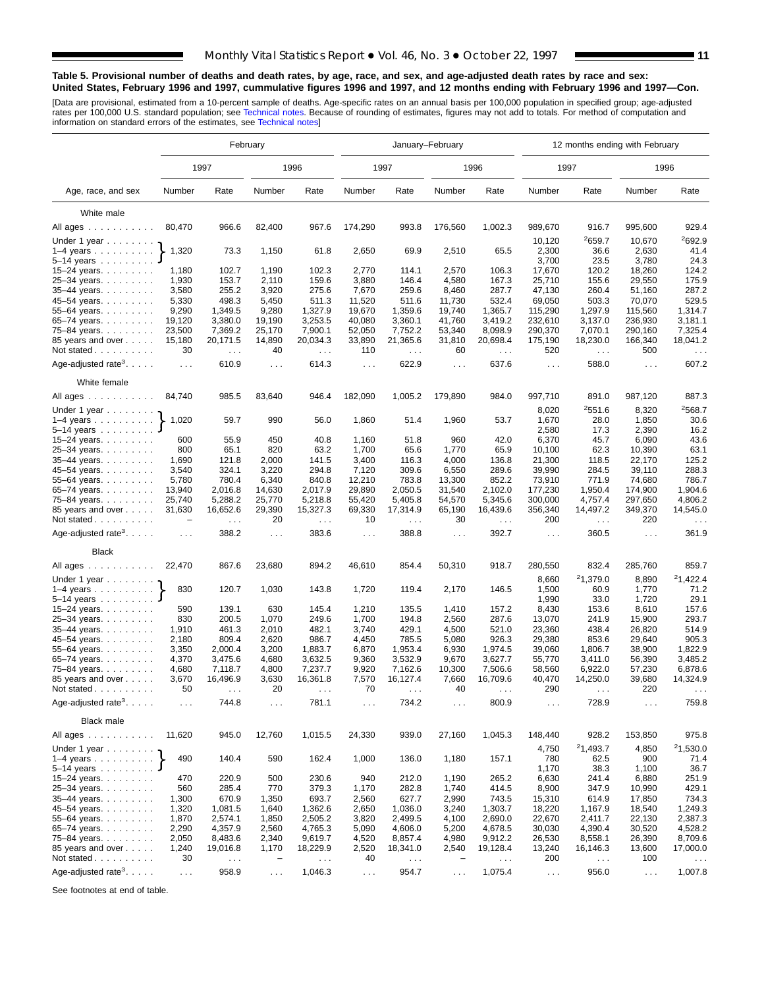#### **Table 5. Provisional number of deaths and death rates, by age, race, and sex, and age-adjusted death rates by race and sex: United States, February 1996 and 1997, cummulative figures 1996 and 1997, and 12 months ending with February 1996 and 1997—Con.**

[Data are provisional, estimated from a 10-percent sample of deaths. Age-specific rates on an annual basis per 100,000 population in specified group; age-adjusted<br>rates per 100,000 U.S. standard population; see Technical n

|                                             | February                           |                                  |                      |                                  |                      |                                  | January-February     |                    |                      | 12 months ending with February   |                    |                                  |
|---------------------------------------------|------------------------------------|----------------------------------|----------------------|----------------------------------|----------------------|----------------------------------|----------------------|--------------------|----------------------|----------------------------------|--------------------|----------------------------------|
|                                             |                                    | 1997                             |                      | 1996                             |                      | 1997                             |                      | 1996               | 1997                 |                                  |                    | 1996                             |
| Age, race, and sex                          | Number                             | Rate                             | Number               | Rate                             | Number               | Rate                             | Number               | Rate               | Number               | Rate                             | Number             | Rate                             |
| White male                                  |                                    |                                  |                      |                                  |                      |                                  |                      |                    |                      |                                  |                    |                                  |
| All ages                                    | 80,470                             | 966.6                            | 82,400               | 967.6                            | 174,290              | 993.8                            | 176,560              | 1,002.3            | 989,670              | 916.7                            | 995,600            | 929.4                            |
| Under 1 year                                |                                    |                                  |                      |                                  |                      |                                  |                      |                    | 10,120               | 2659.7                           | 10,670             | <sup>2</sup> 692.9               |
| $1-4$ years                                 | 1,320                              | 73.3                             | 1,150                | 61.8                             | 2,650                | 69.9                             | 2,510                | 65.5               | 2,300                | 36.6                             | 2,630              | 41.4                             |
| $5 - 14$ years $\ldots$                     |                                    |                                  |                      |                                  |                      |                                  |                      |                    | 3,700                | 23.5                             | 3,780              | 24.3                             |
| $15 - 24$ years.                            | 1,180                              | 102.7                            | 1,190                | 102.3                            | 2,770                | 114.1                            | 2,570                | 106.3              | 17,670               | 120.2                            | 18,260             | 124.2                            |
| 25-34 years.                                | 1,930                              | 153.7                            | 2,110                | 159.6                            | 3,880                | 146.4                            | 4,580                | 167.3              | 25,710               | 155.6                            | 29,550             | 175.9                            |
| 35-44 years.                                | 3,580                              | 255.2                            | 3,920                | 275.6                            | 7,670                | 259.6                            | 8,460                | 287.7              | 47,130               | 260.4                            | 51,160             | 287.2                            |
| 45-54 years.                                | 5,330                              | 498.3                            | 5,450                | 511.3                            | 11,520               | 511.6                            | 11,730               | 532.4              | 69,050               | 503.3                            | 70,070             | 529.5                            |
| 55-64 years.                                | 9,290                              | 1,349.5                          | 9,280                | 1,327.9                          | 19,670               | 1,359.6                          | 19,740               | 1,365.7            | 115,290              | 1,297.9                          | 115,560            | 1,314.7                          |
| 65–74 years. $\ldots$                       | 19,120<br>23,500                   | 3,380.0<br>7,369.2               | 19,190<br>25,170     | 3,253.5<br>7,900.1               | 40,080<br>52,050     | 3,360.1<br>7,752.2               | 41,760<br>53,340     | 3,419.2<br>8,098.9 | 232,610<br>290,370   | 3,137.0<br>7,070.1               | 236,930<br>290,160 | 3,181.1<br>7,325.4               |
| 75-84 years.<br>85 years and over           | 15,180                             | 20,171.5                         | 14,890               | 20,034.3                         | 33,890               | 21,365.6                         | 31,810               | 20,698.4           | 175,190              | 18,230.0                         | 166,340            | 18,041.2                         |
| Not stated                                  | 30                                 | $\sim 100$                       | 40                   | $\sim 100$                       | 110                  | $\sim$ $\sim$ $\sim$             | 60                   | $\sim$ $\sim$      | 520                  | $\sim$ $\sim$                    | 500                | $\sim$ $\sim$                    |
| Age-adjusted rate <sup>3</sup> . $\ldots$ . | $\sim 10$                          | 610.9                            | $\sim 10$            | 614.3                            | $\sim 10$            | 622.9                            | $\sim$ $\sim$ $\sim$ | 637.6              | $\sim 100$           | 588.0                            | $\sim 100$         | 607.2                            |
| White female                                |                                    |                                  |                      |                                  |                      |                                  |                      |                    |                      |                                  |                    |                                  |
| All ages                                    | 84,740                             | 985.5                            | 83,640               | 946.4                            | 182,090              | 1,005.2                          | 179,890              | 984.0              | 997,710              | 891.0                            | 987,120            | 887.3                            |
| Under 1 year $\ldots \ldots$                |                                    |                                  |                      |                                  |                      |                                  |                      |                    | 8,020                | 2551.6                           | 8,320              | 2568.7                           |
| $1-4$ years<br>$5 - 14$ years               | 1,020                              | 59.7                             | 990                  | 56.0                             | 1,860                | 51.4                             | 1,960                | 53.7               | 1,670<br>2,580       | 28.0<br>17.3                     | 1,850<br>2,390     | 30.6<br>16.2                     |
| 15–24 years. $\ldots$                       | 600                                | 55.9                             | 450                  | 40.8                             | 1,160                | 51.8                             | 960                  | 42.0               | 6,370                | 45.7                             | 6,090              | 43.6                             |
| 25-34 years.                                | 800                                | 65.1                             | 820                  | 63.2                             | 1,700                | 65.6                             | 1,770                | 65.9               | 10,100               | 62.3                             | 10,390             | 63.1                             |
| $35 - 44$ years.                            | 1,690                              | 121.8                            | 2,000                | 141.5                            | 3,400                | 116.3                            | 4,000                | 136.8              | 21,300               | 118.5                            | 22,170             | 125.2                            |
| 45-54 years.                                | 3,540                              | 324.1                            | 3,220                | 294.8                            | 7,120                | 309.6                            | 6,550                | 289.6              | 39,990               | 284.5                            | 39,110             | 288.3                            |
| 55-64 years.                                | 5,780                              | 780.4                            | 6,340                | 840.8                            | 12,210               | 783.8                            | 13,300               | 852.2              | 73,910               | 771.9                            | 74,680             | 786.7                            |
| 65-74 years.                                | 13,940                             | 2,016.8                          | 14,630               | 2,017.9                          | 29,890               | 2,050.5                          | 31,540               | 2,102.0            | 177,230              | 1,950.4                          | 174,900            | 1,904.6                          |
| 75-84 years.                                | 25,740                             | 5,288.2                          | 25,770               | 5,218.8                          | 55,420               | 5,405.8                          | 54,570               | 5,345.6            | 300,000              | 4,757.4                          | 297,650            | 4,806.2                          |
| 85 years and over<br>Not stated             | 31,630<br>$\overline{\phantom{0}}$ | 16,652.6<br>$\sim$ $\sim$ $\sim$ | 29,390<br>20         | 15,327.3<br>$\sim$ $\sim$ $\sim$ | 69,330<br>10         | 17,314.9<br>$\sim$ $\sim$ $\sim$ | 65,190<br>30         | 16,439.6<br>$\sim$ | 356,340<br>200       | 14,497.2<br>$\sim$ $\sim$ $\sim$ | 349,370<br>220     | 14,545.0<br>$\sim$ $\sim$ $\sim$ |
| Age-adjusted rate <sup>3</sup> .            | $\ldots$ .                         | 388.2                            | $\sim$ .             | 383.6                            | $\sim$ $\sim$ $\sim$ | 388.8                            | $\cdots$             | 392.7              | $\sim 100$           | 360.5                            | $\sim 100$         | 361.9                            |
| <b>Black</b>                                |                                    |                                  |                      |                                  |                      |                                  |                      |                    |                      |                                  |                    |                                  |
| All ages                                    | 22,470                             | 867.6                            | 23,680               | 894.2                            | 46,610               | 854.4                            | 50,310               | 918.7              | 280,550              | 832.4                            | 285,760            | 859.7                            |
| Under 1 year                                |                                    |                                  |                      |                                  |                      |                                  |                      |                    | 8,660                | <sup>2</sup> 1,379.0             | 8,890              | 21,422.4                         |
| $1-4$ years                                 | 830                                | 120.7                            | 1,030                | 143.8                            | 1,720                | 119.4                            | 2,170                | 146.5              | 1,500                | 60.9                             | 1,770              | 71.2                             |
| $5 - 14$ years $\ldots \ldots$              |                                    |                                  |                      |                                  |                      |                                  |                      |                    | 1,990                | 33.0                             | 1,720              | 29.1                             |
| 15-24 years.                                | 590                                | 139.1                            | 630                  | 145.4                            | 1,210                | 135.5                            | 1,410                | 157.2              | 8,430                | 153.6                            | 8,610              | 157.6                            |
| 25-34 years.                                | 830                                | 200.5                            | 1,070                | 249.6                            | 1,700                | 194.8                            | 2,560                | 287.6              | 13,070               | 241.9                            | 15,900             | 293.7                            |
| 35-44 years.                                | 1,910                              | 461.3                            | 2,010                | 482.1                            | 3,740                | 429.1                            | 4,500                | 521.0              | 23,360               | 438.4                            | 26,820             | 514.9                            |
| 45-54 years.                                | 2,180                              | 809.4<br>2,000.4                 | 2,620                | 986.7<br>1,883.7                 | 4,450<br>6,870       | 785.5<br>1,953.4                 | 5,080<br>6,930       | 926.3<br>1,974.5   | 29,380<br>39,060     | 853.6<br>1,806.7                 | 29,640<br>38,900   | 905.3<br>1,822.9                 |
| 55-64 years.<br>65-74 years.                | 3,350<br>4,370                     | 3,475.6                          | 3,200<br>4,680       | 3,632.5                          | 9,360                | 3,532.9                          | 9,670                | 3,627.7            | 55,770               | 3,411.0                          | 56,390             | 3,485.2                          |
| 75–84 years.                                | 4,680                              | 7,118.7                          | 4,800                | 7,237.7                          | 9,920                | 7,162.6                          | 10,300               | 7,506.6            | 58,560               | 6,922.0                          | 57,230             | 6,878.6                          |
| 85 years and over                           | 3,670                              | 16,496.9                         | 3,630                | 16,361.8                         | 7,570                | 16,127.4                         | 7,660                | 16,709.6           | 40,470               | 14,250.0                         | 39,680             | 14,324.9                         |
| Not stated                                  | 50                                 | $\sim$ $\sim$ $\sim$             | 20                   | $\sim$ $\sim$                    | 70                   | $\sim$ $\sim$ $\sim$             | 40                   | $\sim$ .           | 290                  | $\sim$ $\sim$ $\sim$             | 220                | $\sim$ $\sim$                    |
| Age-adjusted rate <sup>3</sup> .            | $\ldots$                           | 744.8                            | $\sim$ $\sim$ $\sim$ | 781.1                            | $\sim$ $\sim$ $\sim$ | 734.2                            | $\sim$ $\sim$ $\sim$ | 800.9              | $\sim$ $\sim$ $\sim$ | 728.9                            | $\sim$ .           | 759.8                            |
| <b>Black male</b>                           |                                    |                                  |                      |                                  |                      |                                  |                      |                    |                      |                                  |                    |                                  |
| All ages                                    | 11,620                             | 945.0                            | 12,760               | 1,015.5                          | 24,330               | 939.0                            | 27,160               | 1,045.3            | 148,440              | 928.2                            | 153,850            | 975.8                            |
| Under 1 year $\ldots \ldots$                |                                    |                                  |                      |                                  |                      |                                  |                      |                    | 4,750                | 21,493.7                         | 4,850              | 21,530.0                         |
| $1-4$ years                                 | 490                                | 140.4                            | 590                  | 162.4                            | 1,000                | 136.0                            | 1,180                | 157.1              | 780                  | 62.5                             | 900                | 71.4                             |
| $5 - 14$ years                              |                                    |                                  |                      |                                  |                      |                                  |                      |                    | 1,170                | 38.3                             | 1,100              | 36.7                             |
| 15–24 years. $\ldots$                       | 470                                | 220.9                            | 500                  | 230.6                            | 940                  | 212.0                            | 1,190                | 265.2              | 6,630                | 241.4                            | 6,880              | 251.9                            |
| 25-34 years.                                | 560                                | 285.4                            | 770                  | 379.3                            | 1,170                | 282.8                            | 1,740                | 414.5              | 8,900                | 347.9                            | 10,990             | 429.1                            |
| 35-44 years.                                | 1,300                              | 670.9                            | 1,350                | 693.7                            | 2,560                | 627.7                            | 2,990                | 743.5              | 15,310               | 614.9                            | 17,850             | 734.3                            |
| 45-54 years.                                | 1,320                              | 1,081.5                          | 1,640                | 1,362.6<br>2,505.2               | 2,650<br>3,820       | 1,036.0<br>2,499.5               | 3,240                | 1,303.7<br>2,690.0 | 18,220               | 1,167.9<br>2,411.7               | 18,540             | 1,249.3                          |
| 55–64 years. $\ldots$<br>65-74 years.       | 1,870<br>2,290                     | 2,574.1<br>4,357.9               | 1,850<br>2,560       | 4,765.3                          | 5,090                | 4,606.0                          | 4,100<br>5,200       | 4,678.5            | 22,670<br>30,030     | 4,390.4                          | 22,130<br>30,520   | 2,387.3<br>4,528.2               |
| 75-84 years.                                | 2,050                              | 8,483.6                          | 2,340                | 9,619.7                          | 4,520                | 8,857.4                          | 4,980                | 9,912.2            | 26,530               | 8,558.1                          | 26,390             | 8,709.6                          |
| 85 years and over                           | 1,240                              | 19,016.8                         | 1,170                | 18,229.9                         | 2,520                | 18,341.0                         | 2,540                | 19,128.4           | 13,240               | 16,146.3                         | 13,600             | 17,000.0                         |
| Not stated                                  | 30                                 | $\sim$ $\sim$                    |                      | $\sim$ $\sim$                    | 40                   | $\epsilon \rightarrow \infty$    |                      | $\sim$ $\sim$      | 200                  | $\sim$ $\sim$ $\sim$             | 100                | $\sim$ $\sim$ $\sim$             |
|                                             |                                    |                                  |                      |                                  |                      |                                  |                      |                    |                      |                                  |                    |                                  |
| Age-adjusted rate <sup>3</sup> .            | $\sim 100$                         | 958.9                            | $\sim$               | 1,046.3                          | $\sim$ $\sim$        | 954.7                            | $\sim$ $\sim$ $\sim$ | 1,075.4            | $\sim 100$           | 956.0                            | $\sim 100$         | 1,007.8                          |

See footnotes at end of table.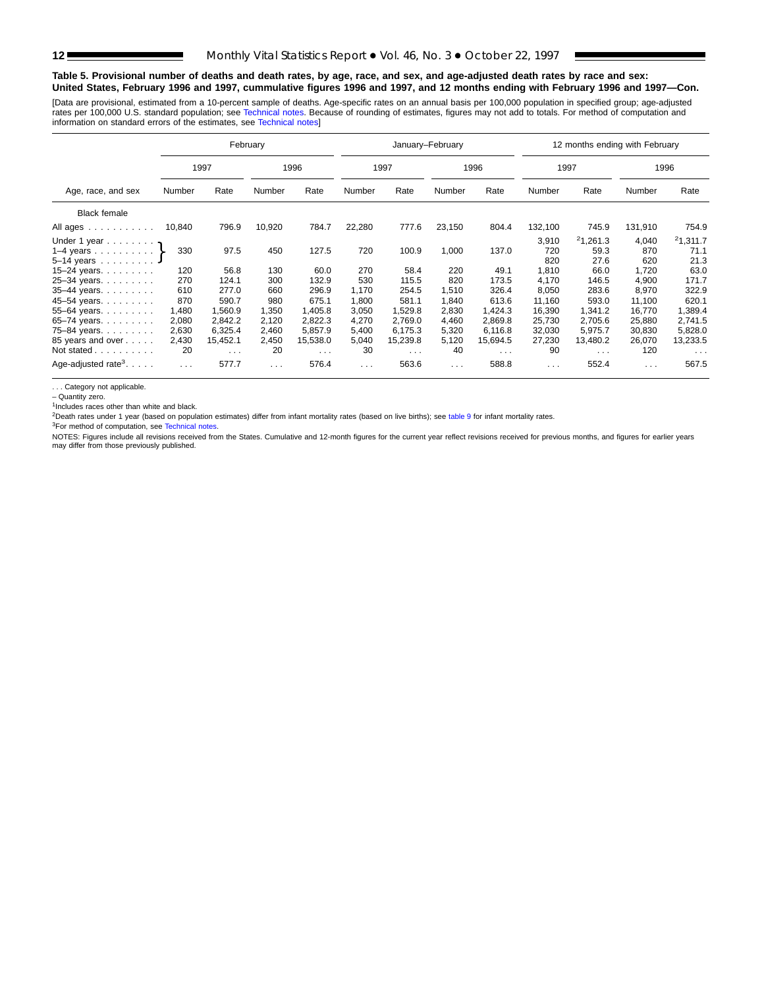#### **Table 5. Provisional number of deaths and death rates, by age, race, and sex, and age-adjusted death rates by race and sex: United States, February 1996 and 1997, cummulative figures 1996 and 1997, and 12 months ending with February 1996 and 1997—Con.**

[Data are provisional, estimated from a 10-percent sample of deaths. Age-specific rates on an annual basis per 100,000 population in specified group; age-adjusted rates per 100,000 U.S. standard population; see [Technical notes. Becaus](#page-16-0)e of rounding of estimates, figures may not add to totals. For method of computation and<br>information on standard errors of the estimates, see Technical

| February                                                                                              |                         |                               |                         |                                  |                         |                               | January-February        |                                  |                              | 12 months ending with February   |                              |                                  |
|-------------------------------------------------------------------------------------------------------|-------------------------|-------------------------------|-------------------------|----------------------------------|-------------------------|-------------------------------|-------------------------|----------------------------------|------------------------------|----------------------------------|------------------------------|----------------------------------|
|                                                                                                       |                         | 1997                          |                         | 1996                             |                         | 1997                          |                         | 1996                             |                              | 1997                             |                              | 1996                             |
| Age, race, and sex                                                                                    | Number                  | Number<br>Rate<br>Rate        |                         | Number                           | Rate                    | Number                        | Rate                    | Number                           | Rate                         | Number                           | Rate                         |                                  |
| <b>Black female</b>                                                                                   |                         |                               |                         |                                  |                         |                               |                         |                                  |                              |                                  |                              |                                  |
| All ages                                                                                              | 10,840                  | 796.9                         | 10,920                  | 784.7                            | 22,280                  | 777.6                         | 23,150                  | 804.4                            | 132,100                      | 745.9                            | 131,910                      | 754.9                            |
| Under 1 year $\gamma$<br>1–4 years $\ldots$ $\ldots$ $\cdot$<br>5-14 years 4<br>15–24 years. $\ldots$ | 330<br>120              | 97.5<br>56.8                  | 450<br>130              | 127.5<br>60.0                    | 720<br>270              | 100.9<br>58.4                 | 1,000<br>220            | 137.0<br>49.1                    | 3,910<br>720<br>820<br>1,810 | 21,261.3<br>59.3<br>27.6<br>66.0 | 4,040<br>870<br>620<br>1,720 | 21,311.7<br>71.1<br>21.3<br>63.0 |
| 25-34 years.<br>35-44 years.<br>45-54 years.                                                          | 270<br>610<br>870       | 124.1<br>277.0<br>590.7       | 300<br>660<br>980       | 132.9<br>296.9<br>675.1          | 530<br>1,170<br>1,800   | 115.5<br>254.5<br>581.1       | 820<br>1,510<br>1,840   | 173.5<br>326.4<br>613.6          | 4,170<br>8,050<br>11,160     | 146.5<br>283.6<br>593.0          | 4,900<br>8,970<br>11,100     | 171.7<br>322.9<br>620.1          |
| 55-64 years.<br>65-74 years.<br>75-84 years.                                                          | 1,480<br>2,080<br>2,630 | 1,560.9<br>2,842.2<br>6,325.4 | 1,350<br>2,120<br>2,460 | 1,405.8<br>2,822.3<br>5,857.9    | 3,050<br>4,270<br>5,400 | 1,529.8<br>2,769.0<br>6.175.3 | 2,830<br>4,460<br>5,320 | 1,424.3<br>2,869.8<br>6,116.8    | 16,390<br>25.730<br>32,030   | 1.341.2<br>2,705.6<br>5,975.7    | 16,770<br>25,880<br>30,830   | 1,389.4<br>2,741.5<br>5,828.0    |
| 85 years and over<br>Not stated                                                                       | 2,430<br>20             | 15,452.1<br>$\sim 100$        | 2,450<br>20             | 15,538.0<br>$\sim$ $\sim$ $\sim$ | 5,040<br>30             | 15,239.8<br>$\sim 100$        | 5,120<br>40             | 15,694.5<br>$\sim$ $\sim$ $\sim$ | 27,230<br>90                 | 13,480.2<br>$\sim 100$           | 26,070<br>120                | 13,233.5<br>$\sim$ $\sim$ $\sim$ |
| Age-adjusted rate <sup>3</sup> . $\ldots$ .                                                           | $\sim$ $\sim$ $\sim$    | 577.7                         | $\sim$ $\sim$ $\sim$    | 576.4                            | $\cdots$                | 563.6                         | $\sim$ $\sim$           | 588.8                            | $\cdots$                     | 552.4                            | $\sim 100$                   | 567.5                            |

. . . Category not applicable.

– Quantity zero.

 $1$ Includes races other than white and black.

<sup>2</sup>Death rates under 1 year (based on population estimates) differ from infant mortality rates (based on live births); see [table 9](#page-15-0) for infant mortality rates.

<sup>3</sup>For method of computation, see Technical notes.

NOTES: Figures include all re[visions received from the](#page-16-0) States. Cumulative and 12-month figures for the current year reflect revisions received for previous months, and figures for earlier years<br>may differ from those previo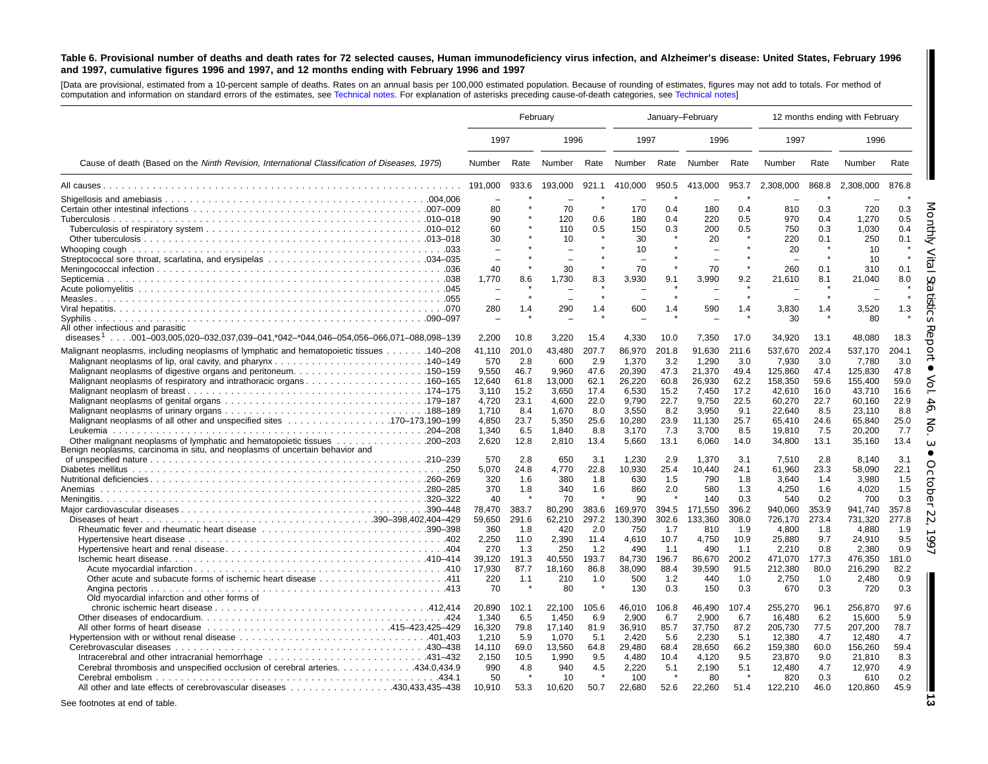#### <span id="page-12-0"></span>Table 6. Provisional number of deaths and death rates for 72 selected causes, Human immunodeficiency virus infection, and Alzheimer's disease: United States, February 1996 and 1997, cumulative figures 1996 and 1997, and 12 months ending with February 1996 and 1997

[Data are provisional, estimated from <sup>a</sup> 10-percent sample of deaths. Rates on an annual basis per 100,000 estimated population. Because of rounding of estimates, figures may not add to totals. For method of computation and information on standard errors of the estimates, see [Technical](#page-16-0) notes. For explanation of asterisks preceding cause-of-death categories, see [Technical](#page-16-0) notes]

| 1997<br>1997<br>1997<br>1996<br>1996<br>1996<br>Cause of death (Based on the Ninth Revision, International Classification of Diseases, 1975)<br>Rate Number<br>Rate<br>Number Rate Number<br>Rate<br>Number<br>Rate<br>Number<br>Rate<br>Number<br>933.6<br>193,000<br>921.1<br>950.5<br>953.7<br>2,308,000<br>868.8<br>876.8<br>191,000<br>410,000<br>413,000<br>2,308,000<br>70<br>170<br>0.4<br>180<br>0.4<br>810<br>0.3<br>720<br>0.3<br>80<br>90<br>120<br>0.6<br>180<br>0.4<br>220<br>0.5<br>970<br>1,270<br>0.5<br>0.4<br>60<br>110<br>0.5<br>150<br>0.3<br>200<br>0.5<br>750<br>0.3<br>1.030<br>0.4<br>30<br>30<br>10<br>20<br>220<br>0.1<br>250<br>0.1<br>10<br>20<br>10<br>10<br>$\overline{\phantom{a}}$<br>30<br>70<br>260<br>0.1<br>0.1<br>40<br>70<br>310<br>9.2<br>8.0<br>1.770<br>8.6<br>1.730<br>8.3<br>3.930<br>9.1<br>3.990<br>21,610<br>8.1<br>21.040<br>290<br>590<br>1.3<br>280<br>1.4<br>600<br>1.4<br>1.4<br>3,830<br>1.4<br>3,520<br>1.4<br>30<br>80<br>All other infectious and parasitic<br>diseases <sup>1</sup> 001-003.005.020-032.037.039-041.*042-*044.046-054.056-066.071-088.098-139<br>2,200<br>10.8<br>3.220<br>15.4<br>4,330<br>10.0<br>7,350<br>34,920<br>13.1<br>48,080<br>17.0<br>18.3<br>Malignant neoplasms, including neoplasms of lymphatic and hematopoietic tissues 140–208<br>201.0<br>43,480<br>207.7<br>86,970<br>201.8<br>91,630<br>537.170<br>41.110<br>211.6<br>537,670<br>202.4<br>204.1<br>570<br>2.8<br>600<br>2.9<br>1,370<br>3.2<br>1,290<br>3.0<br>7,930<br>7.780<br>3.0<br>3.0<br>9,550<br>46.7<br>9,960<br>47.6<br>20,390<br>47.3<br>21,370<br>49.4<br>125,860<br>47.4<br>125,830<br>47.8<br>59.0<br>61.8<br>13,000<br>62.1<br>26,220<br>60.8<br>26,930<br>62.2<br>158,350<br>59.6<br>155,400<br>12,640<br>15.2<br>6,530<br>7,450<br>42,610<br>16.6<br>3,110<br>3,650<br>17.4<br>15.2<br>17.2<br>16.0<br>43,710<br>23.1<br>4.600<br>22.0<br>9.790<br>9,750<br>22.5<br>60,270<br>22.9<br>4,720<br>22.7<br>22.7<br>60.160<br>8.4<br>1.670<br>8.0<br>3,550<br>8.2<br>3,950<br>9.1<br>22.640<br>8.5<br>23.110<br>8.8<br>1,710<br>4,850<br>23.7<br>5,350<br>25.6<br>10,280<br>23.9<br>11,130<br>25.7<br>65,410<br>24.6<br>65,840<br>25.0<br>6.5<br>8.8<br>3,170<br>3,700<br>7.7<br>1,340<br>1,840<br>7.3<br>8.5<br>19,810<br>7.5<br>20,200<br>12.8<br>13.4<br>5,660<br>13.1<br>13.4<br>2,620<br>2,810<br>6,060<br>14.0<br>34,800<br>13.1<br>35,160<br>Benign neoplasms, carcinoma in situ, and neoplasms of uncertain behavior and<br>3.1<br>2.8<br>650<br>1.230<br>2.9<br>1.370<br>3.1<br>2.8<br>8.140<br>570<br>3.1<br>7.510<br>5,070<br>10,930<br>25.4<br>22.1<br>24.8<br>4,770<br>22.8<br>10,440<br>24.1<br>61,960<br>23.3<br>58,090<br>320<br>380<br>3.980<br>1.6<br>1.8<br>630<br>1.5<br>790<br>1.8<br>3.640<br>1.5<br>1.4<br>370<br>340<br>860<br>2.0<br>580<br>1.3<br>4.250<br>4.020<br>1.8<br>1.6<br>1.6<br>1.5<br>Anemias<br>40<br>70<br>90<br>0.3<br>540<br>0.2<br>700<br>0.3<br>140<br>383.7<br>80,290<br>383.6<br>169,970<br>394.5<br>171,550<br>396.2<br>940,060<br>353.9<br>941,740<br>357.8<br>78,470<br>291.6<br>297.2<br>130,390<br>302.6<br>277.8<br>59.650<br>62.210<br>133,360<br>308.0<br>726.170<br>273.4<br>731.320<br>2.0<br>750<br>360<br>1.8<br>420<br>1.7<br>810<br>4,800<br>4.880<br>1.9<br>1.9<br>1.8<br>9.5<br>2.390<br>4,750<br>10.9<br>25.880<br>9.7<br>2.250<br>11.0<br>11.4<br>4,610<br>10.7<br>24.910<br>0.9<br>270<br>1.3<br>1.2<br>490<br>490<br>2.210<br>0.8<br>2.380<br>250<br>1.1<br>1.1<br>39.120<br>191.3<br>40.550<br>193.7<br>84,730<br>196.7<br>86,670<br>200.2<br>471,070<br>476,350<br>181.0<br>177.3<br>17,930<br>87.7<br>18.160<br>86.8<br>38,090<br>88.4<br>39,590<br>91.5<br>212,380<br>80.0<br>216,290<br>82.2<br>0.9<br>220<br>1.1<br>210<br>1.0<br>500<br>1.2<br>440<br>1.0<br>2.750<br>2,480<br>1.0<br>0.3<br>Angina pectoris<br>70<br>80<br>130<br>0.3<br>150<br>0.3<br>670<br>0.3<br>720<br>Old myocardial infarction and other forms of<br>97.6<br>20,890<br>102.1<br>22,100<br>105.6<br>46,010<br>106.8<br>46,490<br>107.4<br>255,270<br>96.1<br>256,870<br>5.9<br>1,340<br>6.5<br>1,450<br>6.9<br>2,900<br>6.7<br>2,900<br>6.7<br>16,480<br>6.2<br>15,600<br>36,910<br>37,750<br>78.7<br>16,320<br>79.8<br>17,140<br>81.9<br>85.7<br>87.2<br>205,730<br>77.5<br>207,200<br>1.210<br>5.9<br>1.070<br>5.1<br>2.420<br>5.6<br>2,230<br>5.1<br>12,380<br>12.480<br>4.7<br>4.7<br>59.4<br>14.110<br>69.0<br>13.560<br>64.8<br>29.480<br>68.4<br>28.650<br>66.2<br>159.380<br>60.0<br>156.260<br>8.3<br>Intracerebral and other intracranial hemorrhage 431-432<br>2,150<br>10.5<br>1,990<br>9.5<br>4,480<br>10.4<br>4,120<br>9.5<br>23,870<br>9.0<br>21,810<br>434.0,434.9. Cerebral thrombosis and unspecified occlusion of cerebral arteries. 434.0<br>990<br>4.8<br>940<br>4.5<br>2,220<br>5.1<br>2,190<br>5.1<br>12,480<br>4.7<br>12,970<br>4.9<br>50<br>100<br>$\star$<br>80<br>-8<br>820<br>0.3<br>610<br>0.2<br>10<br>10.910<br>53.3<br>10.620<br>50.7<br>22,680<br>52.6<br>22,260<br>122,210<br>46.0<br>120,860<br>45.9<br>51.4 |  | February | January-February |  |  |  |  | 12 months ending with February |  |
|--------------------------------------------------------------------------------------------------------------------------------------------------------------------------------------------------------------------------------------------------------------------------------------------------------------------------------------------------------------------------------------------------------------------------------------------------------------------------------------------------------------------------------------------------------------------------------------------------------------------------------------------------------------------------------------------------------------------------------------------------------------------------------------------------------------------------------------------------------------------------------------------------------------------------------------------------------------------------------------------------------------------------------------------------------------------------------------------------------------------------------------------------------------------------------------------------------------------------------------------------------------------------------------------------------------------------------------------------------------------------------------------------------------------------------------------------------------------------------------------------------------------------------------------------------------------------------------------------------------------------------------------------------------------------------------------------------------------------------------------------------------------------------------------------------------------------------------------------------------------------------------------------------------------------------------------------------------------------------------------------------------------------------------------------------------------------------------------------------------------------------------------------------------------------------------------------------------------------------------------------------------------------------------------------------------------------------------------------------------------------------------------------------------------------------------------------------------------------------------------------------------------------------------------------------------------------------------------------------------------------------------------------------------------------------------------------------------------------------------------------------------------------------------------------------------------------------------------------------------------------------------------------------------------------------------------------------------------------------------------------------------------------------------------------------------------------------------------------------------------------------------------------------------------------------------------------------------------------------------------------------------------------------------------------------------------------------------------------------------------------------------------------------------------------------------------------------------------------------------------------------------------------------------------------------------------------------------------------------------------------------------------------------------------------------------------------------------------------------------------------------------------------------------------------------------------------------------------------------------------------------------------------------------------------------------------------------------------------------------------------------------------------------------------------------------------------------------------------------------------------------------------------------------------------------------------------------------------------------------------------------------------------------------------------------------------------------------------------------------------------------------------------------------------------------------------------------------------------------------------------------------------------------------------------------------------------------------------------------------------------------------------------------------------------------------------------------------------------------------------------------------------------------------------------------------------------------------------------------------------------------------------------------------------------------------------------------------------------------------------------------------------------------------------------------|--|----------|------------------|--|--|--|--|--------------------------------|--|
|                                                                                                                                                                                                                                                                                                                                                                                                                                                                                                                                                                                                                                                                                                                                                                                                                                                                                                                                                                                                                                                                                                                                                                                                                                                                                                                                                                                                                                                                                                                                                                                                                                                                                                                                                                                                                                                                                                                                                                                                                                                                                                                                                                                                                                                                                                                                                                                                                                                                                                                                                                                                                                                                                                                                                                                                                                                                                                                                                                                                                                                                                                                                                                                                                                                                                                                                                                                                                                                                                                                                                                                                                                                                                                                                                                                                                                                                                                                                                                                                                                                                                                                                                                                                                                                                                                                                                                                                                                                                                                                                                                                                                                                                                                                                                                                                                                                                                                                                                                                                                                                        |  |          |                  |  |  |  |  |                                |  |
|                                                                                                                                                                                                                                                                                                                                                                                                                                                                                                                                                                                                                                                                                                                                                                                                                                                                                                                                                                                                                                                                                                                                                                                                                                                                                                                                                                                                                                                                                                                                                                                                                                                                                                                                                                                                                                                                                                                                                                                                                                                                                                                                                                                                                                                                                                                                                                                                                                                                                                                                                                                                                                                                                                                                                                                                                                                                                                                                                                                                                                                                                                                                                                                                                                                                                                                                                                                                                                                                                                                                                                                                                                                                                                                                                                                                                                                                                                                                                                                                                                                                                                                                                                                                                                                                                                                                                                                                                                                                                                                                                                                                                                                                                                                                                                                                                                                                                                                                                                                                                                                        |  |          |                  |  |  |  |  |                                |  |
|                                                                                                                                                                                                                                                                                                                                                                                                                                                                                                                                                                                                                                                                                                                                                                                                                                                                                                                                                                                                                                                                                                                                                                                                                                                                                                                                                                                                                                                                                                                                                                                                                                                                                                                                                                                                                                                                                                                                                                                                                                                                                                                                                                                                                                                                                                                                                                                                                                                                                                                                                                                                                                                                                                                                                                                                                                                                                                                                                                                                                                                                                                                                                                                                                                                                                                                                                                                                                                                                                                                                                                                                                                                                                                                                                                                                                                                                                                                                                                                                                                                                                                                                                                                                                                                                                                                                                                                                                                                                                                                                                                                                                                                                                                                                                                                                                                                                                                                                                                                                                                                        |  |          |                  |  |  |  |  |                                |  |
|                                                                                                                                                                                                                                                                                                                                                                                                                                                                                                                                                                                                                                                                                                                                                                                                                                                                                                                                                                                                                                                                                                                                                                                                                                                                                                                                                                                                                                                                                                                                                                                                                                                                                                                                                                                                                                                                                                                                                                                                                                                                                                                                                                                                                                                                                                                                                                                                                                                                                                                                                                                                                                                                                                                                                                                                                                                                                                                                                                                                                                                                                                                                                                                                                                                                                                                                                                                                                                                                                                                                                                                                                                                                                                                                                                                                                                                                                                                                                                                                                                                                                                                                                                                                                                                                                                                                                                                                                                                                                                                                                                                                                                                                                                                                                                                                                                                                                                                                                                                                                                                        |  |          |                  |  |  |  |  |                                |  |
|                                                                                                                                                                                                                                                                                                                                                                                                                                                                                                                                                                                                                                                                                                                                                                                                                                                                                                                                                                                                                                                                                                                                                                                                                                                                                                                                                                                                                                                                                                                                                                                                                                                                                                                                                                                                                                                                                                                                                                                                                                                                                                                                                                                                                                                                                                                                                                                                                                                                                                                                                                                                                                                                                                                                                                                                                                                                                                                                                                                                                                                                                                                                                                                                                                                                                                                                                                                                                                                                                                                                                                                                                                                                                                                                                                                                                                                                                                                                                                                                                                                                                                                                                                                                                                                                                                                                                                                                                                                                                                                                                                                                                                                                                                                                                                                                                                                                                                                                                                                                                                                        |  |          |                  |  |  |  |  |                                |  |
|                                                                                                                                                                                                                                                                                                                                                                                                                                                                                                                                                                                                                                                                                                                                                                                                                                                                                                                                                                                                                                                                                                                                                                                                                                                                                                                                                                                                                                                                                                                                                                                                                                                                                                                                                                                                                                                                                                                                                                                                                                                                                                                                                                                                                                                                                                                                                                                                                                                                                                                                                                                                                                                                                                                                                                                                                                                                                                                                                                                                                                                                                                                                                                                                                                                                                                                                                                                                                                                                                                                                                                                                                                                                                                                                                                                                                                                                                                                                                                                                                                                                                                                                                                                                                                                                                                                                                                                                                                                                                                                                                                                                                                                                                                                                                                                                                                                                                                                                                                                                                                                        |  |          |                  |  |  |  |  |                                |  |
|                                                                                                                                                                                                                                                                                                                                                                                                                                                                                                                                                                                                                                                                                                                                                                                                                                                                                                                                                                                                                                                                                                                                                                                                                                                                                                                                                                                                                                                                                                                                                                                                                                                                                                                                                                                                                                                                                                                                                                                                                                                                                                                                                                                                                                                                                                                                                                                                                                                                                                                                                                                                                                                                                                                                                                                                                                                                                                                                                                                                                                                                                                                                                                                                                                                                                                                                                                                                                                                                                                                                                                                                                                                                                                                                                                                                                                                                                                                                                                                                                                                                                                                                                                                                                                                                                                                                                                                                                                                                                                                                                                                                                                                                                                                                                                                                                                                                                                                                                                                                                                                        |  |          |                  |  |  |  |  |                                |  |
|                                                                                                                                                                                                                                                                                                                                                                                                                                                                                                                                                                                                                                                                                                                                                                                                                                                                                                                                                                                                                                                                                                                                                                                                                                                                                                                                                                                                                                                                                                                                                                                                                                                                                                                                                                                                                                                                                                                                                                                                                                                                                                                                                                                                                                                                                                                                                                                                                                                                                                                                                                                                                                                                                                                                                                                                                                                                                                                                                                                                                                                                                                                                                                                                                                                                                                                                                                                                                                                                                                                                                                                                                                                                                                                                                                                                                                                                                                                                                                                                                                                                                                                                                                                                                                                                                                                                                                                                                                                                                                                                                                                                                                                                                                                                                                                                                                                                                                                                                                                                                                                        |  |          |                  |  |  |  |  |                                |  |
|                                                                                                                                                                                                                                                                                                                                                                                                                                                                                                                                                                                                                                                                                                                                                                                                                                                                                                                                                                                                                                                                                                                                                                                                                                                                                                                                                                                                                                                                                                                                                                                                                                                                                                                                                                                                                                                                                                                                                                                                                                                                                                                                                                                                                                                                                                                                                                                                                                                                                                                                                                                                                                                                                                                                                                                                                                                                                                                                                                                                                                                                                                                                                                                                                                                                                                                                                                                                                                                                                                                                                                                                                                                                                                                                                                                                                                                                                                                                                                                                                                                                                                                                                                                                                                                                                                                                                                                                                                                                                                                                                                                                                                                                                                                                                                                                                                                                                                                                                                                                                                                        |  |          |                  |  |  |  |  |                                |  |
|                                                                                                                                                                                                                                                                                                                                                                                                                                                                                                                                                                                                                                                                                                                                                                                                                                                                                                                                                                                                                                                                                                                                                                                                                                                                                                                                                                                                                                                                                                                                                                                                                                                                                                                                                                                                                                                                                                                                                                                                                                                                                                                                                                                                                                                                                                                                                                                                                                                                                                                                                                                                                                                                                                                                                                                                                                                                                                                                                                                                                                                                                                                                                                                                                                                                                                                                                                                                                                                                                                                                                                                                                                                                                                                                                                                                                                                                                                                                                                                                                                                                                                                                                                                                                                                                                                                                                                                                                                                                                                                                                                                                                                                                                                                                                                                                                                                                                                                                                                                                                                                        |  |          |                  |  |  |  |  |                                |  |
|                                                                                                                                                                                                                                                                                                                                                                                                                                                                                                                                                                                                                                                                                                                                                                                                                                                                                                                                                                                                                                                                                                                                                                                                                                                                                                                                                                                                                                                                                                                                                                                                                                                                                                                                                                                                                                                                                                                                                                                                                                                                                                                                                                                                                                                                                                                                                                                                                                                                                                                                                                                                                                                                                                                                                                                                                                                                                                                                                                                                                                                                                                                                                                                                                                                                                                                                                                                                                                                                                                                                                                                                                                                                                                                                                                                                                                                                                                                                                                                                                                                                                                                                                                                                                                                                                                                                                                                                                                                                                                                                                                                                                                                                                                                                                                                                                                                                                                                                                                                                                                                        |  |          |                  |  |  |  |  |                                |  |
|                                                                                                                                                                                                                                                                                                                                                                                                                                                                                                                                                                                                                                                                                                                                                                                                                                                                                                                                                                                                                                                                                                                                                                                                                                                                                                                                                                                                                                                                                                                                                                                                                                                                                                                                                                                                                                                                                                                                                                                                                                                                                                                                                                                                                                                                                                                                                                                                                                                                                                                                                                                                                                                                                                                                                                                                                                                                                                                                                                                                                                                                                                                                                                                                                                                                                                                                                                                                                                                                                                                                                                                                                                                                                                                                                                                                                                                                                                                                                                                                                                                                                                                                                                                                                                                                                                                                                                                                                                                                                                                                                                                                                                                                                                                                                                                                                                                                                                                                                                                                                                                        |  |          |                  |  |  |  |  |                                |  |
|                                                                                                                                                                                                                                                                                                                                                                                                                                                                                                                                                                                                                                                                                                                                                                                                                                                                                                                                                                                                                                                                                                                                                                                                                                                                                                                                                                                                                                                                                                                                                                                                                                                                                                                                                                                                                                                                                                                                                                                                                                                                                                                                                                                                                                                                                                                                                                                                                                                                                                                                                                                                                                                                                                                                                                                                                                                                                                                                                                                                                                                                                                                                                                                                                                                                                                                                                                                                                                                                                                                                                                                                                                                                                                                                                                                                                                                                                                                                                                                                                                                                                                                                                                                                                                                                                                                                                                                                                                                                                                                                                                                                                                                                                                                                                                                                                                                                                                                                                                                                                                                        |  |          |                  |  |  |  |  |                                |  |
|                                                                                                                                                                                                                                                                                                                                                                                                                                                                                                                                                                                                                                                                                                                                                                                                                                                                                                                                                                                                                                                                                                                                                                                                                                                                                                                                                                                                                                                                                                                                                                                                                                                                                                                                                                                                                                                                                                                                                                                                                                                                                                                                                                                                                                                                                                                                                                                                                                                                                                                                                                                                                                                                                                                                                                                                                                                                                                                                                                                                                                                                                                                                                                                                                                                                                                                                                                                                                                                                                                                                                                                                                                                                                                                                                                                                                                                                                                                                                                                                                                                                                                                                                                                                                                                                                                                                                                                                                                                                                                                                                                                                                                                                                                                                                                                                                                                                                                                                                                                                                                                        |  |          |                  |  |  |  |  |                                |  |
|                                                                                                                                                                                                                                                                                                                                                                                                                                                                                                                                                                                                                                                                                                                                                                                                                                                                                                                                                                                                                                                                                                                                                                                                                                                                                                                                                                                                                                                                                                                                                                                                                                                                                                                                                                                                                                                                                                                                                                                                                                                                                                                                                                                                                                                                                                                                                                                                                                                                                                                                                                                                                                                                                                                                                                                                                                                                                                                                                                                                                                                                                                                                                                                                                                                                                                                                                                                                                                                                                                                                                                                                                                                                                                                                                                                                                                                                                                                                                                                                                                                                                                                                                                                                                                                                                                                                                                                                                                                                                                                                                                                                                                                                                                                                                                                                                                                                                                                                                                                                                                                        |  |          |                  |  |  |  |  |                                |  |
|                                                                                                                                                                                                                                                                                                                                                                                                                                                                                                                                                                                                                                                                                                                                                                                                                                                                                                                                                                                                                                                                                                                                                                                                                                                                                                                                                                                                                                                                                                                                                                                                                                                                                                                                                                                                                                                                                                                                                                                                                                                                                                                                                                                                                                                                                                                                                                                                                                                                                                                                                                                                                                                                                                                                                                                                                                                                                                                                                                                                                                                                                                                                                                                                                                                                                                                                                                                                                                                                                                                                                                                                                                                                                                                                                                                                                                                                                                                                                                                                                                                                                                                                                                                                                                                                                                                                                                                                                                                                                                                                                                                                                                                                                                                                                                                                                                                                                                                                                                                                                                                        |  |          |                  |  |  |  |  |                                |  |
|                                                                                                                                                                                                                                                                                                                                                                                                                                                                                                                                                                                                                                                                                                                                                                                                                                                                                                                                                                                                                                                                                                                                                                                                                                                                                                                                                                                                                                                                                                                                                                                                                                                                                                                                                                                                                                                                                                                                                                                                                                                                                                                                                                                                                                                                                                                                                                                                                                                                                                                                                                                                                                                                                                                                                                                                                                                                                                                                                                                                                                                                                                                                                                                                                                                                                                                                                                                                                                                                                                                                                                                                                                                                                                                                                                                                                                                                                                                                                                                                                                                                                                                                                                                                                                                                                                                                                                                                                                                                                                                                                                                                                                                                                                                                                                                                                                                                                                                                                                                                                                                        |  |          |                  |  |  |  |  |                                |  |
|                                                                                                                                                                                                                                                                                                                                                                                                                                                                                                                                                                                                                                                                                                                                                                                                                                                                                                                                                                                                                                                                                                                                                                                                                                                                                                                                                                                                                                                                                                                                                                                                                                                                                                                                                                                                                                                                                                                                                                                                                                                                                                                                                                                                                                                                                                                                                                                                                                                                                                                                                                                                                                                                                                                                                                                                                                                                                                                                                                                                                                                                                                                                                                                                                                                                                                                                                                                                                                                                                                                                                                                                                                                                                                                                                                                                                                                                                                                                                                                                                                                                                                                                                                                                                                                                                                                                                                                                                                                                                                                                                                                                                                                                                                                                                                                                                                                                                                                                                                                                                                                        |  |          |                  |  |  |  |  |                                |  |
|                                                                                                                                                                                                                                                                                                                                                                                                                                                                                                                                                                                                                                                                                                                                                                                                                                                                                                                                                                                                                                                                                                                                                                                                                                                                                                                                                                                                                                                                                                                                                                                                                                                                                                                                                                                                                                                                                                                                                                                                                                                                                                                                                                                                                                                                                                                                                                                                                                                                                                                                                                                                                                                                                                                                                                                                                                                                                                                                                                                                                                                                                                                                                                                                                                                                                                                                                                                                                                                                                                                                                                                                                                                                                                                                                                                                                                                                                                                                                                                                                                                                                                                                                                                                                                                                                                                                                                                                                                                                                                                                                                                                                                                                                                                                                                                                                                                                                                                                                                                                                                                        |  |          |                  |  |  |  |  |                                |  |
|                                                                                                                                                                                                                                                                                                                                                                                                                                                                                                                                                                                                                                                                                                                                                                                                                                                                                                                                                                                                                                                                                                                                                                                                                                                                                                                                                                                                                                                                                                                                                                                                                                                                                                                                                                                                                                                                                                                                                                                                                                                                                                                                                                                                                                                                                                                                                                                                                                                                                                                                                                                                                                                                                                                                                                                                                                                                                                                                                                                                                                                                                                                                                                                                                                                                                                                                                                                                                                                                                                                                                                                                                                                                                                                                                                                                                                                                                                                                                                                                                                                                                                                                                                                                                                                                                                                                                                                                                                                                                                                                                                                                                                                                                                                                                                                                                                                                                                                                                                                                                                                        |  |          |                  |  |  |  |  |                                |  |
|                                                                                                                                                                                                                                                                                                                                                                                                                                                                                                                                                                                                                                                                                                                                                                                                                                                                                                                                                                                                                                                                                                                                                                                                                                                                                                                                                                                                                                                                                                                                                                                                                                                                                                                                                                                                                                                                                                                                                                                                                                                                                                                                                                                                                                                                                                                                                                                                                                                                                                                                                                                                                                                                                                                                                                                                                                                                                                                                                                                                                                                                                                                                                                                                                                                                                                                                                                                                                                                                                                                                                                                                                                                                                                                                                                                                                                                                                                                                                                                                                                                                                                                                                                                                                                                                                                                                                                                                                                                                                                                                                                                                                                                                                                                                                                                                                                                                                                                                                                                                                                                        |  |          |                  |  |  |  |  |                                |  |
|                                                                                                                                                                                                                                                                                                                                                                                                                                                                                                                                                                                                                                                                                                                                                                                                                                                                                                                                                                                                                                                                                                                                                                                                                                                                                                                                                                                                                                                                                                                                                                                                                                                                                                                                                                                                                                                                                                                                                                                                                                                                                                                                                                                                                                                                                                                                                                                                                                                                                                                                                                                                                                                                                                                                                                                                                                                                                                                                                                                                                                                                                                                                                                                                                                                                                                                                                                                                                                                                                                                                                                                                                                                                                                                                                                                                                                                                                                                                                                                                                                                                                                                                                                                                                                                                                                                                                                                                                                                                                                                                                                                                                                                                                                                                                                                                                                                                                                                                                                                                                                                        |  |          |                  |  |  |  |  |                                |  |
|                                                                                                                                                                                                                                                                                                                                                                                                                                                                                                                                                                                                                                                                                                                                                                                                                                                                                                                                                                                                                                                                                                                                                                                                                                                                                                                                                                                                                                                                                                                                                                                                                                                                                                                                                                                                                                                                                                                                                                                                                                                                                                                                                                                                                                                                                                                                                                                                                                                                                                                                                                                                                                                                                                                                                                                                                                                                                                                                                                                                                                                                                                                                                                                                                                                                                                                                                                                                                                                                                                                                                                                                                                                                                                                                                                                                                                                                                                                                                                                                                                                                                                                                                                                                                                                                                                                                                                                                                                                                                                                                                                                                                                                                                                                                                                                                                                                                                                                                                                                                                                                        |  |          |                  |  |  |  |  |                                |  |
|                                                                                                                                                                                                                                                                                                                                                                                                                                                                                                                                                                                                                                                                                                                                                                                                                                                                                                                                                                                                                                                                                                                                                                                                                                                                                                                                                                                                                                                                                                                                                                                                                                                                                                                                                                                                                                                                                                                                                                                                                                                                                                                                                                                                                                                                                                                                                                                                                                                                                                                                                                                                                                                                                                                                                                                                                                                                                                                                                                                                                                                                                                                                                                                                                                                                                                                                                                                                                                                                                                                                                                                                                                                                                                                                                                                                                                                                                                                                                                                                                                                                                                                                                                                                                                                                                                                                                                                                                                                                                                                                                                                                                                                                                                                                                                                                                                                                                                                                                                                                                                                        |  |          |                  |  |  |  |  |                                |  |
|                                                                                                                                                                                                                                                                                                                                                                                                                                                                                                                                                                                                                                                                                                                                                                                                                                                                                                                                                                                                                                                                                                                                                                                                                                                                                                                                                                                                                                                                                                                                                                                                                                                                                                                                                                                                                                                                                                                                                                                                                                                                                                                                                                                                                                                                                                                                                                                                                                                                                                                                                                                                                                                                                                                                                                                                                                                                                                                                                                                                                                                                                                                                                                                                                                                                                                                                                                                                                                                                                                                                                                                                                                                                                                                                                                                                                                                                                                                                                                                                                                                                                                                                                                                                                                                                                                                                                                                                                                                                                                                                                                                                                                                                                                                                                                                                                                                                                                                                                                                                                                                        |  |          |                  |  |  |  |  |                                |  |
|                                                                                                                                                                                                                                                                                                                                                                                                                                                                                                                                                                                                                                                                                                                                                                                                                                                                                                                                                                                                                                                                                                                                                                                                                                                                                                                                                                                                                                                                                                                                                                                                                                                                                                                                                                                                                                                                                                                                                                                                                                                                                                                                                                                                                                                                                                                                                                                                                                                                                                                                                                                                                                                                                                                                                                                                                                                                                                                                                                                                                                                                                                                                                                                                                                                                                                                                                                                                                                                                                                                                                                                                                                                                                                                                                                                                                                                                                                                                                                                                                                                                                                                                                                                                                                                                                                                                                                                                                                                                                                                                                                                                                                                                                                                                                                                                                                                                                                                                                                                                                                                        |  |          |                  |  |  |  |  |                                |  |
|                                                                                                                                                                                                                                                                                                                                                                                                                                                                                                                                                                                                                                                                                                                                                                                                                                                                                                                                                                                                                                                                                                                                                                                                                                                                                                                                                                                                                                                                                                                                                                                                                                                                                                                                                                                                                                                                                                                                                                                                                                                                                                                                                                                                                                                                                                                                                                                                                                                                                                                                                                                                                                                                                                                                                                                                                                                                                                                                                                                                                                                                                                                                                                                                                                                                                                                                                                                                                                                                                                                                                                                                                                                                                                                                                                                                                                                                                                                                                                                                                                                                                                                                                                                                                                                                                                                                                                                                                                                                                                                                                                                                                                                                                                                                                                                                                                                                                                                                                                                                                                                        |  |          |                  |  |  |  |  |                                |  |
|                                                                                                                                                                                                                                                                                                                                                                                                                                                                                                                                                                                                                                                                                                                                                                                                                                                                                                                                                                                                                                                                                                                                                                                                                                                                                                                                                                                                                                                                                                                                                                                                                                                                                                                                                                                                                                                                                                                                                                                                                                                                                                                                                                                                                                                                                                                                                                                                                                                                                                                                                                                                                                                                                                                                                                                                                                                                                                                                                                                                                                                                                                                                                                                                                                                                                                                                                                                                                                                                                                                                                                                                                                                                                                                                                                                                                                                                                                                                                                                                                                                                                                                                                                                                                                                                                                                                                                                                                                                                                                                                                                                                                                                                                                                                                                                                                                                                                                                                                                                                                                                        |  |          |                  |  |  |  |  |                                |  |
|                                                                                                                                                                                                                                                                                                                                                                                                                                                                                                                                                                                                                                                                                                                                                                                                                                                                                                                                                                                                                                                                                                                                                                                                                                                                                                                                                                                                                                                                                                                                                                                                                                                                                                                                                                                                                                                                                                                                                                                                                                                                                                                                                                                                                                                                                                                                                                                                                                                                                                                                                                                                                                                                                                                                                                                                                                                                                                                                                                                                                                                                                                                                                                                                                                                                                                                                                                                                                                                                                                                                                                                                                                                                                                                                                                                                                                                                                                                                                                                                                                                                                                                                                                                                                                                                                                                                                                                                                                                                                                                                                                                                                                                                                                                                                                                                                                                                                                                                                                                                                                                        |  |          |                  |  |  |  |  |                                |  |
|                                                                                                                                                                                                                                                                                                                                                                                                                                                                                                                                                                                                                                                                                                                                                                                                                                                                                                                                                                                                                                                                                                                                                                                                                                                                                                                                                                                                                                                                                                                                                                                                                                                                                                                                                                                                                                                                                                                                                                                                                                                                                                                                                                                                                                                                                                                                                                                                                                                                                                                                                                                                                                                                                                                                                                                                                                                                                                                                                                                                                                                                                                                                                                                                                                                                                                                                                                                                                                                                                                                                                                                                                                                                                                                                                                                                                                                                                                                                                                                                                                                                                                                                                                                                                                                                                                                                                                                                                                                                                                                                                                                                                                                                                                                                                                                                                                                                                                                                                                                                                                                        |  |          |                  |  |  |  |  |                                |  |
|                                                                                                                                                                                                                                                                                                                                                                                                                                                                                                                                                                                                                                                                                                                                                                                                                                                                                                                                                                                                                                                                                                                                                                                                                                                                                                                                                                                                                                                                                                                                                                                                                                                                                                                                                                                                                                                                                                                                                                                                                                                                                                                                                                                                                                                                                                                                                                                                                                                                                                                                                                                                                                                                                                                                                                                                                                                                                                                                                                                                                                                                                                                                                                                                                                                                                                                                                                                                                                                                                                                                                                                                                                                                                                                                                                                                                                                                                                                                                                                                                                                                                                                                                                                                                                                                                                                                                                                                                                                                                                                                                                                                                                                                                                                                                                                                                                                                                                                                                                                                                                                        |  |          |                  |  |  |  |  |                                |  |
|                                                                                                                                                                                                                                                                                                                                                                                                                                                                                                                                                                                                                                                                                                                                                                                                                                                                                                                                                                                                                                                                                                                                                                                                                                                                                                                                                                                                                                                                                                                                                                                                                                                                                                                                                                                                                                                                                                                                                                                                                                                                                                                                                                                                                                                                                                                                                                                                                                                                                                                                                                                                                                                                                                                                                                                                                                                                                                                                                                                                                                                                                                                                                                                                                                                                                                                                                                                                                                                                                                                                                                                                                                                                                                                                                                                                                                                                                                                                                                                                                                                                                                                                                                                                                                                                                                                                                                                                                                                                                                                                                                                                                                                                                                                                                                                                                                                                                                                                                                                                                                                        |  |          |                  |  |  |  |  |                                |  |
|                                                                                                                                                                                                                                                                                                                                                                                                                                                                                                                                                                                                                                                                                                                                                                                                                                                                                                                                                                                                                                                                                                                                                                                                                                                                                                                                                                                                                                                                                                                                                                                                                                                                                                                                                                                                                                                                                                                                                                                                                                                                                                                                                                                                                                                                                                                                                                                                                                                                                                                                                                                                                                                                                                                                                                                                                                                                                                                                                                                                                                                                                                                                                                                                                                                                                                                                                                                                                                                                                                                                                                                                                                                                                                                                                                                                                                                                                                                                                                                                                                                                                                                                                                                                                                                                                                                                                                                                                                                                                                                                                                                                                                                                                                                                                                                                                                                                                                                                                                                                                                                        |  |          |                  |  |  |  |  |                                |  |
|                                                                                                                                                                                                                                                                                                                                                                                                                                                                                                                                                                                                                                                                                                                                                                                                                                                                                                                                                                                                                                                                                                                                                                                                                                                                                                                                                                                                                                                                                                                                                                                                                                                                                                                                                                                                                                                                                                                                                                                                                                                                                                                                                                                                                                                                                                                                                                                                                                                                                                                                                                                                                                                                                                                                                                                                                                                                                                                                                                                                                                                                                                                                                                                                                                                                                                                                                                                                                                                                                                                                                                                                                                                                                                                                                                                                                                                                                                                                                                                                                                                                                                                                                                                                                                                                                                                                                                                                                                                                                                                                                                                                                                                                                                                                                                                                                                                                                                                                                                                                                                                        |  |          |                  |  |  |  |  |                                |  |
|                                                                                                                                                                                                                                                                                                                                                                                                                                                                                                                                                                                                                                                                                                                                                                                                                                                                                                                                                                                                                                                                                                                                                                                                                                                                                                                                                                                                                                                                                                                                                                                                                                                                                                                                                                                                                                                                                                                                                                                                                                                                                                                                                                                                                                                                                                                                                                                                                                                                                                                                                                                                                                                                                                                                                                                                                                                                                                                                                                                                                                                                                                                                                                                                                                                                                                                                                                                                                                                                                                                                                                                                                                                                                                                                                                                                                                                                                                                                                                                                                                                                                                                                                                                                                                                                                                                                                                                                                                                                                                                                                                                                                                                                                                                                                                                                                                                                                                                                                                                                                                                        |  |          |                  |  |  |  |  |                                |  |
|                                                                                                                                                                                                                                                                                                                                                                                                                                                                                                                                                                                                                                                                                                                                                                                                                                                                                                                                                                                                                                                                                                                                                                                                                                                                                                                                                                                                                                                                                                                                                                                                                                                                                                                                                                                                                                                                                                                                                                                                                                                                                                                                                                                                                                                                                                                                                                                                                                                                                                                                                                                                                                                                                                                                                                                                                                                                                                                                                                                                                                                                                                                                                                                                                                                                                                                                                                                                                                                                                                                                                                                                                                                                                                                                                                                                                                                                                                                                                                                                                                                                                                                                                                                                                                                                                                                                                                                                                                                                                                                                                                                                                                                                                                                                                                                                                                                                                                                                                                                                                                                        |  |          |                  |  |  |  |  |                                |  |
|                                                                                                                                                                                                                                                                                                                                                                                                                                                                                                                                                                                                                                                                                                                                                                                                                                                                                                                                                                                                                                                                                                                                                                                                                                                                                                                                                                                                                                                                                                                                                                                                                                                                                                                                                                                                                                                                                                                                                                                                                                                                                                                                                                                                                                                                                                                                                                                                                                                                                                                                                                                                                                                                                                                                                                                                                                                                                                                                                                                                                                                                                                                                                                                                                                                                                                                                                                                                                                                                                                                                                                                                                                                                                                                                                                                                                                                                                                                                                                                                                                                                                                                                                                                                                                                                                                                                                                                                                                                                                                                                                                                                                                                                                                                                                                                                                                                                                                                                                                                                                                                        |  |          |                  |  |  |  |  |                                |  |
|                                                                                                                                                                                                                                                                                                                                                                                                                                                                                                                                                                                                                                                                                                                                                                                                                                                                                                                                                                                                                                                                                                                                                                                                                                                                                                                                                                                                                                                                                                                                                                                                                                                                                                                                                                                                                                                                                                                                                                                                                                                                                                                                                                                                                                                                                                                                                                                                                                                                                                                                                                                                                                                                                                                                                                                                                                                                                                                                                                                                                                                                                                                                                                                                                                                                                                                                                                                                                                                                                                                                                                                                                                                                                                                                                                                                                                                                                                                                                                                                                                                                                                                                                                                                                                                                                                                                                                                                                                                                                                                                                                                                                                                                                                                                                                                                                                                                                                                                                                                                                                                        |  |          |                  |  |  |  |  |                                |  |
|                                                                                                                                                                                                                                                                                                                                                                                                                                                                                                                                                                                                                                                                                                                                                                                                                                                                                                                                                                                                                                                                                                                                                                                                                                                                                                                                                                                                                                                                                                                                                                                                                                                                                                                                                                                                                                                                                                                                                                                                                                                                                                                                                                                                                                                                                                                                                                                                                                                                                                                                                                                                                                                                                                                                                                                                                                                                                                                                                                                                                                                                                                                                                                                                                                                                                                                                                                                                                                                                                                                                                                                                                                                                                                                                                                                                                                                                                                                                                                                                                                                                                                                                                                                                                                                                                                                                                                                                                                                                                                                                                                                                                                                                                                                                                                                                                                                                                                                                                                                                                                                        |  |          |                  |  |  |  |  |                                |  |
|                                                                                                                                                                                                                                                                                                                                                                                                                                                                                                                                                                                                                                                                                                                                                                                                                                                                                                                                                                                                                                                                                                                                                                                                                                                                                                                                                                                                                                                                                                                                                                                                                                                                                                                                                                                                                                                                                                                                                                                                                                                                                                                                                                                                                                                                                                                                                                                                                                                                                                                                                                                                                                                                                                                                                                                                                                                                                                                                                                                                                                                                                                                                                                                                                                                                                                                                                                                                                                                                                                                                                                                                                                                                                                                                                                                                                                                                                                                                                                                                                                                                                                                                                                                                                                                                                                                                                                                                                                                                                                                                                                                                                                                                                                                                                                                                                                                                                                                                                                                                                                                        |  |          |                  |  |  |  |  |                                |  |
|                                                                                                                                                                                                                                                                                                                                                                                                                                                                                                                                                                                                                                                                                                                                                                                                                                                                                                                                                                                                                                                                                                                                                                                                                                                                                                                                                                                                                                                                                                                                                                                                                                                                                                                                                                                                                                                                                                                                                                                                                                                                                                                                                                                                                                                                                                                                                                                                                                                                                                                                                                                                                                                                                                                                                                                                                                                                                                                                                                                                                                                                                                                                                                                                                                                                                                                                                                                                                                                                                                                                                                                                                                                                                                                                                                                                                                                                                                                                                                                                                                                                                                                                                                                                                                                                                                                                                                                                                                                                                                                                                                                                                                                                                                                                                                                                                                                                                                                                                                                                                                                        |  |          |                  |  |  |  |  |                                |  |
|                                                                                                                                                                                                                                                                                                                                                                                                                                                                                                                                                                                                                                                                                                                                                                                                                                                                                                                                                                                                                                                                                                                                                                                                                                                                                                                                                                                                                                                                                                                                                                                                                                                                                                                                                                                                                                                                                                                                                                                                                                                                                                                                                                                                                                                                                                                                                                                                                                                                                                                                                                                                                                                                                                                                                                                                                                                                                                                                                                                                                                                                                                                                                                                                                                                                                                                                                                                                                                                                                                                                                                                                                                                                                                                                                                                                                                                                                                                                                                                                                                                                                                                                                                                                                                                                                                                                                                                                                                                                                                                                                                                                                                                                                                                                                                                                                                                                                                                                                                                                                                                        |  |          |                  |  |  |  |  |                                |  |
|                                                                                                                                                                                                                                                                                                                                                                                                                                                                                                                                                                                                                                                                                                                                                                                                                                                                                                                                                                                                                                                                                                                                                                                                                                                                                                                                                                                                                                                                                                                                                                                                                                                                                                                                                                                                                                                                                                                                                                                                                                                                                                                                                                                                                                                                                                                                                                                                                                                                                                                                                                                                                                                                                                                                                                                                                                                                                                                                                                                                                                                                                                                                                                                                                                                                                                                                                                                                                                                                                                                                                                                                                                                                                                                                                                                                                                                                                                                                                                                                                                                                                                                                                                                                                                                                                                                                                                                                                                                                                                                                                                                                                                                                                                                                                                                                                                                                                                                                                                                                                                                        |  |          |                  |  |  |  |  |                                |  |
|                                                                                                                                                                                                                                                                                                                                                                                                                                                                                                                                                                                                                                                                                                                                                                                                                                                                                                                                                                                                                                                                                                                                                                                                                                                                                                                                                                                                                                                                                                                                                                                                                                                                                                                                                                                                                                                                                                                                                                                                                                                                                                                                                                                                                                                                                                                                                                                                                                                                                                                                                                                                                                                                                                                                                                                                                                                                                                                                                                                                                                                                                                                                                                                                                                                                                                                                                                                                                                                                                                                                                                                                                                                                                                                                                                                                                                                                                                                                                                                                                                                                                                                                                                                                                                                                                                                                                                                                                                                                                                                                                                                                                                                                                                                                                                                                                                                                                                                                                                                                                                                        |  |          |                  |  |  |  |  |                                |  |
|                                                                                                                                                                                                                                                                                                                                                                                                                                                                                                                                                                                                                                                                                                                                                                                                                                                                                                                                                                                                                                                                                                                                                                                                                                                                                                                                                                                                                                                                                                                                                                                                                                                                                                                                                                                                                                                                                                                                                                                                                                                                                                                                                                                                                                                                                                                                                                                                                                                                                                                                                                                                                                                                                                                                                                                                                                                                                                                                                                                                                                                                                                                                                                                                                                                                                                                                                                                                                                                                                                                                                                                                                                                                                                                                                                                                                                                                                                                                                                                                                                                                                                                                                                                                                                                                                                                                                                                                                                                                                                                                                                                                                                                                                                                                                                                                                                                                                                                                                                                                                                                        |  |          |                  |  |  |  |  |                                |  |
|                                                                                                                                                                                                                                                                                                                                                                                                                                                                                                                                                                                                                                                                                                                                                                                                                                                                                                                                                                                                                                                                                                                                                                                                                                                                                                                                                                                                                                                                                                                                                                                                                                                                                                                                                                                                                                                                                                                                                                                                                                                                                                                                                                                                                                                                                                                                                                                                                                                                                                                                                                                                                                                                                                                                                                                                                                                                                                                                                                                                                                                                                                                                                                                                                                                                                                                                                                                                                                                                                                                                                                                                                                                                                                                                                                                                                                                                                                                                                                                                                                                                                                                                                                                                                                                                                                                                                                                                                                                                                                                                                                                                                                                                                                                                                                                                                                                                                                                                                                                                                                                        |  |          |                  |  |  |  |  |                                |  |
|                                                                                                                                                                                                                                                                                                                                                                                                                                                                                                                                                                                                                                                                                                                                                                                                                                                                                                                                                                                                                                                                                                                                                                                                                                                                                                                                                                                                                                                                                                                                                                                                                                                                                                                                                                                                                                                                                                                                                                                                                                                                                                                                                                                                                                                                                                                                                                                                                                                                                                                                                                                                                                                                                                                                                                                                                                                                                                                                                                                                                                                                                                                                                                                                                                                                                                                                                                                                                                                                                                                                                                                                                                                                                                                                                                                                                                                                                                                                                                                                                                                                                                                                                                                                                                                                                                                                                                                                                                                                                                                                                                                                                                                                                                                                                                                                                                                                                                                                                                                                                                                        |  |          |                  |  |  |  |  |                                |  |
|                                                                                                                                                                                                                                                                                                                                                                                                                                                                                                                                                                                                                                                                                                                                                                                                                                                                                                                                                                                                                                                                                                                                                                                                                                                                                                                                                                                                                                                                                                                                                                                                                                                                                                                                                                                                                                                                                                                                                                                                                                                                                                                                                                                                                                                                                                                                                                                                                                                                                                                                                                                                                                                                                                                                                                                                                                                                                                                                                                                                                                                                                                                                                                                                                                                                                                                                                                                                                                                                                                                                                                                                                                                                                                                                                                                                                                                                                                                                                                                                                                                                                                                                                                                                                                                                                                                                                                                                                                                                                                                                                                                                                                                                                                                                                                                                                                                                                                                                                                                                                                                        |  |          |                  |  |  |  |  |                                |  |
|                                                                                                                                                                                                                                                                                                                                                                                                                                                                                                                                                                                                                                                                                                                                                                                                                                                                                                                                                                                                                                                                                                                                                                                                                                                                                                                                                                                                                                                                                                                                                                                                                                                                                                                                                                                                                                                                                                                                                                                                                                                                                                                                                                                                                                                                                                                                                                                                                                                                                                                                                                                                                                                                                                                                                                                                                                                                                                                                                                                                                                                                                                                                                                                                                                                                                                                                                                                                                                                                                                                                                                                                                                                                                                                                                                                                                                                                                                                                                                                                                                                                                                                                                                                                                                                                                                                                                                                                                                                                                                                                                                                                                                                                                                                                                                                                                                                                                                                                                                                                                                                        |  |          |                  |  |  |  |  |                                |  |
|                                                                                                                                                                                                                                                                                                                                                                                                                                                                                                                                                                                                                                                                                                                                                                                                                                                                                                                                                                                                                                                                                                                                                                                                                                                                                                                                                                                                                                                                                                                                                                                                                                                                                                                                                                                                                                                                                                                                                                                                                                                                                                                                                                                                                                                                                                                                                                                                                                                                                                                                                                                                                                                                                                                                                                                                                                                                                                                                                                                                                                                                                                                                                                                                                                                                                                                                                                                                                                                                                                                                                                                                                                                                                                                                                                                                                                                                                                                                                                                                                                                                                                                                                                                                                                                                                                                                                                                                                                                                                                                                                                                                                                                                                                                                                                                                                                                                                                                                                                                                                                                        |  |          |                  |  |  |  |  |                                |  |

See footnotes at end of table.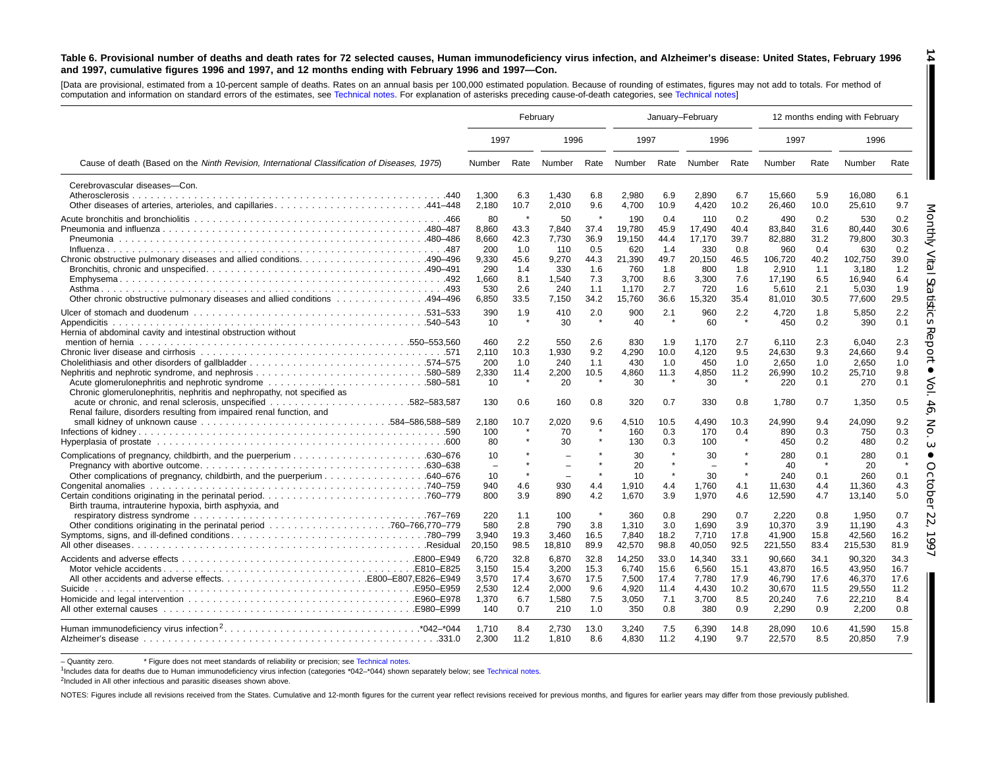#### Table 6. Provisional number of deaths and death rates for 72 selected causes, Human immunodeficiency virus infection, and Alzheimer's disease: United States, February 1996 and 1997, cumulative figures 1996 and 1997, and 12 months ending with February 1996 and 1997-Con.

**14**

H

[Data are provisional, estimated from <sup>a</sup> 10-percent sample of deaths. Rates on an annual basis per 100,000 estimated population. Because of rounding of estimates, figures may not add to totals. For method of computation and information on standard errors of the estimates, see [Technical](#page-16-0) notes. For explanation of asterisks preceding cause-of-death categories, see [Technical](#page-16-0) notes]

|                                                                                                                                                   | February                                                             |                                                          |                                                                      |                                                          |                                                                             |                                                                 | January-February                                                          |                                                                 |                                                                                 |                                                                 | 12 months ending with February                                                  |                                                                 |
|---------------------------------------------------------------------------------------------------------------------------------------------------|----------------------------------------------------------------------|----------------------------------------------------------|----------------------------------------------------------------------|----------------------------------------------------------|-----------------------------------------------------------------------------|-----------------------------------------------------------------|---------------------------------------------------------------------------|-----------------------------------------------------------------|---------------------------------------------------------------------------------|-----------------------------------------------------------------|---------------------------------------------------------------------------------|-----------------------------------------------------------------|
|                                                                                                                                                   | 1997                                                                 |                                                          | 1996                                                                 |                                                          | 1997                                                                        |                                                                 | 1996                                                                      |                                                                 | 1997                                                                            |                                                                 | 1996                                                                            |                                                                 |
| Cause of death (Based on the Ninth Revision, International Classification of Diseases, 1975)                                                      | Number                                                               | Rate                                                     | Number                                                               |                                                          | Rate Number Rate Number Rate                                                |                                                                 |                                                                           |                                                                 | Number                                                                          | Rate                                                            | Number                                                                          | Rate                                                            |
| Cerebrovascular diseases-Con.                                                                                                                     | 1,300<br>2,180                                                       | 6.3<br>10.7                                              | 1,430<br>2,010                                                       | 6.8<br>9.6                                               | 2,980<br>4,700                                                              | 6.9<br>10.9                                                     | 2,890<br>4,420                                                            | 6.7<br>10.2                                                     | 15,660<br>26,460                                                                | 5.9<br>10.0                                                     | 16,080<br>25,610                                                                | 6.1<br>9.7                                                      |
| Chronic obstructive pulmonary diseases and allied conditions490–496<br>0ther chronic obstructive pulmonary diseases and allied conditions 494–496 | 80<br>8,860<br>8,660<br>200<br>9.330<br>290<br>1,660<br>530<br>6,850 | 43.3<br>42.3<br>1.0<br>45.6<br>1.4<br>8.1<br>2.6<br>33.5 | 50<br>7,840<br>7.730<br>110<br>9.270<br>330<br>1,540<br>240<br>7.150 | 37.4<br>36.9<br>0.5<br>44.3<br>1.6<br>7.3<br>1.1<br>34.2 | 190<br>19,780<br>19.150<br>620<br>21.390<br>760<br>3.700<br>1,170<br>15.760 | 0.4<br>45.9<br>44.4<br>1.4<br>49.7<br>1.8<br>8.6<br>2.7<br>36.6 | 110<br>17,490<br>17.170<br>330<br>20.150<br>800<br>3,300<br>720<br>15,320 | 0.2<br>40.4<br>39.7<br>0.8<br>46.5<br>1.8<br>7.6<br>1.6<br>35.4 | 490<br>83,840<br>82,880<br>960<br>106.720<br>2,910<br>17.190<br>5,610<br>81,010 | 0.2<br>31.6<br>31.2<br>0.4<br>40.2<br>1.1<br>6.5<br>2.1<br>30.5 | 530<br>80.440<br>79,800<br>630<br>102.750<br>3,180<br>16,940<br>5,030<br>77,600 | 0.2<br>30.6<br>30.3<br>0.2<br>39.0<br>1.2<br>6.4<br>1.9<br>29.5 |
| Hernia of abdominal cavity and intestinal obstruction without                                                                                     | 390<br>10                                                            | 1.9                                                      | 410<br>30                                                            | 2.0                                                      | 900<br>40                                                                   | 2.1                                                             | 960<br>60                                                                 | 2.2                                                             | 4,720<br>450                                                                    | 1.8<br>0.2                                                      | 5,850<br>390                                                                    | 2.2<br>0.1                                                      |
| Chronic glomerulonephritis, nephritis and nephropathy, not specified as                                                                           | 460<br>2,110<br>200<br>2,330<br>10                                   | 2.2<br>10.3<br>1.0<br>11.4                               | 550<br>1,930<br>240<br>2,200<br>20                                   | 2.6<br>9.2<br>1.1<br>10.5                                | 830<br>4,290<br>430<br>4,860<br>30                                          | 1.9<br>10.0<br>1.0<br>11.3                                      | 1,170<br>4,120<br>450<br>4,850<br>30                                      | 2.7<br>9.5<br>1.0<br>11.2<br>$\star$                            | 6.110<br>24,630<br>2,650<br>26,990<br>220                                       | 2.3<br>9.3<br>1.0<br>10.2<br>0.1                                | 6,040<br>24,660<br>2,650<br>25,710<br>270                                       | 2.3<br>9.4<br>1.0<br>9.8<br>0.1                                 |
| .582–583,587<br>Renal failure, disorders resulting from impaired renal function, and                                                              | 130<br>2,180<br>100<br>80                                            | 0.6<br>10.7                                              | 160<br>2,020<br>70<br>30                                             | 0.8<br>9.6                                               | 320<br>4,510<br>160<br>130                                                  | 0.7<br>10.5<br>0.3<br>0.3                                       | 330<br>4,490<br>170<br>100                                                | 0.8<br>10.3<br>0.4<br>$\star$                                   | 1,780<br>24,990<br>890<br>450                                                   | 0.7<br>9.4<br>0.3<br>0.2                                        | 1,350<br>24,090<br>750<br>480                                                   | 0.5<br>9.2<br>0.3<br>0.2                                        |
| Birth trauma, intrauterine hypoxia, birth asphyxia, and                                                                                           | 10<br>$\overline{\phantom{0}}$<br>10<br>940<br>800                   | $\star$<br>4.6<br>3.9                                    | 930<br>890                                                           | 4.4<br>4.2                                               | 30<br>20<br>10<br>1,910<br>1,670                                            | $\star$<br>$\star$<br>4.4<br>3.9                                | 30<br>30<br>1,760<br>1,970                                                | $\star$<br>4.1<br>4.6                                           | 280<br>40<br>240<br>11,630<br>12,590                                            | 0.1<br>0.1<br>4.4<br>4.7                                        | 280<br>20<br>260<br>11,360<br>13,140                                            | 0.1<br>$\star$<br>0.1<br>4.3<br>5.0                             |
|                                                                                                                                                   | 220<br>580<br>3,940<br>20,150                                        | 1.1<br>2.8<br>19.3<br>98.5                               | 100<br>790<br>3,460<br>18,810                                        | $\star$<br>3.8<br>16.5<br>89.9                           | 360<br>1.310<br>7,840<br>42,570                                             | 0.8<br>3.0<br>18.2<br>98.8                                      | 290<br>1.690<br>7,710<br>40,050                                           | 0.7<br>3.9<br>17.8<br>92.5                                      | 2.220<br>10.370<br>41,900<br>221,550                                            | 0.8<br>3.9<br>15.8<br>83.4                                      | 1.950<br>11.190<br>42,560<br>215,530                                            | 0.7<br>4.3<br>16.2<br>81.9                                      |
| Suicide                                                                                                                                           | 6,720<br>3,150<br>3,570<br>2,530<br>1,370<br>140                     | 32.8<br>15.4<br>17.4<br>12.4<br>6.7<br>0.7               | 6,870<br>3,200<br>3,670<br>2,000<br>1,580<br>210                     | 32.8<br>15.3<br>17.5<br>9.6<br>7.5<br>1.0                | 14,250<br>6.740<br>7,500<br>4,920<br>3,050<br>350                           | 33.0<br>15.6<br>17.4<br>11.4<br>7.1<br>0.8                      | 14,340<br>6.560<br>7,780<br>4.430<br>3.700<br>380                         | 33.1<br>15.1<br>17.9<br>10.2<br>8.5<br>0.9                      | 90,660<br>43.870<br>46,790<br>30,670<br>20,240<br>2.290                         | 34.1<br>16.5<br>17.6<br>11.5<br>7.6<br>0.9                      | 90,320<br>43,950<br>46,370<br>29,550<br>22,210<br>2.200                         | 34.3<br>16.7<br>17.6<br>11.2<br>8.4<br>0.8                      |
|                                                                                                                                                   | 1,710<br>2.300                                                       | 8.4<br>11.2                                              | 2,730<br>1,810                                                       | 13.0<br>8.6                                              | 3,240<br>4,830                                                              | 7.5<br>11.2                                                     | 6,390<br>4,190                                                            | 14.8<br>9.7                                                     | 28,090<br>22,570                                                                | 10.6<br>8.5                                                     | 41,590<br>20,850                                                                | 15.8<br>7.9                                                     |

– Quantity zero. \* Figure does not meet standards of reliability or precision; see [Technical](#page-16-0) notes.

1Includes data for deaths due to Human immunodeficiency virus infection (categories \*042–\*044) shown separately below; see [Technical](#page-16-0) notes.

<sup>2</sup>Included in All other infectious and parasitic diseases shown above.

NOTES: Figures include all revisions received from the States. Cumulative and 12-month figures for the current year reflect revisions received for previous months, and figures for earlier years may differ from those previo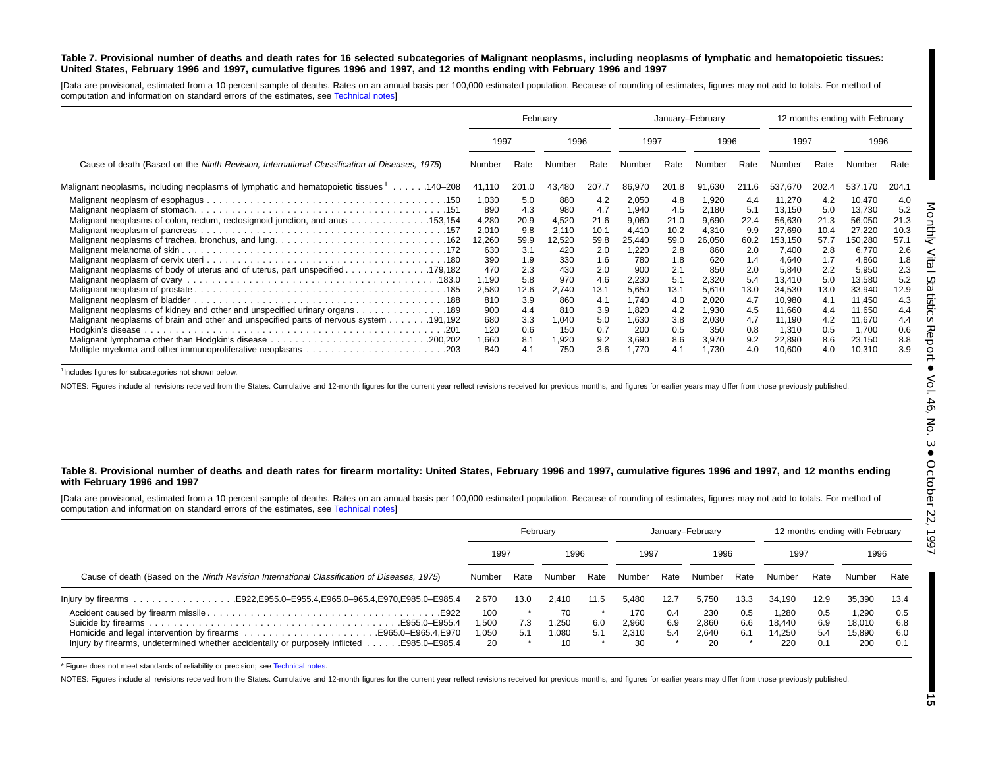#### Table 7. Provisional number of deaths and death rates for 16 selected subcategories of Malignant neoplasms, including neoplasms of lymphatic and hematopoietic tissues: United States, February 1996 and 1997, cumulative figures 1996 and 1997, and 12 months ending with February 1996 and 1997

[Data are provisional, estimated from a 10-percent sample of deaths. Rates on an annual basis per 100,000 estimated population. Because of rounding of estimates, figures may not add to totals. For method of computation and information on standard errors of the estimates, see [Technical](#page-16-0) notes]

|                                                                                                                                                                                                                                                         |                                                                                               |                                                                                     | February                                                                                  |                                                                                      |                                                                                                       | January-February                                                                     |                                                                                                     |                                                                                     |                                                                                                                    | 12 months ending with February                                                       |                                                                                                                    |                                                                                      |
|---------------------------------------------------------------------------------------------------------------------------------------------------------------------------------------------------------------------------------------------------------|-----------------------------------------------------------------------------------------------|-------------------------------------------------------------------------------------|-------------------------------------------------------------------------------------------|--------------------------------------------------------------------------------------|-------------------------------------------------------------------------------------------------------|--------------------------------------------------------------------------------------|-----------------------------------------------------------------------------------------------------|-------------------------------------------------------------------------------------|--------------------------------------------------------------------------------------------------------------------|--------------------------------------------------------------------------------------|--------------------------------------------------------------------------------------------------------------------|--------------------------------------------------------------------------------------|
|                                                                                                                                                                                                                                                         | 1997                                                                                          |                                                                                     | 1996                                                                                      |                                                                                      | 1997                                                                                                  |                                                                                      | 1996                                                                                                |                                                                                     | 1997                                                                                                               |                                                                                      | 1996                                                                                                               |                                                                                      |
| Cause of death (Based on the Ninth Revision, International Classification of Diseases, 1975)                                                                                                                                                            | Number                                                                                        | Rate                                                                                | Number                                                                                    | Rate                                                                                 | Number                                                                                                | Rate                                                                                 | Number                                                                                              | Rate                                                                                | Number                                                                                                             | Rate                                                                                 | Number                                                                                                             | Rate                                                                                 |
| Malignant neoplasms, including neoplasms of lymphatic and hematopoietic tissues 1140–208                                                                                                                                                                | 41,110                                                                                        | 201.0                                                                               | 43,480                                                                                    | 207.7                                                                                | 86,970                                                                                                | 201.8                                                                                | 91,630                                                                                              | 211.6                                                                               | 537,670                                                                                                            | 202.4                                                                                | 537,170                                                                                                            | 204.1                                                                                |
| Malignant neoplasms of colon, rectum, rectosigmoid junction, and anus 153,154<br>Malignant neoplasms of body of uterus and of uterus, part unspecified 179,182<br>189. 189. Malignant neoplasms of kidney and other and unspecified urinary organs. 189 | 1,030<br>890<br>4,280<br>2,010<br>12,260<br>630<br>390<br>470<br>1,190<br>2,580<br>810<br>900 | 5.0<br>4.3<br>20.9<br>9.8<br>59.9<br>3.1<br>1.9<br>2.3<br>5.8<br>12.6<br>3.9<br>4.4 | 880<br>980<br>4,520<br>2,110<br>12,520<br>420<br>330<br>430<br>970<br>2,740<br>860<br>810 | 4.2<br>4.7<br>21.6<br>10.1<br>59.8<br>2.0<br>1.6<br>2.0<br>4.6<br>13.1<br>4.1<br>3.9 | 2,050<br>1,940<br>9,060<br>4,410<br>25,440<br>1,220<br>780<br>900<br>2,230<br>5,650<br>1.740<br>1,820 | 4.8<br>4.5<br>21.0<br>10.2<br>59.0<br>2.8<br>1.8<br>2.1<br>5.1<br>13.1<br>4.0<br>4.2 | 1,920<br>2.180<br>9,690<br>4,310<br>26,050<br>860<br>620<br>850<br>2,320<br>5,610<br>2,020<br>1,930 | 4.4<br>5.1<br>22.4<br>9.9<br>60.2<br>2.0<br>1.4<br>2.0<br>5.4<br>13.0<br>4.7<br>4.5 | 11,270<br>13,150<br>56,630<br>27,690<br>153,150<br>7.400<br>4,640<br>5,840<br>13,410<br>34,530<br>10,980<br>11,660 | 4.2<br>5.0<br>21.3<br>10.4<br>57.7<br>2.8<br>1.7<br>2.2<br>5.0<br>13.0<br>4.1<br>4.4 | 10,470<br>13,730<br>56,050<br>27,220<br>150,280<br>6,770<br>4,860<br>5,950<br>13,580<br>33,940<br>11,450<br>11,650 | 4.0<br>5.2<br>21.3<br>10.3<br>57.1<br>2.6<br>1.8<br>2.3<br>5.2<br>12.9<br>4.3<br>4.4 |
| 191,192.  191,192                                                                                                                                                                                                                                       | 680<br>120<br>1,660<br>840                                                                    | 3.3<br>0.6<br>8.1<br>4.1                                                            | 1,040<br>150<br>1,920<br>750                                                              | 5.0<br>0.7<br>9.2<br>3.6                                                             | 1,630<br>200<br>3,690<br>1.770                                                                        | 3.8<br>0.5<br>8.6<br>4.1                                                             | 2,030<br>350<br>3,970<br>1.730                                                                      | 4.7<br>0.8<br>9.2<br>4.0                                                            | 11,190<br>1.310<br>22,890<br>10,600                                                                                | 4.2<br>0.5<br>8.6<br>4.0                                                             | 11,670<br>1.700<br>23,150<br>10,310                                                                                | 4.4<br>0.6<br>8.8<br>3.9                                                             |

<sup>1</sup>Includes figures for subcategories not shown below.

NOTES: Figures include all revisions received from the States. Cumulative and 12-month figures for the current year reflect revisions received for previous months, and figures for earlier years may differ from those previo

#### Table 8. Provisional number of deaths and death rates for firearm mortality: United States, February 1996 and 1997, cumulative figures 1996 and 1997, and 12 months ending **with February 1996 and 1997**

[Data are provisional, estimated from <sup>a</sup> 10-percent sample of deaths. Rates on an annual basis per 100,000 estimated population. Because of rounding of estimates, figures may not add to totals. For method of computation and information on standard errors of the estimates, see [Technical](#page-16-0) notes]

|                                                                                             |                           |              | February                  |            |                             | January-February  |                             |                   |                                  | 12 months ending with February |                                  |                          |
|---------------------------------------------------------------------------------------------|---------------------------|--------------|---------------------------|------------|-----------------------------|-------------------|-----------------------------|-------------------|----------------------------------|--------------------------------|----------------------------------|--------------------------|
|                                                                                             |                           | 1997<br>1996 |                           | 1997       |                             | 1996              |                             | 1997              |                                  | 1996                           |                                  |                          |
| Cause of death (Based on the Ninth Revision International Classification of Diseases, 1975) | Number                    | Rate         | Number                    | Rate       | Number                      | Rate              | Number                      | Rate              | Number                           | Rate                           | Number                           | Rate                     |
| lnjury by firearms E922, E955.0–E955.4, E965.0–965.4, E970, E985.0–E985.4                   | 2.670                     | 13.0         | 2.410                     | 11.5       | 5.480                       | 12.7              | 5.750                       | 13.3              | 34.190                           | 12.9                           | 35.390                           | 13.4                     |
| Injury by firearms, undetermined whether accidentally or purposely inflicted  E985.0–E985.4 | 100<br>.500<br>.050<br>20 | 7.3<br>5.1   | 70<br>.250<br>1.080<br>10 | 6.0<br>5.1 | 170<br>2,960<br>2.310<br>30 | 0.4<br>6.9<br>5.4 | 230<br>2.860<br>2.640<br>20 | 0.5<br>6.6<br>6.1 | 1.280<br>18.440<br>14.250<br>220 | 0.5<br>6.9<br>5.4<br>0.1       | 1.290<br>18,010<br>15.890<br>200 | 0.5<br>6.8<br>6.0<br>0.1 |

\* Figure does not meet standards of reliability or precision; see [Technical](#page-16-0) notes.

NOTES: Figures include all revisions received from the States. Cumulative and 12-month figures for the current year reflect revisions received for previous months, and figures for earlier years may differ from those previo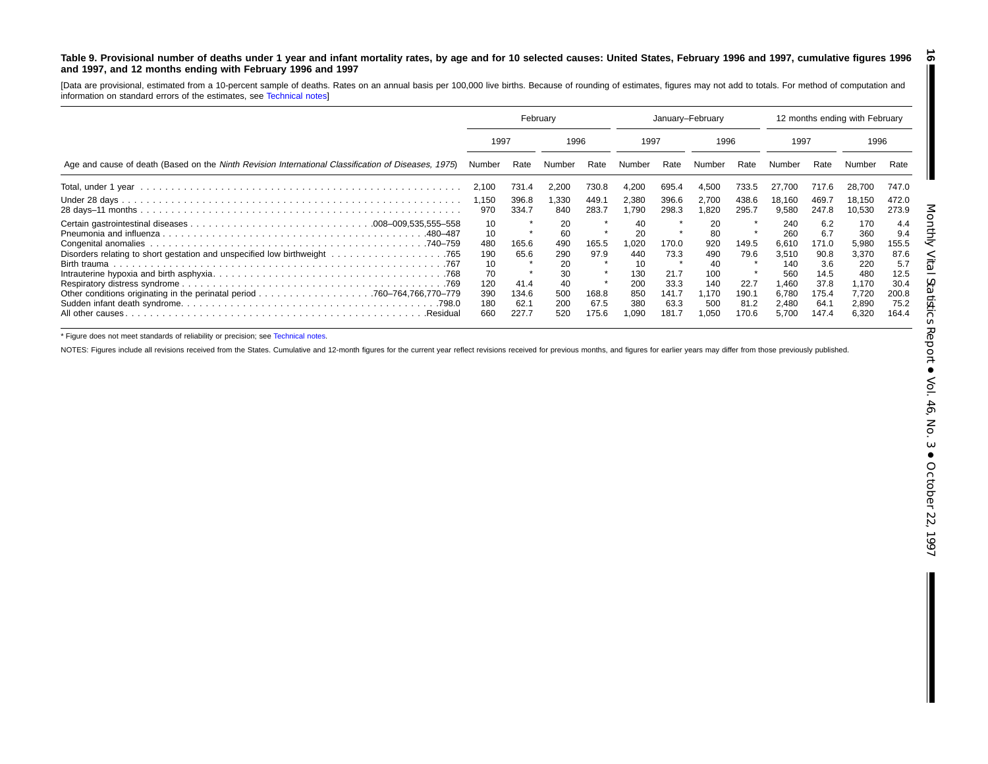#### <span id="page-15-0"></span>Table 9. Provisional number of deaths under 1 year and infant mortality rates, by age and for 10 selected causes: United States, February 1996 and 1997, cumulative figures 1996 **and 1997, and 12 months ending with February 1996 and 1997 16**

[Data are provisional, estimated from <sup>a</sup> 10-percent sample of deaths. Rates on an annual basis per 100,000 live births. Because of rounding of estimates, figures may not add to totals. For method of computation and information on standard errors of the estimates, see [Technical](#page-16-0) notes]

|                                                                                                     | February          |                       |                  |                | January-February  |                       |                     |                       | 12 months ending with February |                       |                         |                       |
|-----------------------------------------------------------------------------------------------------|-------------------|-----------------------|------------------|----------------|-------------------|-----------------------|---------------------|-----------------------|--------------------------------|-----------------------|-------------------------|-----------------------|
|                                                                                                     | 1997<br>1996      |                       |                  | 1997           |                   | 1996                  |                     | 1997                  |                                | 1996                  |                         |                       |
| Age and cause of death (Based on the Ninth Revision International Classification of Diseases, 1975) | Number            | Rate                  | Number           | Rate           | Number            | Rate                  | Number              | Rate                  | Number                         | Rate                  | Number                  | Rate                  |
|                                                                                                     | 2,100             | 731.4                 | 2,200            | 730.8          | 4,200             | 695.4                 | 4,500               | 733.5                 | 27.700                         | 717.6                 | 28.700                  | 747.0                 |
|                                                                                                     | 1,150<br>970      | 396.8<br>334.7        | 1,330<br>840     | 449.1<br>283.7 | 2,380<br>1,790    | 396.6<br>298.3        | 2,700<br>820. ا     | 438.6<br>295.7        | 18,160<br>9,580                | 469.<br>247.8         | 18.150<br>10,530        | 472.0<br>273.9        |
| .480–487                                                                                            | 10<br>10          |                       | 20<br>60         |                | 40<br>20          |                       | 20<br>80            |                       | 240<br>260                     | 6.2<br>6.7            | 170<br>360              | 4.4<br>9.4            |
|                                                                                                     | 480<br>190        | 165.6<br>65.6         | 490<br>290       | 165.5<br>97.9  | 1,020<br>440      | 170.0<br>73.3         | 920<br>490          | 149.5<br>79.6         | 6,610<br>3.510                 | 171.0<br>90.8         | 5,980<br>3,370          | 155.5<br>87.6         |
|                                                                                                     | 10<br>70          |                       | 20<br>30         |                | 10<br>130         | 21.7                  | 40<br>100           |                       | 140<br>560                     | 3.6<br>14.5           | 220<br>480              | 5.7<br>12.5           |
|                                                                                                     | 120<br>390<br>180 | 41.4<br>134.6<br>62.1 | 40<br>500<br>200 | 168.8<br>67.5  | 200<br>850<br>380 | 33.3<br>141.7<br>63.3 | 140<br>1.170<br>500 | 22.7<br>190.1<br>81.2 | .460<br>6,780<br>2,480         | 37.8<br>175.4<br>64.7 | 1,170<br>7,720<br>2,890 | 30.4<br>200.8<br>75.2 |
| All other causes.<br>.Residual                                                                      | 660               | 227.7                 | 520              | 175.6          | 1,090             | 181.7                 | 050. ا              | 170.6                 | 5,700                          | 147.4                 | 6,320                   | 164.4                 |

\* Figure does not meet standards of reliability or precision; see [Technical](#page-16-0) notes.

NOTES: Figures include all revisions received from the States. Cumulative and 12-month figures for the current year reflect revisions received for previous months, and figures for earlier years may differ from those previo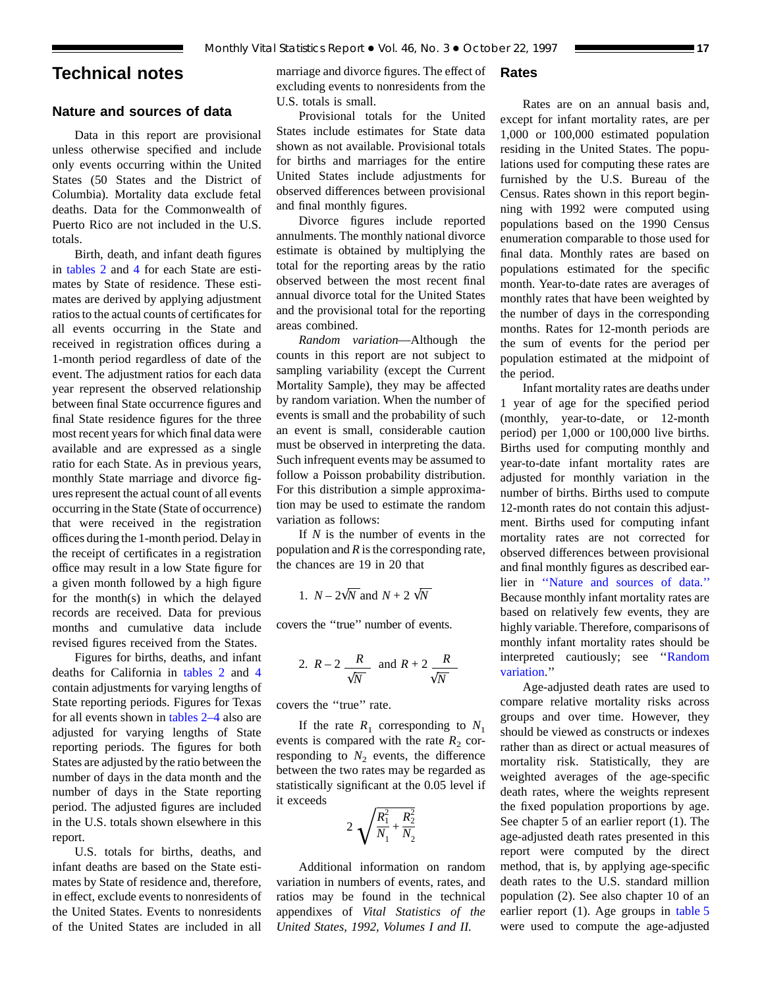## <span id="page-16-0"></span>**Technical notes**

## **Nature and sources of data**

Data in this report are provisional unless otherwise specified and include only events occurring within the United States (50 States and the District of Columbia). Mortality data exclude fetal deaths. Data for the Commonwealth of Puerto Rico are not included in the U.S. totals.

Birth, death, and infant death figures in [tables 2](#page-6-0) and 4 for each State are estimates by Stat[e of r](#page-8-0)esidence. These estimates are derived by applying adjustment ratios to the actual counts of certificates for all events occurring in the State and received in registration offices during a 1-month period regardless of date of the event. The adjustment ratios for each data year represent the observed relationship between final State occurrence figures and final State residence figures for the three most recent years for which final data were available and are expressed as a single ratio for each State. As in previous years, monthly State marriage and divorce figures represent the actual count of all events occurring in the State (State of occurrence) that were received in the registration offices during the 1-month period. Delay in the receipt of certificates in a registration office may result in a low State figure for a given month followed by a high figure for the month(s) in which the delayed records are received. Data for previous months and cumulative data include revised figures received from the States.

Figures for births, deaths, and infant deaths for California in [tables 2](#page-6-0) and 4 contain adjustments for varying length[s](#page-8-0) [of](#page-8-0) State reporting periods. Figures for Texas for all events shown in [tables 2–4](#page-6-0) also are adjusted for varying lengths of State reporting periods. The figures for both States are adjusted by the ratio between the number of days in the data month and the number of days in the State reporting period. The adjusted figures are included in the U.S. totals shown elsewhere in this report.

U.S. totals for births, deaths, and infant deaths are based on the State estimates by State of residence and, therefore, in effect, exclude events to nonresidents of the United States. Events to nonresidents of the United States are included in all

marriage and divorce figures. The effect of excluding events to nonresidents from the U.S. totals is small.

Provisional totals for the United States include estimates for State data shown as not available. Provisional totals for births and marriages for the entire United States include adjustments for observed differences between provisional and final monthly figures.

Divorce figures include reported annulments. The monthly national divorce estimate is obtained by multiplying the total for the reporting areas by the ratio observed between the most recent final annual divorce total for the United States and the provisional total for the reporting areas combined.

*Random variation*—Although the counts in this report are not subject to sampling variability (except the Current Mortality Sample), they may be affected by random variation. When the number of events is small and the probability of such an event is small, considerable caution must be observed in interpreting the data. Such infrequent events may be assumed to follow a Poisson probability distribution. For this distribution a simple approximation may be used to estimate the random variation as follows:

If *N* is the number of events in the population and *R* is the corresponding rate, the chances are 19 in 20 that

1. 
$$
N - 2\sqrt{N}
$$
 and  $N + 2\sqrt{N}$ 

covers the ''true'' number of events.

2. 
$$
R-2
$$
  $\frac{R}{\sqrt{N}}$  and  $R+2$   $\frac{R}{\sqrt{N}}$ 

covers the ''true'' rate.

If the rate  $R_1$  corresponding to  $N_1$ events is compared with the rate  $R_2$  corresponding to  $N_2$  events, the difference between the two rates may be regarded as statistically significant at the 0.05 level if it exceeds

$$
2\sqrt{\frac{R_1^2}{N_1} + \frac{R_2^2}{N_2}}
$$

Additional information on random variation in numbers of events, rates, and ratios may be found in the technical appendixes of *Vital Statistics of the United States, 1992, Volumes I and II.*

## **Rates**

Rates are on an annual basis and, except for infant mortality rates, are per 1,000 or 100,000 estimated population residing in the United States. The populations used for computing these rates are furnished by the U.S. Bureau of the Census. Rates shown in this report beginning with 1992 were computed using populations based on the 1990 Census enumeration comparable to those used for final data. Monthly rates are based on populations estimated for the specific month. Year-to-date rates are averages of monthly rates that have been weighted by the number of days in the corresponding months. Rates for 12-month periods are the sum of events for the period per population estimated at the midpoint of the period.

Infant mortality rates are deaths under 1 year of age for the specified period (monthly, year-to-date, or 12-month period) per 1,000 or 100,000 live births. Births used for computing monthly and year-to-date infant mortality rates are adjusted for monthly variation in the number of births. Births used to compute 12-month rates do not contain this adjustment. Births used for computing infant mortality rates are not corrected for observed differences between provisional and final monthly figures as described earlier in ''Nature and sources of data.'' Because monthly infant mortality rates are based on relatively few events, they are highly variable. Therefore, comparisons of monthly infant mortality rates should be interpreted cautiously; see ''Random variation.''

Age-adjusted death rates are used to compare relative mortality risks across groups and over time. However, they should be viewed as constructs or indexes rather than as direct or actual measures of mortality risk. Statistically, they are weighted averages of the age-specific death rates, where the weights represent the fixed population proportions by age. See chapter 5 of an earlier report (1). The age-adjusted death rates presented in this report were computed by the direct method, that is, by applying age-specific death rates to the U.S. standard million population (2). See also chapter 10 of an earlier report (1). Age groups in [table 5](#page-9-0) were used to compute the age-adjusted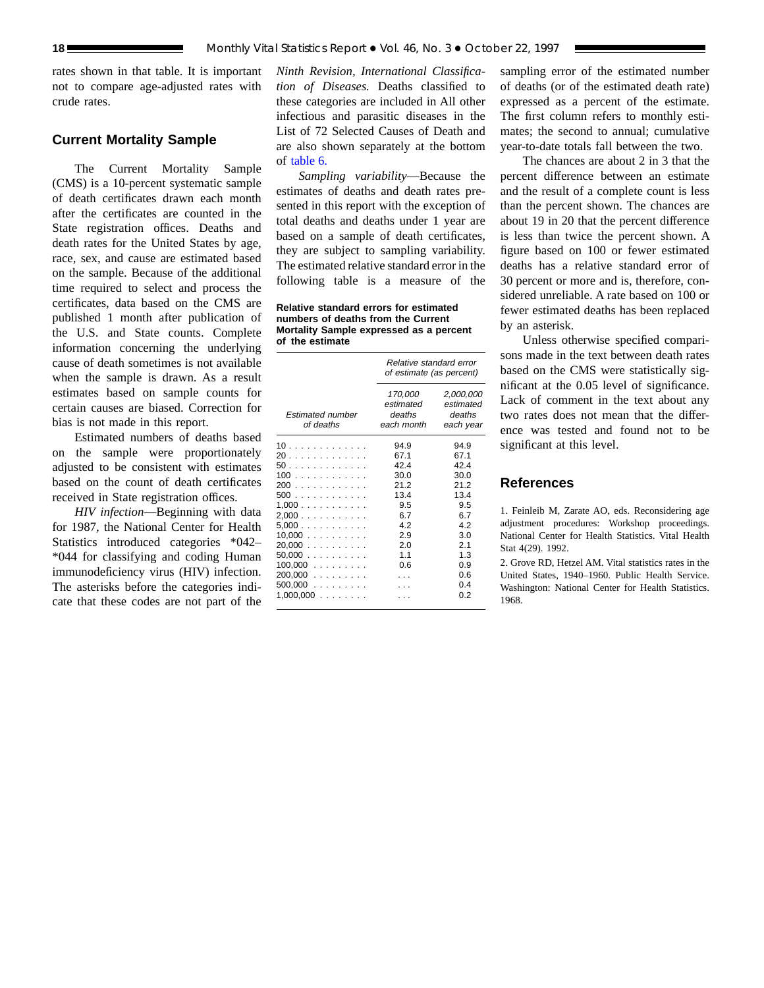rates shown in that table. It is important not to compare age-adjusted rates with crude rates.

## **Current Mortality Sample**

The Current Mortality Sample (CMS) is a 10-percent systematic sample of death certificates drawn each month after the certificates are counted in the State registration offices. Deaths and death rates for the United States by age, race, sex, and cause are estimated based on the sample. Because of the additional time required to select and process the certificates, data based on the CMS are published 1 month after publication of the U.S. and State counts. Complete information concerning the underlying cause of death sometimes is not available when the sample is drawn. As a result estimates based on sample counts for certain causes are biased. Correction for bias is not made in this report.

Estimated numbers of deaths based on the sample were proportionately adjusted to be consistent with estimates based on the count of death certificates received in State registration offices.

*HIV infection*—Beginning with data for 1987, the National Center for Health Statistics introduced categories \*042– \*044 for classifying and coding Human immunodeficiency virus (HIV) infection. The asterisks before the categories indicate that these codes are not part of the

*Ninth Revision, International Classification of Diseases.* Deaths classified to these categories are included in All other infectious and parasitic diseases in the List of 72 Selected Causes of Death and are also shown separately at the bottom of [table 6.](#page-12-0)

*Sampling variability*—Because the estimates of deaths and death rates presented in this report with the exception of total deaths and deaths under 1 year are based on a sample of death certificates, they are subject to sampling variability. The estimated relative standard error in the following table is a measure of the

**Relative standard errors for estimated numbers of deaths from the Current Mortality Sample expressed as a percent of the estimate**

|                                                                                                                             | Relative standard error<br>of estimate (as percent)                                          |                                                                                                     |  |  |  |
|-----------------------------------------------------------------------------------------------------------------------------|----------------------------------------------------------------------------------------------|-----------------------------------------------------------------------------------------------------|--|--|--|
| <b>Estimated number</b><br>of deaths                                                                                        | 170,000<br>estimated<br>deaths<br>each month                                                 | 2,000,000<br>estimated<br>deaths<br>each year                                                       |  |  |  |
| 10.<br>20<br>50<br>100<br>200<br>500<br>$1,000$<br>2,000<br>5,000<br>10.000<br>20.000<br>$50.000$<br>$100,000$<br>$200,000$ | 94.9<br>67.1<br>42.4<br>30.0<br>21.2<br>13.4<br>9.5<br>6.7<br>42<br>2.9<br>2.0<br>1.1<br>0.6 | 94.9<br>67.1<br>42.4<br>30.0<br>21.2<br>13.4<br>9.5<br>6.7<br>42<br>3.0<br>2.1<br>1.3<br>0.9<br>0.6 |  |  |  |
| $500.000$<br>1,000,000.<br>and a state of                                                                                   |                                                                                              | 0.4<br>0.2                                                                                          |  |  |  |

sampling error of the estimated number of deaths (or of the estimated death rate) expressed as a percent of the estimate. The first column refers to monthly estimates; the second to annual; cumulative year-to-date totals fall between the two.

The chances are about 2 in 3 that the percent difference between an estimate and the result of a complete count is less than the percent shown. The chances are about 19 in 20 that the percent difference is less than twice the percent shown. A figure based on 100 or fewer estimated deaths has a relative standard error of 30 percent or more and is, therefore, considered unreliable. A rate based on 100 or fewer estimated deaths has been replaced by an asterisk.

Unless otherwise specified comparisons made in the text between death rates based on the CMS were statistically significant at the 0.05 level of significance. Lack of comment in the text about any two rates does not mean that the difference was tested and found not to be significant at this level.

## **References**

1. Feinleib M, Zarate AO, eds. Reconsidering age adjustment procedures: Workshop proceedings. National Center for Health Statistics. Vital Health Stat 4(29). 1992.

2. Grove RD, Hetzel AM. Vital statistics rates in the United States, 1940–1960. Public Health Service. Washington: National Center for Health Statistics. 1968.